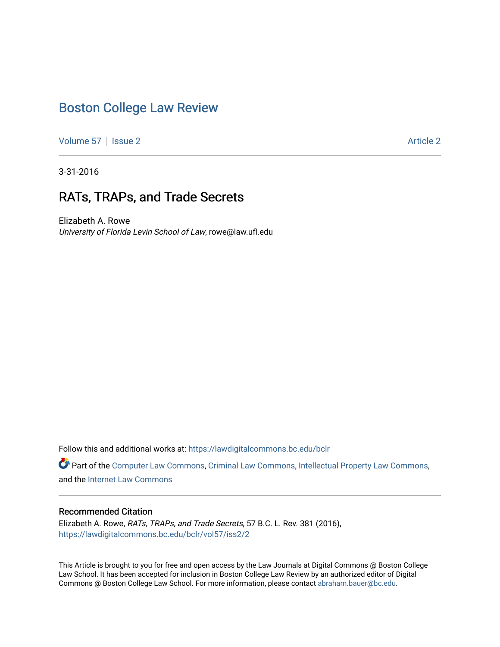# [Boston College Law Review](https://lawdigitalcommons.bc.edu/bclr)

[Volume 57](https://lawdigitalcommons.bc.edu/bclr/vol57) | [Issue 2](https://lawdigitalcommons.bc.edu/bclr/vol57/iss2) [Article 2](https://lawdigitalcommons.bc.edu/bclr/vol57/iss2/2) Article 2 Article 2 Article 2 Article 2 Article 2 Article 2 Article 2 Article 2

3-31-2016

# RATs, TRAPs, and Trade Secrets

Elizabeth A. Rowe University of Florida Levin School of Law, rowe@law.ufl.edu

Follow this and additional works at: [https://lawdigitalcommons.bc.edu/bclr](https://lawdigitalcommons.bc.edu/bclr?utm_source=lawdigitalcommons.bc.edu%2Fbclr%2Fvol57%2Fiss2%2F2&utm_medium=PDF&utm_campaign=PDFCoverPages) 

Part of the [Computer Law Commons,](http://network.bepress.com/hgg/discipline/837?utm_source=lawdigitalcommons.bc.edu%2Fbclr%2Fvol57%2Fiss2%2F2&utm_medium=PDF&utm_campaign=PDFCoverPages) [Criminal Law Commons](http://network.bepress.com/hgg/discipline/912?utm_source=lawdigitalcommons.bc.edu%2Fbclr%2Fvol57%2Fiss2%2F2&utm_medium=PDF&utm_campaign=PDFCoverPages), [Intellectual Property Law Commons](http://network.bepress.com/hgg/discipline/896?utm_source=lawdigitalcommons.bc.edu%2Fbclr%2Fvol57%2Fiss2%2F2&utm_medium=PDF&utm_campaign=PDFCoverPages), and the [Internet Law Commons](http://network.bepress.com/hgg/discipline/892?utm_source=lawdigitalcommons.bc.edu%2Fbclr%2Fvol57%2Fiss2%2F2&utm_medium=PDF&utm_campaign=PDFCoverPages)

# Recommended Citation

Elizabeth A. Rowe, RATs, TRAPs, and Trade Secrets, 57 B.C. L. Rev. 381 (2016), [https://lawdigitalcommons.bc.edu/bclr/vol57/iss2/2](https://lawdigitalcommons.bc.edu/bclr/vol57/iss2/2?utm_source=lawdigitalcommons.bc.edu%2Fbclr%2Fvol57%2Fiss2%2F2&utm_medium=PDF&utm_campaign=PDFCoverPages) 

This Article is brought to you for free and open access by the Law Journals at Digital Commons @ Boston College Law School. It has been accepted for inclusion in Boston College Law Review by an authorized editor of Digital Commons @ Boston College Law School. For more information, please contact [abraham.bauer@bc.edu.](mailto:abraham.bauer@bc.edu)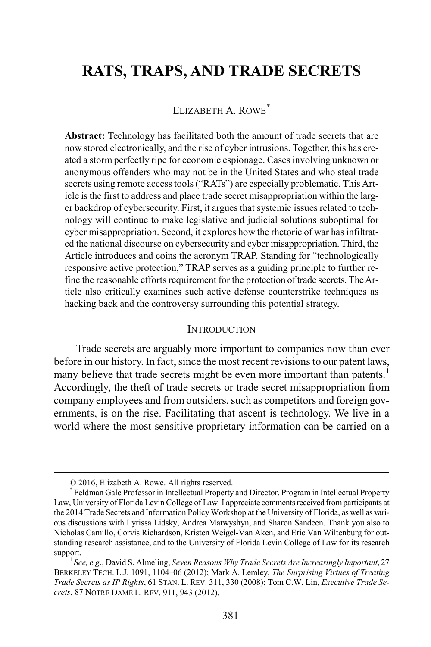# **RATS, TRAPS, AND TRADE SECRETS**

# ELIZABETH A ROWE<sup>[\\*](#page-1-0)</sup>

**Abstract:** Technology has facilitated both the amount of trade secrets that are now stored electronically, and the rise of cyber intrusions. Together, this has created a storm perfectly ripe for economic espionage. Cases involving unknown or anonymous offenders who may not be in the United States and who steal trade secrets using remote access tools ("RATs") are especially problematic. This Article is the first to address and place trade secret misappropriation within the larger backdrop of cybersecurity. First, it argues that systemic issues related to technology will continue to make legislative and judicial solutions suboptimal for cyber misappropriation. Second, it explores how the rhetoric of war has infiltrated the national discourse on cybersecurity and cyber misappropriation. Third, the Article introduces and coins the acronym TRAP. Standing for "technologically responsive active protection," TRAP serves as a guiding principle to further refine the reasonable efforts requirement for the protection of trade secrets. The Article also critically examines such active defense counterstrike techniques as hacking back and the controversy surrounding this potential strategy.

#### <span id="page-1-2"></span>**INTRODUCTION**

Trade secrets are arguably more important to companies now than ever before in our history. In fact, since the most recent revisions to our patent laws, many believe that trade secrets might be even more important than patents.<sup>[1](#page-1-1)</sup> Accordingly, the theft of trade secrets or trade secret misappropriation from company employees and from outsiders, such as competitors and foreign governments, is on the rise. Facilitating that ascent is technology. We live in a world where the most sensitive proprietary information can be carried on a

 <sup>© 2016,</sup> Elizabeth A. Rowe. All rights reserved.

<span id="page-1-0"></span><sup>\*</sup> Feldman Gale Professor in Intellectual Property and Director, Program in Intellectual Property Law, University of Florida Levin College of Law. I appreciate comments received from participants at the 2014 Trade Secrets and Information Policy Workshop at the University of Florida, as well as various discussions with Lyrissa Lidsky, Andrea Matwyshyn, and Sharon Sandeen. Thank you also to Nicholas Camillo, Corvis Richardson, Kristen Weigel-Van Aken, and Eric Van Wiltenburg for outstanding research assistance, and to the University of Florida Levin College of Law for its research support.<br><sup>1</sup> *See, e.g.*, David S. Almeling, *Seven Reasons Why Trade Secrets Are Increasingly Important, 27* 

<span id="page-1-1"></span>BERKELEY TECH. L.J. 1091, 1104–06 (2012); Mark A. Lemley, *The Surprising Virtues of Treating Trade Secrets as IP Rights*, 61 STAN. L. REV. 311, 330 (2008); Tom C.W. Lin, *Executive Trade Secrets*, 87 NOTRE DAME L. REV. 911, 943 (2012).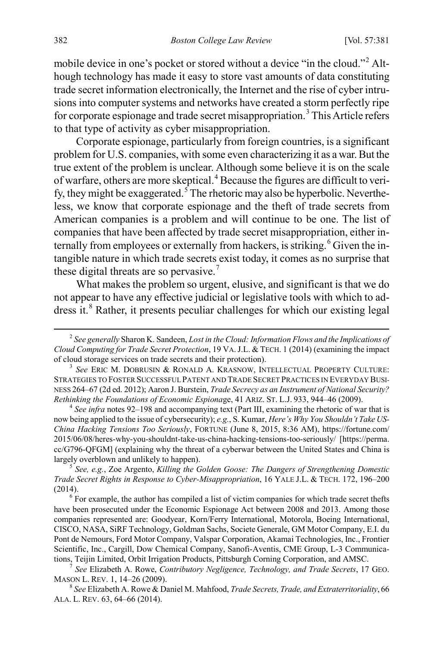mobile device in one's pocket or stored without a device "in the cloud."[2](#page-2-0) Although technology has made it easy to store vast amounts of data constituting trade secret information electronically, the Internet and the rise of cyber intrusions into computer systems and networks have created a storm perfectly ripe for corporate espionage and trade secret misappropriation.<sup>[3](#page-2-1)</sup> This Article refers to that type of activity as cyber misappropriation.

<span id="page-2-10"></span><span id="page-2-8"></span>Corporate espionage, particularly from foreign countries, is a significant problem for U.S. companies, with some even characterizing it as a war. But the true extent of the problem is unclear. Although some believe it is on the scale of warfare, others are more skeptical.[4](#page-2-2) Because the figures are difficult to veri-fy, they might be exaggerated.<sup>[5](#page-2-3)</sup> The rhetoric may also be hyperbolic. Nevertheless, we know that corporate espionage and the theft of trade secrets from American companies is a problem and will continue to be one. The list of companies that have been affected by trade secret misappropriation, either in-ternally from employees or externally from hackers, is striking.<sup>[6](#page-2-4)</sup> Given the intangible nature in which trade secrets exist today, it comes as no surprise that these digital threats are so pervasive.<sup>[7](#page-2-5)</sup>

<span id="page-2-9"></span><span id="page-2-7"></span>What makes the problem so urgent, elusive, and significant is that we do not appear to have any effective judicial or legislative tools with which to ad-dress it.<sup>[8](#page-2-6)</sup> Rather, it presents peculiar challenges for which our existing legal

<span id="page-2-2"></span>now being applied to the issue of cybersecurity); *e.g.*, S. Kumar, *Here's Why You Shouldn't Take US-China Hacking Tensions Too Seriously*, FORTUNE (June 8, 2015, 8:36 AM), https://fortune.com/ 2015/06/08/heres-why-you-shouldnt-take-us-china-hacking-tensions-too-seriously/ [https://perma. cc/G796-QFGM] (explaining why the threat of a cyberwar between the United States and China is largely overblown and unlikely to happen). <sup>5</sup> *See, e.g.*, Zoe Argento, *Killing the Golden Goose: The Dangers of Strengthening Domestic* 

<span id="page-2-3"></span>*Trade Secret Rights in Response to Cyber-Misappropriation*, 16 YALE J.L. & TECH. 172, 196–200

<span id="page-2-4"></span> $6$  For example, the author has compiled a list of victim companies for which trade secret thefts have been prosecuted under the Economic Espionage Act between 2008 and 2013. Among those companies represented are: Goodyear, Korn/Ferry International, Motorola, Boeing International, CISCO, NASA, SiRF Technology, Goldman Sachs, Societe Generale, GM Motor Company, E.I. du Pont de Nemours, Ford Motor Company, Valspar Corporation, Akamai Technologies, Inc., Frontier Scientific, Inc., Cargill, Dow Chemical Company, Sanofi-Aventis, CME Group, L-3 Communications, Teijin Limited, Orbit Irrigation Products, Pittsburgh Corning Corporation, and AMSC. <sup>7</sup> *See* Elizabeth A. Rowe, *Contributory Negligence, Technology, and Trade Secrets*, 17 GEO.

<span id="page-2-5"></span>MASON L. REV. 1, 14–26 (2009). <sup>8</sup> *See* Elizabeth A. Rowe & Daniel M. Mahfood, *Trade Secrets, Trade, and Extraterritoriality*, 66

<span id="page-2-6"></span>ALA. L. REV. 63, 64–66 (2014).

<span id="page-2-0"></span> <sup>2</sup> *See generally* Sharon K. Sandeen, *Lost in the Cloud: Information Flows and the Implications of Cloud Computing for Trade Secret Protection*, 19 VA.J.L. & TECH. 1 (2014) (examining the impact

<span id="page-2-1"></span>See ERIC M. DOBRUSIN & RONALD A. KRASNOW, INTELLECTUAL PROPERTY CULTURE: STRATEGIES TO FOSTER SUCCESSFUL PATENT AND TRADE SECRET PRACTICES IN EVERYDAY BUSI-NESS 264–67 (2d ed. 2012); Aaron J. Burstein, *Trade Secrecy as an Instrument of National Security? Rethinking the Foundations of Economic Espiona*ge, 41 ARIZ. ST. L.J. 933, 944–46 (2009). <sup>4</sup> *See infra* note[s 92–](#page-14-0)[198](#page-28-0) and accompanying text (Part III, examining the rhetoric of war that is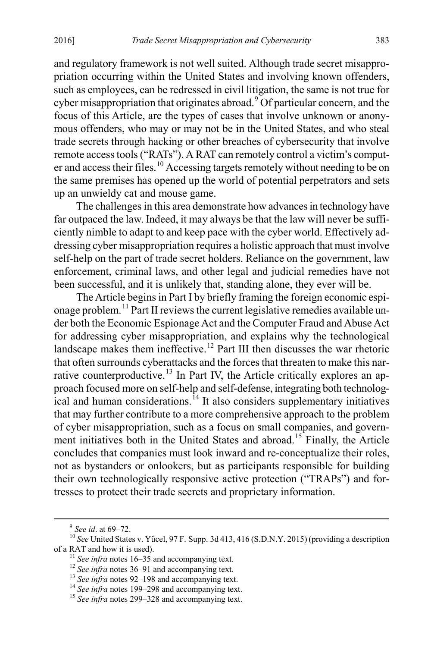and regulatory framework is not well suited. Although trade secret misappropriation occurring within the United States and involving known offenders, such as employees, can be redressed in civil litigation, the same is not true for cyber misappropriation that originates abroad.<sup>[9](#page-3-0)</sup> Of particular concern, and the focus of this Article, are the types of cases that involve unknown or anonymous offenders, who may or may not be in the United States, and who steal trade secrets through hacking or other breaches of cybersecurity that involve remote access tools ("RATs"). A RAT can remotely control a victim's comput-er and access their files.<sup>[10](#page-3-1)</sup> Accessing targets remotely without needing to be on the same premises has opened up the world of potential perpetrators and sets up an unwieldy cat and mouse game.

The challenges in this area demonstrate how advances in technology have far outpaced the law. Indeed, it may always be that the law will never be sufficiently nimble to adapt to and keep pace with the cyber world. Effectively addressing cyber misappropriation requires a holistic approach that must involve self-help on the part of trade secret holders. Reliance on the government, law enforcement, criminal laws, and other legal and judicial remedies have not been successful, and it is unlikely that, standing alone, they ever will be.

The Article begins in Part I by briefly framing the foreign economic espionage problem.[11](#page-3-2) Part II reviews the current legislative remedies available under both the Economic Espionage Act and the Computer Fraud and Abuse Act for addressing cyber misappropriation, and explains why the technological landscape makes them ineffective.<sup>[12](#page-3-3)</sup> Part III then discusses the war rhetoric that often surrounds cyberattacks and the forces that threaten to make this nar-rative counterproductive.<sup>[13](#page-3-4)</sup> In Part IV, the Article critically explores an approach focused more on self-help and self-defense, integrating both technolog-ical and human considerations.<sup>[14](#page-3-5)</sup> It also considers supplementary initiatives that may further contribute to a more comprehensive approach to the problem of cyber misappropriation, such as a focus on small companies, and govern-ment initiatives both in the United States and abroad.<sup>[15](#page-3-6)</sup> Finally, the Article concludes that companies must look inward and re-conceptualize their roles, not as bystanders or onlookers, but as participants responsible for building their own technologically responsive active protection ("TRAPs") and fortresses to protect their trade secrets and proprietary information.

<span id="page-3-3"></span><span id="page-3-2"></span><span id="page-3-1"></span><span id="page-3-0"></span><sup>&</sup>lt;sup>9</sup> *See id.* at 69–72.<br><sup>10</sup> *See* United States v. Yücel, 97 F. Supp. 3d 413, 416 (S.D.N.Y. 2015) (providing a description of a RAT and how it is used).

<sup>&</sup>lt;sup>11</sup> See infra notes [16](#page-4-0)[–35](#page-6-0) and accompanying text.<br><sup>12</sup> See infra notes [36](#page-7-0)[–91](#page-14-1) and accompanying text.<br><sup>13</sup> See infra note[s 92–](#page-14-0)[198](#page-28-0) and accompanying text.<br><sup>14</sup> See infra note[s 199](#page-28-1)[–298](#page-41-0) and accompanying text.<br><sup>15</sup> See infra not

<span id="page-3-5"></span><span id="page-3-4"></span>

<span id="page-3-6"></span>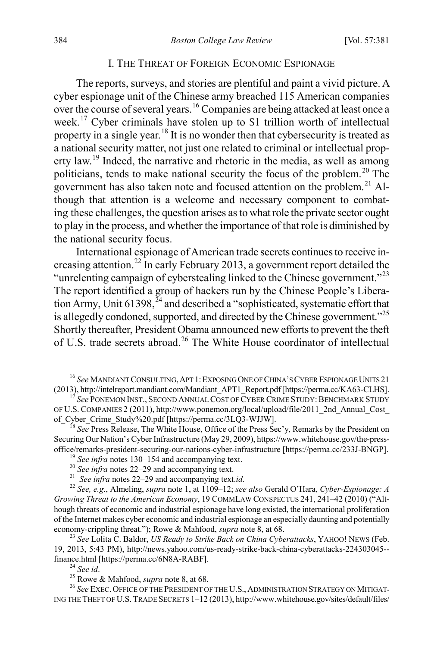#### <span id="page-4-0"></span>I. THE THREAT OF FOREIGN ECONOMIC ESPIONAGE

The reports, surveys, and stories are plentiful and paint a vivid picture. A cyber espionage unit of the Chinese army breached 115 American companies over the course of several years.[16](#page-4-2) Companies are being attacked at least once a week.<sup>[17](#page-4-3)</sup> Cyber criminals have stolen up to \$1 trillion worth of intellectual property in a single year.[18](#page-4-4) It is no wonder then that cybersecurity is treated as a national security matter, not just one related to criminal or intellectual property law.[19](#page-4-5) Indeed, the narrative and rhetoric in the media, as well as among politicians, tends to make national security the focus of the problem.<sup>[20](#page-4-6)</sup> The government has also taken note and focused attention on the problem.<sup>[21](#page-4-7)</sup> Although that attention is a welcome and necessary component to combating these challenges, the question arises as to what role the private sector ought to play in the process, and whether the importance of that role is diminished by the national security focus.

<span id="page-4-1"></span>International espionage of American trade secrets continues to receive in-creasing attention.<sup>[22](#page-4-8)</sup> In early February 2013, a government report detailed the "unrelenting campaign of cyberstealing linked to the Chinese government."[23](#page-4-9) The report identified a group of hackers run by the Chinese People's Liberation Army, Unit  $61398$ ,  $^{24}$  $^{24}$  $^{24}$  and described a "sophisticated, systematic effort that is allegedly condoned, supported, and directed by the Chinese government."<sup>[25](#page-4-11)</sup> Shortly thereafter, President Obama announced new efforts to prevent the theft of U.S. trade secrets abroad.<sup>[26](#page-4-12)</sup> The White House coordinator of intellectual

<span id="page-4-2"></span><sup>&</sup>lt;sup>16</sup> See MANDIANT CONSULTING, APT 1: EXPOSING ONE OF CHINA'S CYBER ESPIONAGE UNITS 21 (2013), http://intelreport.mandiant.com/Mandiant APT1 Report.pdf [https://perma.cc/KA63-CLHS].

<span id="page-4-3"></span><sup>&</sup>lt;sup>17</sup> See PONEMON INST., SECOND ANNUAL COST OF CYBER CRIME STUDY: BENCHMARK STUDY OF U.S. COMPANIES 2 (2011), http://www.ponemon.org/local/upload/file/2011\_2nd\_Annual\_Cost\_<br>of Cyber Crime Study%20.pdf [https://perma.cc/3LQ3-WJJW].

<span id="page-4-4"></span>See Press Release, The White House, Office of the Press Sec'y, Remarks by the President on Securing Our Nation's Cyber Infrastructure (May 29, 2009), https://www.whitehouse.gov/the-press-<br>office/remarks-president-securing-our-nations-cyber-infrastructure [https://perma.cc/233J-BNGP].

<span id="page-4-8"></span><span id="page-4-7"></span><span id="page-4-6"></span><span id="page-4-5"></span><sup>&</sup>lt;sup>19</sup> See infra note[s 130](#page-20-0)[–154](#page-23-0) and accompanying text.<br>
<sup>20</sup> See infra note[s 22–](#page-4-1)29 and accompanying text.<br>
<sup>21</sup> See infra notes 22–29 and accompanying text.id.<br>
<sup>22</sup> See, e.g., Almeling, *supra* note [1,](#page-1-2) at 1109–12; *see also Growing Threat to the American Economy*, 19 COMMLAW CONSPECTUS 241, 241–42 (2010) ("Although threats of economic and industrial espionage have long existed, the international proliferation of the Internet makes cyber economic and industrial espionage an especially daunting and potentially economy-crippling threat."); Rowe & Mahfood, *supra* not[e 8,](#page-2-7) at 68. <sup>23</sup> *See* Lolita C. Baldor, *US Ready to Strike Back on China Cyberattacks*, YAHOO! NEWS (Feb.

<span id="page-4-9"></span><sup>19, 2013, 5:43</sup> PM), http://news.yahoo.com/us-ready-strike-back-china-cyberattacks-224303045- finance.html [https://perma.cc/6N8A-RABF].<br><sup>24</sup> *See id.* 25 Rowe & Mahfood, *supra* note [8,](#page-2-7) at 68. 26 *See EXEC. OFFICE OF THE PRESIDENT OF THE U.S.*, ADMINISTRATION STRATEGY ON MITIGAT-

<span id="page-4-12"></span><span id="page-4-11"></span><span id="page-4-10"></span>ING THE THEFT OF U.S. TRADE SECRETS 1–12 (2013), http://www.whitehouse.gov/sites/default/files/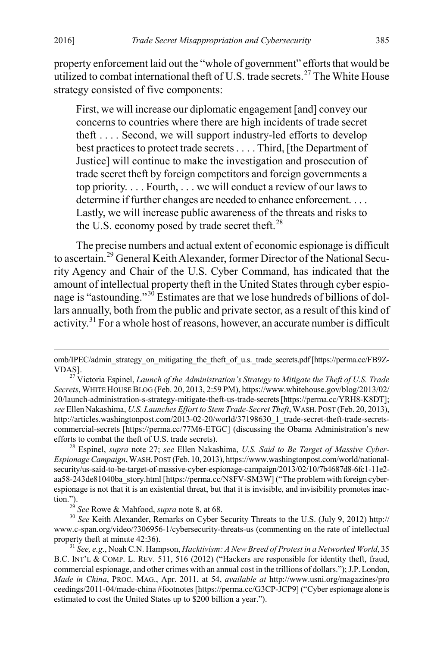property enforcement laid out the "whole of government" efforts that would be utilized to combat international theft of U.S. trade secrets.<sup>[27](#page-5-1)</sup> The White House strategy consisted of five components:

<span id="page-5-0"></span>First, we will increase our diplomatic engagement [and] convey our concerns to countries where there are high incidents of trade secret theft . . . . Second, we will support industry-led efforts to develop best practices to protect trade secrets . . . . Third, [the Department of Justice] will continue to make the investigation and prosecution of trade secret theft by foreign competitors and foreign governments a top priority. . . . Fourth, . . . we will conduct a review of our laws to determine if further changes are needed to enhance enforcement. . . . Lastly, we will increase public awareness of the threats and risks to the U.S. economy posed by trade secret theft. $^{28}$  $^{28}$  $^{28}$ 

The precise numbers and actual extent of economic espionage is difficult to ascertain.[29](#page-5-3) General Keith Alexander, former Director of the National Security Agency and Chair of the U.S. Cyber Command, has indicated that the amount of intellectual property theft in the United States through cyber espio-nage is "astounding."<sup>[30](#page-5-4)</sup> Estimates are that we lose hundreds of billions of dollars annually, both from the public and private sector, as a result of this kind of activity.[31](#page-5-5) For a whole host of reasons, however, an accurate number is difficult

omb/IPEC/admin\_strategy\_on\_mitigating\_the\_theft\_of\_u.s.\_trade\_secrets.pdf [https://perma.cc/FB9Z-

<span id="page-5-1"></span><sup>&</sup>lt;sup>27</sup> Victoria Espinel, *Launch of the Administration's Strategy to Mitigate the Theft of U.S. Trade Secrets*, WHITE HOUSE BLOG (Feb. 20, 2013, 2:59 PM), https://www.whitehouse.gov/blog/2013/02/ 20/launch-administration-s-strategy-mitigate-theft-us-trade-secrets [https://perma.cc/YRH8-K8DT]; *see* Ellen Nakashima, *U.S. Launches Effort to Stem Trade-Secret Theft*, WASH. POST (Feb. 20, 2013), http://articles.washingtonpost.com/2013-02-20/world/37198630\_1\_trade-secret-theft-trade-secretscommercial-secrets [https://perma.cc/77M6-ETGC] (discussing the Obama Administration's new efforts to combat the theft of U.S. trade secrets). 28 Espinel, *supra* note [27;](#page-5-0) *see* Ellen Nakashima, *U.S. Said to Be Target of Massive Cyber-*

<span id="page-5-2"></span>*Espionage Campaign*, WASH.POST (Feb. 10, 2013), https://www.washingtonpost.com/world/nationalsecurity/us-said-to-be-target-of-massive-cyber-espionage-campaign/2013/02/10/7b4687d8-6fc1-11e2 aa58-243de81040ba\_story.html [https://perma.cc/N8FV-SM3W] ("The problem with foreign cyberespionage is not that it is an existential threat, but that it is invisible, and invisibility promotes inaction.").

<span id="page-5-4"></span><span id="page-5-3"></span><sup>&</sup>lt;sup>29</sup> *See* Rowe & Mahfood, *supra* not[e 8,](#page-2-7) at 68.<br><sup>30</sup> *See* Keith Alexander, Remarks on Cyber Security Threats to the U.S. (July 9, 2012) http:// www.c-span.org/video/?306956-1/cybersecurity-threats-us (commenting on the rate of intellectual property theft at minute 42:36).

<span id="page-5-5"></span><sup>&</sup>lt;sup>31</sup> See, e.g., Noah C.N. Hampson, *Hacktivism: A New Breed of Protest in a Networked World*, 35 B.C. INT'L & COMP. L. REV. 511, 516 (2012) ("Hackers are responsible for identity theft, fraud, commercial espionage, and other crimes with an annual cost in the trillions of dollars."); J.P. London, *Made in China*, PROC. MAG., Apr. 2011, at 54, *available at* http://www.usni.org/magazines/pro ceedings/2011-04/made-china #footnotes [https://perma.cc/G3CP-JCP9] ("Cyber espionage alone is estimated to cost the United States up to \$200 billion a year.").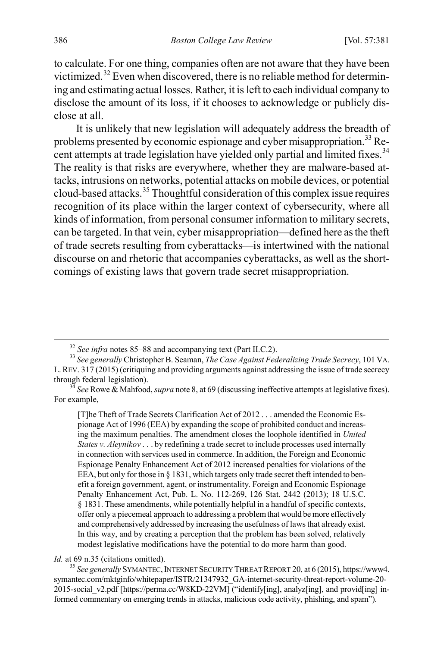to calculate. For one thing, companies often are not aware that they have been victimized.[32](#page-6-1) Even when discovered, there is no reliable method for determining and estimating actual losses. Rather, it is left to each individual company to disclose the amount of its loss, if it chooses to acknowledge or publicly disclose at all.

<span id="page-6-0"></span>It is unlikely that new legislation will adequately address the breadth of problems presented by economic espionage and cyber misappropriation.<sup>33</sup> Re-cent attempts at trade legislation have yielded only partial and limited fixes.<sup>[34](#page-6-3)</sup> The reality is that risks are everywhere, whether they are malware-based attacks, intrusions on networks, potential attacks on mobile devices, or potential cloud-based attacks.[35](#page-6-4) Thoughtful consideration of this complex issue requires recognition of its place within the larger context of cybersecurity, where all kinds of information, from personal consumer information to military secrets, can be targeted. In that vein, cyber misappropriation—defined here as the theft of trade secrets resulting from cyberattacks—is intertwined with the national discourse on and rhetoric that accompanies cyberattacks, as well as the shortcomings of existing laws that govern trade secret misappropriation.

[T]he Theft of Trade Secrets Clarification Act of 2012 . . . amended the Economic Espionage Act of 1996 (EEA) by expanding the scope of prohibited conduct and increasing the maximum penalties. The amendment closes the loophole identified in *United States v. Aleynikov* . . . by redefining a trade secret to include processes used internally in connection with services used in commerce. In addition, the Foreign and Economic Espionage Penalty Enhancement Act of 2012 increased penalties for violations of the EEA, but only for those in § 1831, which targets only trade secret theft intended to benefit a foreign government, agent, or instrumentality. Foreign and Economic Espionage Penalty Enhancement Act, Pub. L. No. 112-269, 126 Stat. 2442 (2013); 18 U.S.C. § 1831. These amendments, while potentially helpful in a handful of specific contexts, offer only a piecemeal approach to addressing a problem that would be more effectively and comprehensively addressed by increasing the usefulness of laws that already exist. In this way, and by creating a perception that the problem has been solved, relatively modest legislative modifications have the potential to do more harm than good.

<span id="page-6-4"></span>*Id.* at 69 n.35 (citations omitted).<br><sup>35</sup> *See generally* SYMANTEC, INTERNET SECURITY THREAT REPORT 20, at 6 (2015), https://www4. symantec.com/mktginfo/whitepaper/ISTR/21347932\_GA-internet-security-threat-report-volume-20- 2015-social v2.pdf [https://perma.cc/W8KD-22VM] ("identify[ing], analyz[ing], and provid[ing] informed commentary on emerging trends in attacks, malicious code activity, phishing, and spam").

<span id="page-6-2"></span><span id="page-6-1"></span><sup>32</sup> *See infra* note[s 85–](#page-13-0)[88](#page-14-2) and accompanying text (Part II.C.2). <sup>33</sup> *See generally* Christopher B. Seaman, *The Case Against Federalizing Trade Secrecy*, 101 VA. L.REV. 317 (2015) (critiquing and providing arguments against addressing the issue of trade secrecy

<span id="page-6-3"></span> $t^3$  *See* Rowe & Mahfood, *supra* not[e 8,](#page-2-7) at 69 (discussing ineffective attempts at legislative fixes). For example,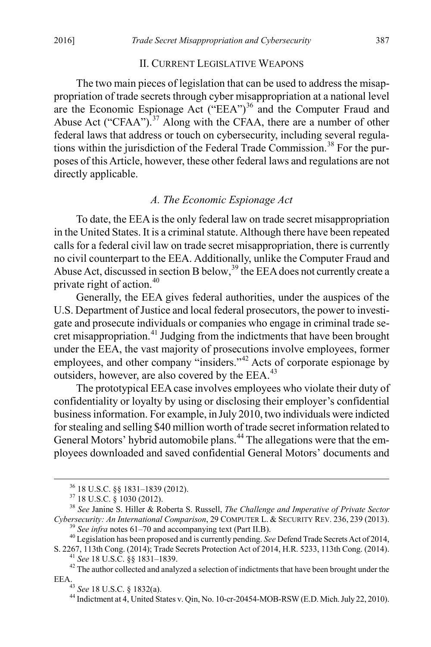#### <span id="page-7-0"></span>II. CURRENT LEGISLATIVE WEAPONS

The two main pieces of legislation that can be used to address the misappropriation of trade secrets through cyber misappropriation at a national level are the Economic Espionage Act  $("EEA")<sup>36</sup>$  $("EEA")<sup>36</sup>$  $("EEA")<sup>36</sup>$  and the Computer Fraud and Abuse Act ("CFAA").<sup>[37](#page-7-2)</sup> Along with the CFAA, there are a number of other federal laws that address or touch on cybersecurity, including several regula-tions within the jurisdiction of the Federal Trade Commission.<sup>[38](#page-7-3)</sup> For the purposes of this Article, however, these other federal laws and regulations are not directly applicable.

# <span id="page-7-10"></span>*A. The Economic Espionage Act*

To date, the EEAis the only federal law on trade secret misappropriation in the United States. It is a criminal statute. Although there have been repeated calls for a federal civil law on trade secret misappropriation, there is currently no civil counterpart to the EEA. Additionally, unlike the Computer Fraud and Abuse Act, discussed in section B below,  $39$  the EEA does not currently create a private right of action.[40](#page-7-5)

Generally, the EEA gives federal authorities, under the auspices of the U.S. Department of Justice and local federal prosecutors, the power to investigate and prosecute individuals or companies who engage in criminal trade se-cret misappropriation.<sup>[41](#page-7-6)</sup> Judging from the indictments that have been brought under the EEA, the vast majority of prosecutions involve employees, former employees, and other company "insiders."<sup>[42](#page-7-7)</sup> Acts of corporate espionage by outsiders, however, are also covered by the EEA.<sup>[43](#page-7-8)</sup>

The prototypical EEA case involves employees who violate their duty of confidentiality or loyalty by using or disclosing their employer's confidential business information. For example, in July 2010, two individuals were indicted for stealing and selling \$40 million worth of trade secret information related to General Motors' hybrid automobile plans.<sup>[44](#page-7-9)</sup> The allegations were that the employees downloaded and saved confidential General Motors' documents and

<span id="page-7-3"></span><span id="page-7-2"></span><span id="page-7-1"></span><sup>36</sup> 18 U.S.C. §§ 1831–1839 (2012). <sup>37</sup> 18 U.S.C. § 1030 (2012). <sup>38</sup> *See* Janine S. Hiller & Roberta S. Russell, *The Challenge and Imperative of Private Sector*  Cybersecurity: An International Comparison, 29 COMPUTER L. & SECURITY REV. 236, 239 (2013).<br><sup>39</sup> See infra note[s 61–](#page-10-0)[70](#page-11-0) and accompanying text (Part II.B).<br><sup>40</sup> Legislation has been proposed and is currently pending. See Def

<span id="page-7-4"></span>

<span id="page-7-9"></span><span id="page-7-8"></span><span id="page-7-7"></span><span id="page-7-6"></span><span id="page-7-5"></span><sup>&</sup>lt;sup>41</sup> See 18 U.S.C. §§ 1831–1839.<br><sup>42</sup> The author collected and analyzed a selection of indictments that have been brought under the EEA.<br><sup>43</sup> See 18 U.S.C. § 1832(a).

<sup>&</sup>lt;sup>44</sup> Indictment at 4, United States v. Qin, No. 10-cr-20454-MOB-RSW (E.D. Mich. July 22, 2010).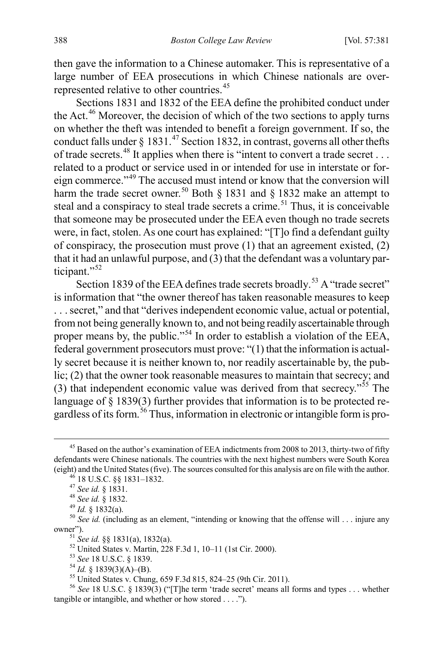then gave the information to a Chinese automaker. This is representative of a large number of EEA prosecutions in which Chinese nationals are over-represented relative to other countries.<sup>[45](#page-8-0)</sup>

<span id="page-8-12"></span>Sections 1831 and 1832 of the EEA define the prohibited conduct under the Act.<sup>[46](#page-8-1)</sup> Moreover, the decision of which of the two sections to apply turns on whether the theft was intended to benefit a foreign government. If so, the conduct falls under  $\S 1831<sup>47</sup>$  $\S 1831<sup>47</sup>$  $\S 1831<sup>47</sup>$  Section 1832, in contrast, governs all other thefts of trade secrets.<sup>[48](#page-8-3)</sup> It applies when there is "intent to convert a trade secret . . . related to a product or service used in or intended for use in interstate or foreign commerce."[49](#page-8-4) The accused must intend or know that the conversion will harm the trade secret owner.<sup>50</sup> Both  $\S$  1831 and  $\S$  1832 make an attempt to steal and a conspiracy to steal trade secrets a crime.<sup>[51](#page-8-6)</sup> Thus, it is conceivable that someone may be prosecuted under the EEA even though no trade secrets were, in fact, stolen. As one court has explained: "[T]o find a defendant guilty of conspiracy, the prosecution must prove (1) that an agreement existed, (2) that it had an unlawful purpose, and (3) that the defendant was a voluntary par-ticipant."<sup>[52](#page-8-7)</sup>

Section 1839 of the EEA defines trade secrets broadly.<sup>[53](#page-8-8)</sup> A "trade secret" is information that "the owner thereof has taken reasonable measures to keep . . . secret," and that "derives independent economic value, actual or potential, from not being generally known to, and not being readily ascertainable through proper means by, the public."<sup>[54](#page-8-9)</sup> In order to establish a violation of the EEA, federal government prosecutors must prove: "(1) that the information is actually secret because it is neither known to, nor readily ascertainable by, the public; (2) that the owner took reasonable measures to maintain that secrecy; and (3) that independent economic value was derived from that secrecy."<sup>[55](#page-8-10)</sup> The language of § 1839(3) further provides that information is to be protected re-gardless of its form.<sup>[56](#page-8-11)</sup> Thus, information in electronic or intangible form is pro-

<span id="page-8-1"></span><span id="page-8-0"></span> $45$  Based on the author's examination of EEA indictments from 2008 to 2013, thirty-two of fifty defendants were Chinese nationals. The countries with the next highest numbers were South Korea (eight) and the United States (five). The sources consulted for this analysis are on file with the author.<br><sup>46</sup> 18 U.S.C. §§ 1831–1832.<br><sup>47</sup> *See id.* § 1831.<br><sup>48</sup> *See id.* § 1832.<br><sup>49</sup> *Id.* § 1832(a).<br><sup>50</sup> *See id.* (i

<span id="page-8-7"></span><span id="page-8-6"></span><span id="page-8-5"></span><span id="page-8-4"></span><span id="page-8-3"></span><span id="page-8-2"></span>owner").<br>
<sup>51</sup> See id. §§ 1831(a), 1832(a).<br>
<sup>52</sup> United States v. Martin, 228 F.3d 1, 10–11 (1st Cir. 2000).<br>
<sup>53</sup> See 18 U.S.C. § 1839.<br>
<sup>54</sup> Id. § 1839(3)(A)–(B).<br>
<sup>55</sup> United States v. Chung, 659 F.3d 815, 824–25 (9th

<span id="page-8-11"></span><span id="page-8-10"></span><span id="page-8-9"></span><span id="page-8-8"></span>tangible or intangible, and whether or how stored . . . .").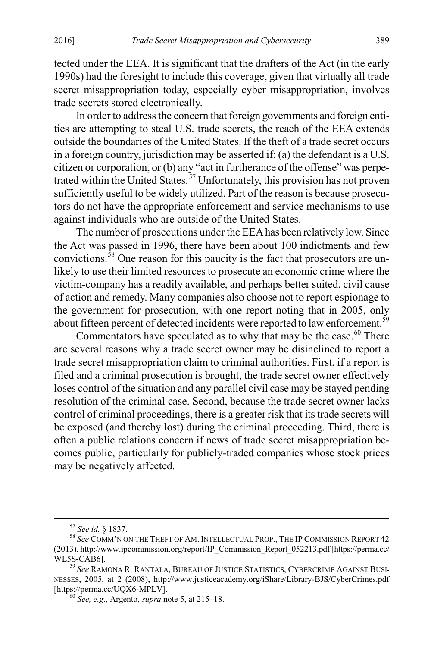tected under the EEA. It is significant that the drafters of the Act (in the early 1990s) had the foresight to include this coverage, given that virtually all trade secret misappropriation today, especially cyber misappropriation, involves trade secrets stored electronically.

In order to address the concern that foreign governments and foreign entities are attempting to steal U.S. trade secrets, the reach of the EEA extends outside the boundaries of the United States. If the theft of a trade secret occurs in a foreign country, jurisdiction may be asserted if: (a) the defendant is a U.S. citizen or corporation, or (b) any "act in furtherance of the offense" was perpe-trated within the United States.<sup>[57](#page-9-0)</sup> Unfortunately, this provision has not proven sufficiently useful to be widely utilized. Part of the reason is because prosecutors do not have the appropriate enforcement and service mechanisms to use against individuals who are outside of the United States.

<span id="page-9-4"></span>The number of prosecutions under the EEA has been relatively low. Since the Act was passed in 1996, there have been about 100 indictments and few convictions.<sup>[58](#page-9-1)</sup> One reason for this paucity is the fact that prosecutors are unlikely to use their limited resources to prosecute an economic crime where the victim-company has a readily available, and perhaps better suited, civil cause of action and remedy. Many companies also choose not to report espionage to the government for prosecution, with one report noting that in 2005, only about fifteen percent of detected incidents were reported to law enforcement.<sup>[59](#page-9-2)</sup>

<span id="page-9-5"></span>Commentators have speculated as to why that may be the case.<sup>60</sup> There are several reasons why a trade secret owner may be disinclined to report a trade secret misappropriation claim to criminal authorities. First, if a report is filed and a criminal prosecution is brought, the trade secret owner effectively loses control of the situation and any parallel civil case may be stayed pending resolution of the criminal case. Second, because the trade secret owner lacks control of criminal proceedings, there is a greater risk that its trade secrets will be exposed (and thereby lost) during the criminal proceeding. Third, there is often a public relations concern if news of trade secret misappropriation becomes public, particularly for publicly-traded companies whose stock prices may be negatively affected.

<span id="page-9-1"></span><span id="page-9-0"></span><sup>&</sup>lt;sup>57</sup> See id. § 1837.<br><sup>58</sup> See Comm'n on the Theft of Am. Intellectual Prop., The IP Commission Report 42 (2013), http://www.ipcommission.org/report/IP\_Commission\_Report\_052213.pdf [https://perma.cc/ WL5S-CAB6]. <sup>59</sup> *See* RAMONA R. RANTALA, BUREAU OF JUSTICE STATISTICS, CYBERCRIME AGAINST BUSI-

<span id="page-9-3"></span><span id="page-9-2"></span>NESSES, 2005, at 2 (2008), http://www.justiceacademy.org/iShare/Library-BJS/CyberCrimes.pdf [https://perma.cc/UQX6-MPLV]. <sup>60</sup> *See, e.g*., Argento, *supra* not[e 5,](#page-2-8) at 215–18.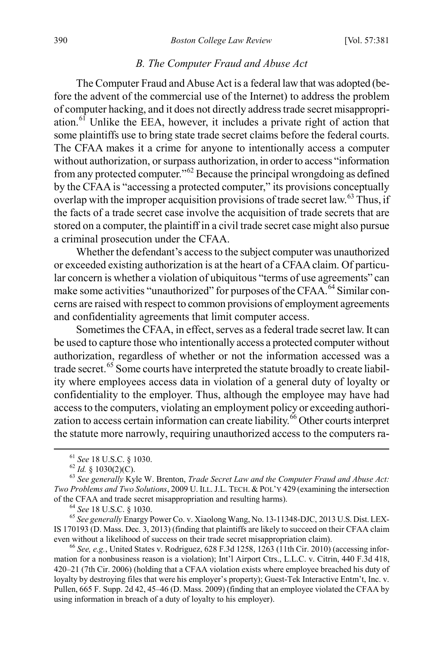#### *B. The Computer Fraud and Abuse Act*

<span id="page-10-0"></span>The Computer Fraud and Abuse Act is a federal law that was adopted (before the advent of the commercial use of the Internet) to address the problem of computer hacking, and it does not directly address trade secret misappropriation.[61](#page-10-1) Unlike the EEA, however, it includes a private right of action that some plaintiffs use to bring state trade secret claims before the federal courts. The CFAA makes it a crime for anyone to intentionally access a computer without authorization, or surpass authorization, in order to access "information from any protected computer."<sup>[62](#page-10-2)</sup> Because the principal wrongdoing as defined by the CFAA is "accessing a protected computer," its provisions conceptually overlap with the improper acquisition provisions of trade secret law.<sup>[63](#page-10-3)</sup> Thus, if the facts of a trade secret case involve the acquisition of trade secrets that are stored on a computer, the plaintiff in a civil trade secret case might also pursue a criminal prosecution under the CFAA.

Whether the defendant's access to the subject computer was unauthorized or exceeded existing authorization is at the heart of a CFAA claim. Of particular concern is whether a violation of ubiquitous "terms of use agreements" can make some activities "unauthorized" for purposes of the CFAA.<sup>[64](#page-10-4)</sup> Similar concerns are raised with respect to common provisions of employment agreements and confidentiality agreements that limit computer access.

Sometimes the CFAA, in effect, serves as a federal trade secret law. It can be used to capture those who intentionally access a protected computer without authorization, regardless of whether or not the information accessed was a trade secret.<sup>[65](#page-10-5)</sup> Some courts have interpreted the statute broadly to create liability where employees access data in violation of a general duty of loyalty or confidentiality to the employer. Thus, although the employee may have had access to the computers, violating an employment policy or exceeding authorization to access certain information can create liability. $66$  Other courts interpret the statute more narrowly, requiring unauthorized access to the computers ra-

<span id="page-10-5"></span><span id="page-10-4"></span><sup>64</sup> See 18 U.S.C. § 1030.<br><sup>65</sup> See generally Enargy Power Co. v. Xiaolong Wang, No. 13-11348-DJC, 2013 U.S. Dist. LEX-IS 170193 (D. Mass. Dec. 3, 2013) (finding that plaintiffs are likely to succeed on their CFAA claim even without a likelihood of success on their trade secret misappropriation claim).<br><sup>66</sup> *See, e.g.*, United States v. Rodriguez, 628 F.3d 1258, 1263 (11th Cir. 2010) (accessing infor-

<span id="page-10-6"></span>mation for a nonbusiness reason is a violation); Int'l Airport Ctrs., L.L.C. v. Citrin, 440 F.3d 418, 420–21 (7th Cir. 2006) (holding that a CFAA violation exists where employee breached his duty of loyalty by destroying files that were his employer's property); Guest-Tek Interactive Entm't, Inc. v. Pullen, 665 F. Supp. 2d 42, 45–46 (D. Mass. 2009) (finding that an employee violated the CFAA by using information in breach of a duty of loyalty to his employer).

<span id="page-10-3"></span><span id="page-10-2"></span><span id="page-10-1"></span><sup>&</sup>lt;sup>61</sup> *See* 18 U.S.C. § 1030.<br><sup>62</sup> *Id.* § 1030(2)(C).<br><sup>63</sup> *See generally* Kyle W. Brenton, *Trade Secret Law and the Computer Fraud and Abuse Act: Two Problems and Two Solutions*, 2009 U. ILL. J.L. TECH. & POL'Y 429 (examining the intersection of the CFAA and trade secret misappropriation and resulting harms).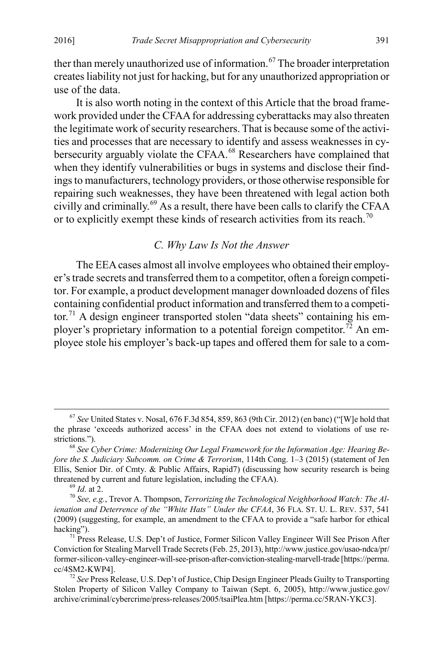ther than merely unauthorized use of information.<sup>[67](#page-11-1)</sup> The broader interpretation creates liability not just for hacking, but for any unauthorized appropriation or use of the data.

It is also worth noting in the context of this Article that the broad framework provided under the CFAA for addressing cyberattacks may also threaten the legitimate work of security researchers. That is because some of the activities and processes that are necessary to identify and assess weaknesses in cy-bersecurity arguably violate the CFAA.<sup>[68](#page-11-2)</sup> Researchers have complained that when they identify vulnerabilities or bugs in systems and disclose their findings to manufacturers, technology providers, or those otherwise responsible for repairing such weaknesses, they have been threatened with legal action both civilly and criminally.[69](#page-11-3) As a result, there have been calls to clarify the CFAA or to explicitly exempt these kinds of research activities from its reach.<sup>[70](#page-11-4)</sup>

## <span id="page-11-0"></span>*C. Why Law Is Not the Answer*

The EEA cases almost all involve employees who obtained their employer's trade secrets and transferred them to a competitor, often a foreign competitor. For example, a product development manager downloaded dozens of files containing confidential product information and transferred them to a competi-tor.<sup>[71](#page-11-5)</sup> A design engineer transported stolen "data sheets" containing his em-ployer's proprietary information to a potential foreign competitor.<sup>[72](#page-11-6)</sup> An employee stole his employer's back-up tapes and offered them for sale to a com-

<span id="page-11-1"></span> <sup>67</sup> *See* United States v. Nosal, 676 F.3d 854, 859, 863 (9th Cir. 2012) (en banc) ("[W]e hold that the phrase 'exceeds authorized access' in the CFAA does not extend to violations of use re-<br>strictions.").

<span id="page-11-2"></span><sup>&</sup>lt;sup>68</sup> See Cyber Crime: Modernizing Our Legal Framework for the Information Age: Hearing Be*fore the S. Judiciary Subcomm. on Crime & Terrorism*, 114th Cong. 1–3 (2015) (statement of Jen Ellis, Senior Dir. of Cmty. & Public Affairs, Rapid7) (discussing how security research is being threatened by current and future legislation, including the CFAA).<br><sup>69</sup> *Id.* at 2.<br><sup>70</sup> *See, e.g.*, Trevor A. Thompson, *Terrorizing the Technological Neighborhood Watch: The Al-*

<span id="page-11-4"></span><span id="page-11-3"></span>*ienation and Deterrence of the "White Hats" Under the CFAA*, 36 FLA. ST. U. L. REV. 537, 541 (2009) (suggesting, for example, an amendment to the CFAA to provide a "safe harbor for ethical hacking").<br><sup>71</sup> Press Release, U.S. Dep't of Justice, Former Silicon Valley Engineer Will See Prison After

<span id="page-11-5"></span>Conviction for Stealing Marvell Trade Secrets(Feb. 25, 2013), http://www.justice.gov/usao-ndca/pr/ former-silicon-valley-engineer-will-see-prison-after-conviction-stealing-marvell-trade [https://perma. cc/4SM2-KWP4]. <sup>72</sup> *See* Press Release, U.S. Dep't of Justice, Chip Design Engineer Pleads Guilty to Transporting

<span id="page-11-6"></span>Stolen Property of Silicon Valley Company to Taiwan (Sept. 6, 2005), http://www.justice.gov/ archive/criminal/cybercrime/press-releases/2005/tsaiPlea.htm [https://perma.cc/5RAN-YKC3].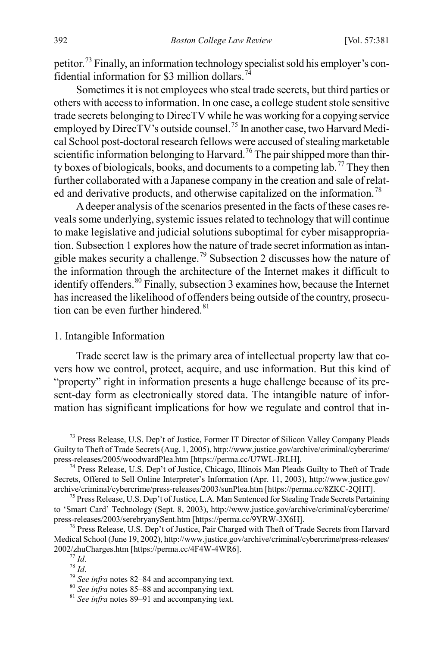petitor.[73](#page-12-0) Finally, an information technology specialist sold his employer's confidential information for \$3 million dollars.[74](#page-12-1)

Sometimes it is not employees who steal trade secrets, but third parties or others with access to information. In one case, a college student stole sensitive trade secrets belonging to DirecTV while he was working for a copying service employed by DirecTV's outside counsel.<sup>[75](#page-12-2)</sup> In another case, two Harvard Medical School post-doctoral research fellows were accused of stealing marketable scientific information belonging to Harvard.<sup>[76](#page-12-3)</sup> The pair shipped more than thir-ty boxes of biologicals, books, and documents to a competing lab.<sup>[77](#page-12-4)</sup> They then further collaborated with a Japanese company in the creation and sale of relat-ed and derivative products, and otherwise capitalized on the information.<sup>[78](#page-12-5)</sup>

A deeper analysis of the scenarios presented in the facts of these cases reveals some underlying, systemic issues related to technology that will continue to make legislative and judicial solutions suboptimal for cyber misappropriation. Subsection 1 explores how the nature of trade secret information as intan-gible makes security a challenge.<sup>[79](#page-12-6)</sup> Subsection 2 discusses how the nature of the information through the architecture of the Internet makes it difficult to identify offenders.[80](#page-12-7) Finally, subsection 3 examines how, because the Internet has increased the likelihood of offenders being outside of the country, prosecu-tion can be even further hindered.<sup>[81](#page-12-8)</sup>

#### 1. Intangible Information

Trade secret law is the primary area of intellectual property law that covers how we control, protect, acquire, and use information. But this kind of "property" right in information presents a huge challenge because of its present-day form as electronically stored data. The intangible nature of information has significant implications for how we regulate and control that in-

<span id="page-12-0"></span> $^{73}$  Press Release, U.S. Dep't of Justice, Former IT Director of Silicon Valley Company Pleads Guilty to Theft of Trade Secrets (Aug. 1, 2005), http://www.justice.gov/archive/criminal/cybercrime/<br>press-releases/2005/woodwardPlea.htm [https://perma.cc/U7WL-JRLH].

<span id="page-12-1"></span> $74$  Press-Release, U.S. Dep't of Justice, Chicago, Illinois Man Pleads Guilty to Theft of Trade Secrets, Offered to Sell Online Interpreter's Information (Apr. 11, 2003), http://www.justice.gov/ archive/criminal/cybercrime/press-releases/2003/sunPlea.htm [https://perma.cc/8ZKC-2QHT]. <sup>75</sup> Press Release, U.S. Dep't of Justice, L.A. Man Sentenced for Stealing Trade Secrets Pertaining

<span id="page-12-2"></span>to 'Smart Card' Technology (Sept. 8, 2003), http://www.justice.gov/archive/criminal/cybercrime/ press-releases/2003/serebryanySent.htm [https://perma.cc/9YRW-3X6H].<br><sup>76</sup> Press Release, U.S. Dep't of Justice, Pair Charged with Theft of Trade Secrets from Harvard

<span id="page-12-5"></span><span id="page-12-4"></span><span id="page-12-3"></span>Medical School (June 19, 2002), http://www.justice.gov/archive/criminal/cybercrime/press-releases/<br>2002/zhuCharges.htm [https://perma.cc/4F4W-4WR6].

<sup>&</sup>lt;sup>77</sup> *Id.*<br><sup>78</sup> *Id.*<br><sup>79</sup> *See infra* note[s 82–](#page-13-1)[84](#page-13-2) and accompanying text.<br><sup>80</sup> *See infra* note[s 85–](#page-13-0)[88](#page-14-2) and accompanying text.<br><sup>81</sup> *See infra* note[s 89–](#page-14-3)[91](#page-14-1) and accompanying text.

<span id="page-12-8"></span><span id="page-12-7"></span><span id="page-12-6"></span>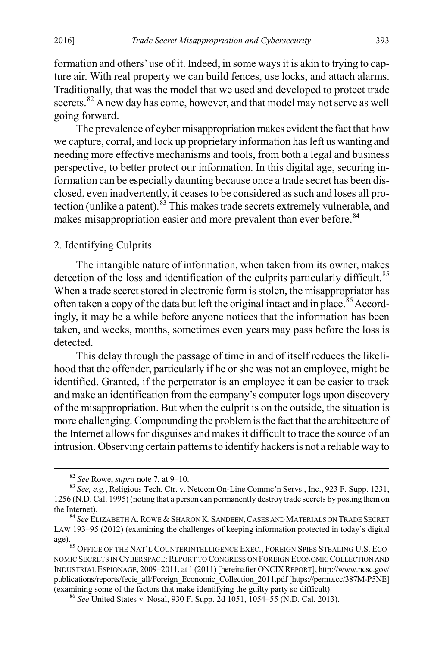formation and others' use of it. Indeed, in some ways it is akin to trying to capture air. With real property we can build fences, use locks, and attach alarms. Traditionally, that was the model that we used and developed to protect trade secrets.<sup>[82](#page-13-3)</sup> A new day has come, however, and that model may not serve as well going forward.

<span id="page-13-1"></span>The prevalence of cyber misappropriation makes evident the fact that how we capture, corral, and lock up proprietary information has left us wanting and needing more effective mechanisms and tools, from both a legal and business perspective, to better protect our information. In this digital age, securing information can be especially daunting because once a trade secret has been disclosed, even inadvertently, it ceases to be considered as such and loses all pro-tection (unlike a patent).<sup>[83](#page-13-4)</sup> This makes trade secrets extremely vulnerable, and makes misappropriation easier and more prevalent than ever before.<sup>[84](#page-13-5)</sup>

## <span id="page-13-2"></span>2. Identifying Culprits

<span id="page-13-0"></span>The intangible nature of information, when taken from its owner, makes detection of the loss and identification of the culprits particularly difficult.<sup>[85](#page-13-6)</sup> When a trade secret stored in electronic form is stolen, the misappropriator has often taken a copy of the data but left the original intact and in place.<sup>[86](#page-13-7)</sup> Accordingly, it may be a while before anyone notices that the information has been taken, and weeks, months, sometimes even years may pass before the loss is detected.

This delay through the passage of time in and of itself reduces the likelihood that the offender, particularly if he or she was not an employee, might be identified. Granted, if the perpetrator is an employee it can be easier to track and make an identification from the company's computer logs upon discovery of the misappropriation. But when the culprit is on the outside, the situation is more challenging. Compounding the problem is the fact that the architecture of the Internet allows for disguises and makes it difficult to trace the source of an intrusion. Observing certain patterns to identify hackers is not a reliable way to

<span id="page-13-4"></span><span id="page-13-3"></span><sup>&</sup>lt;sup>82</sup> *See* Rowe, *supra* not[e 7,](#page-2-9) at 9–10.<br><sup>83</sup> *See, e.g.*, Religious Tech. Ctr. v. Netcom On-Line Commc'n Servs., Inc., 923 F. Supp. 1231, 1256 (N.D. Cal. 1995) (noting that a person can permanently destroy trade secrets by posting them on

<span id="page-13-5"></span><sup>&</sup>lt;sup>84</sup> See ELIZABETH A. ROWE & SHARON K. SANDEEN, CASES AND MATERIALS ON TRADE SECRET LAW 193–95 (2012) (examining the challenges of keeping information protected in today's digital

<span id="page-13-6"></span>age).<br><sup>85</sup> OFFICE OF THE NAT'L COUNTERINTELLIGENCE EXEC., FOREIGN SPIES STEALING U.S. ECO-NOMIC SECRETS IN CYBERSPACE: REPORT TO CONGRESS ON FOREIGN ECONOMIC COLLECTION AND INDUSTRIAL ESPIONAGE, 2009–2011, at 1 (2011) [hereinafter ONCIXREPORT], http://www.ncsc.gov/ publications/reports/fecie\_all/Foreign\_Economic\_Collection\_2011.pdf [https://perma.cc/387M-P5NE] (examining some of the factors that make identifying the guilty party so difficult). <sup>86</sup> *See* United States v. Nosal, 930 F. Supp. 2d 1051, 1054–55 (N.D. Cal. 2013).

<span id="page-13-7"></span>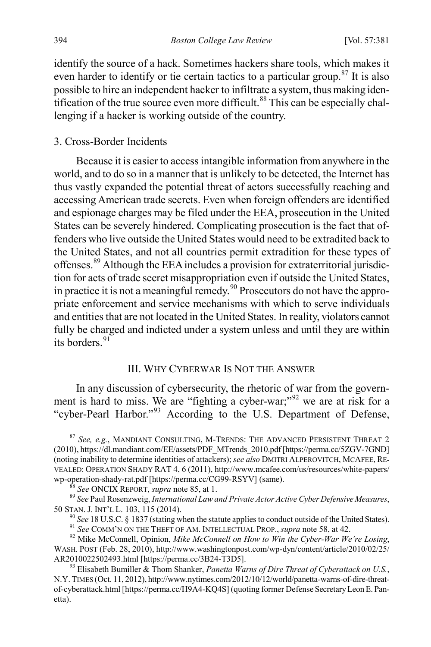<span id="page-14-11"></span>identify the source of a hack. Sometimes hackers share tools, which makes it even harder to identify or tie certain tactics to a particular group.<sup>[87](#page-14-4)</sup> It is also possible to hire an independent hacker to infiltrate a system, thus making iden-tification of the true source even more difficult.<sup>[88](#page-14-5)</sup> This can be especially challenging if a hacker is working outside of the country.

### <span id="page-14-2"></span>3. Cross-Border Incidents

<span id="page-14-3"></span>Because it is easier to accessintangible information from anywhere in the world, and to do so in a manner that is unlikely to be detected, the Internet has thus vastly expanded the potential threat of actors successfully reaching and accessing American trade secrets. Even when foreign offenders are identified and espionage charges may be filed under the EEA, prosecution in the United States can be severely hindered. Complicating prosecution is the fact that offenders who live outside the United States would need to be extradited back to the United States, and not all countries permit extradition for these types of offenses.[89](#page-14-6) Although the EEA includes a provision for extraterritorial jurisdiction for acts of trade secret misappropriation even if outside the United States, in practice it is not a meaningful remedy.<sup>[90](#page-14-7)</sup> Prosecutors do not have the appropriate enforcement and service mechanisms with which to serve individuals and entities that are not located in the United States. In reality, violators cannot fully be charged and indicted under a system unless and until they are within its borders.  $91$ 

### <span id="page-14-1"></span><span id="page-14-0"></span>III. WHY CYBERWAR IS NOT THE ANSWER

In any discussion of cybersecurity, the rhetoric of war from the govern-ment is hard to miss. We are "fighting a cyber-war;"<sup>[92](#page-14-9)</sup> we are at risk for a "cyber-Pearl Harbor."[93](#page-14-10) According to the U.S. Department of Defense,

<span id="page-14-4"></span> <sup>87</sup> *See, e.g.*, MANDIANT CONSULTING, M-TRENDS: THE ADVANCED PERSISTENT THREAT <sup>2</sup> (2010), https://dl.mandiant.com/EE/assets/PDF\_MTrends\_2010.pdf[https://perma.cc/5ZGV-7GND] (noting inability to determine identities of attackers); *see also* DMITRI ALPEROVITCH, MCAFEE, RE-VEALED: OPERATION SHADY RAT 4, 6 (2011), http://www.mcafee.com/us/resources/white-papers/

<span id="page-14-6"></span><span id="page-14-5"></span>wp-operation-shady-rat.pdf [https://perma.cc/CG99-RSYV] (same).<br>
<sup>88</sup> See ONCIX REPORT, *supra* not[e 85,](#page-13-0) at 1.<br>
<sup>89</sup> See Paul Rosenzweig, *International Law and Private Actor Active Cyber Defensive Measures*, 50 STAN. J.

<sup>&</sup>lt;sup>90</sup> See 18 U.S.C. § 1837 (stating when the statute applies to conduct outside of the United States).<br><sup>91</sup> See COMM'N ON THE THEFT OF AM. INTELLECTUAL PROP., *supra* not[e 58,](#page-9-4) at 42.<br><sup>92</sup> Mike McConnell, Opinion, *Mike McC* 

<span id="page-14-9"></span><span id="page-14-8"></span><span id="page-14-7"></span>WASH. POST (Feb. 28, 2010), http://www.washingtonpost.com/wp-dyn/content/article/2010/02/25/ AR2010022502493.html [https://perma.cc/3B24-T3D5]. <sup>93</sup> Elisabeth Bumiller & Thom Shanker, *Panetta Warns of Dire Threat of Cyberattack on U.S.*,

<span id="page-14-10"></span>N.Y. TIMES (Oct. 11, 2012), http://www.nytimes.com/2012/10/12/world/panetta-warns-of-dire-threatof-cyberattack.html [https://perma.cc/H9A4-KQ4S] (quoting former Defense Secretary Leon E. Panetta).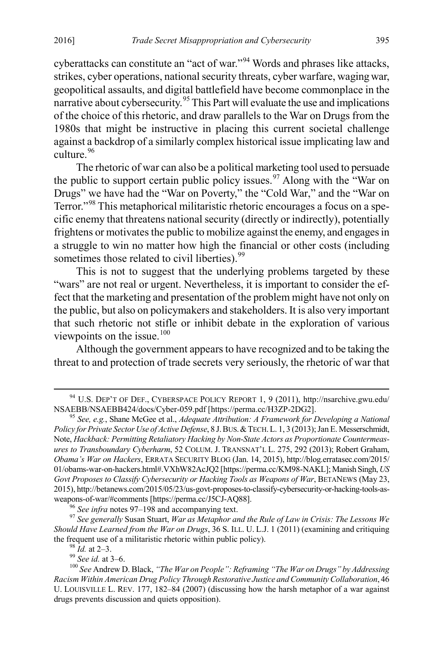<span id="page-15-8"></span>cyberattacks can constitute an "act of war."[94](#page-15-1) Words and phrases like attacks, strikes, cyber operations, national security threats, cyber warfare, waging war, geopolitical assaults, and digital battlefield have become commonplace in the narrative about cybersecurity.<sup>[95](#page-15-2)</sup> This Part will evaluate the use and implications of the choice of this rhetoric, and draw parallels to the War on Drugs from the 1980s that might be instructive in placing this current societal challenge against a backdrop of a similarly complex historical issue implicating law and culture.<sup>[96](#page-15-3)</sup>

<span id="page-15-0"></span>The rhetoric of war can also be a political marketing tool used to persuade the public to support certain public policy issues.<sup>[97](#page-15-4)</sup> Along with the "War on" Drugs" we have had the "War on Poverty," the "Cold War," and the "War on Terror."[98](#page-15-5) This metaphorical militaristic rhetoric encourages a focus on a specific enemy that threatens national security (directly or indirectly), potentially frightens or motivates the public to mobilize against the enemy, and engages in a struggle to win no matter how high the financial or other costs (including sometimes those related to civil liberties).<sup>[99](#page-15-6)</sup>

This is not to suggest that the underlying problems targeted by these "wars" are not real or urgent. Nevertheless, it is important to consider the effect that the marketing and presentation of the problem might have not only on the public, but also on policymakers and stakeholders. It is also very important that such rhetoric not stifle or inhibit debate in the exploration of various viewpoints on the issue.<sup>[100](#page-15-7)</sup>

<span id="page-15-9"></span>Although the government appears to have recognized and to be taking the threat to and protection of trade secrets very seriously, the rhetoric of war that

<span id="page-15-4"></span><span id="page-15-3"></span><sup>96</sup> See infra note[s 97–](#page-15-0)[198](#page-28-0) and accompanying text. <sup>97</sup> See generally Susan Stuart, *War as Metaphor and the Rule of Law in Crisis: The Lessons We Should Have Learned from the War on Drugs*, 36 S. ILL. U. L.J. 1 (2011) (examining and critiquing the frequent use of a militaristic rhetoric within public policy).<br><sup>98</sup> *Id.* at 2–3.<br><sup>99</sup> *See id.* at 3–6.<br><sup>100</sup> *See* Andrew D. Black, *"The War on People": Reframing "The War on Drugs" by Addressing* 

<span id="page-15-1"></span><sup>&</sup>lt;sup>94</sup> U.S. DEP'T OF DEF., CYBERSPACE POLICY REPORT 1, 9 (2011), http://nsarchive.gwu.edu/<br>NSAEBB/NSAEBB424/docs/Cyber-059.pdf [https://perma.cc/H3ZP-2DG2].

<span id="page-15-2"></span><sup>&</sup>lt;sup>95</sup> See, e.g., Shane McGee et al., *Adequate Attribution: A Framework for Developing a National Policy for Private Sector Use of Active Defense*, 8 J.BUS.&TECH.L. 1, 3 (2013); Jan E. Messerschmidt, Note, *Hackback: Permitting Retaliatory Hacking by Non-State Actors as Proportionate Countermeasures to Transboundary Cyberharm*, 52 COLUM. J. TRANSNAT'L L. 275, 292 (2013); Robert Graham, *Obama's War on Hackers*, ERRATA SECURITY BLOG (Jan. 14, 2015), http://blog.erratasec.com/2015/ 01/obams-war-on-hackers.html#.VXhW82AcJQ2 [https://perma.cc/KM98-NAKL]; Manish Singh, *US Govt Proposes to Classify Cybersecurity or Hacking Tools as Weapons of War*, BETANEWS (May 23, 2015), http://betanews.com/2015/05/23/us-govt-proposes-to-classify-cybersecurity-or-hacking-tools-as-

<span id="page-15-7"></span><span id="page-15-6"></span><span id="page-15-5"></span>*Racism Within American Drug Policy Through Restorative Justice and Community Collaboration*, 46 U. LOUISVILLE L. REV. 177, 182–84 (2007) (discussing how the harsh metaphor of a war against drugs prevents discussion and quiets opposition).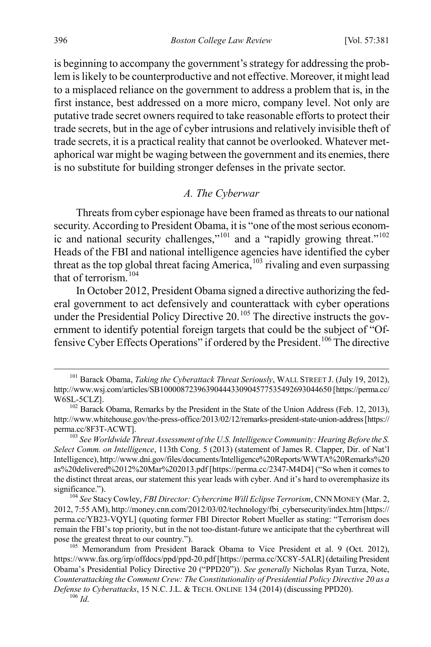is beginning to accompany the government's strategy for addressing the problem is likely to be counterproductive and not effective. Moreover, it might lead to a misplaced reliance on the government to address a problem that is, in the first instance, best addressed on a more micro, company level. Not only are putative trade secret owners required to take reasonable efforts to protect their trade secrets, but in the age of cyber intrusions and relatively invisible theft of trade secrets, it is a practical reality that cannot be overlooked. Whatever metaphorical war might be waging between the government and its enemies, there is no substitute for building stronger defenses in the private sector.

# <span id="page-16-6"></span>*A. The Cyberwar*

Threats from cyber espionage have been framed as threats to our national security. According to President Obama, it is "one of the most serious econom-ic and national security challenges,"<sup>[101](#page-16-0)</sup> and a "rapidly growing threat."<sup>[102](#page-16-1)</sup> Heads of the FBI and national intelligence agencies have identified the cyber threat as the top global threat facing America,<sup>[103](#page-16-2)</sup> rivaling and even surpassing that of terrorism.<sup>[104](#page-16-3)</sup>

In October 2012, President Obama signed a directive authorizing the federal government to act defensively and counterattack with cyber operations under the Presidential Policy Directive  $20^{105}$  $20^{105}$  $20^{105}$  The directive instructs the government to identify potential foreign targets that could be the subject of "Of-fensive Cyber Effects Operations" if ordered by the President.<sup>[106](#page-16-5)</sup> The directive

<span id="page-16-0"></span> <sup>101</sup> Barack Obama, *Taking the Cyberattack Threat Seriously*, WALL STREET J. (July 19, 2012), http://www.wsj.com/articles/SB10000872396390444330904577535492693044650 [https://perma.cc/ W6SL-5CLZ].<br><sup>102</sup> Barack Obama, Remarks by the President in the State of the Union Address (Feb. 12, 2013),

<span id="page-16-1"></span>http://www.whitehouse.gov/the-press-office/2013/02/12/remarks-president-state-union-address [https:// perma.cc/8F3T-ACWT].<br><sup>103</sup> *See Worldwide Threat Assessment of the U.S. Intelligence Community: Hearing Before the S.* 

<span id="page-16-2"></span>*Select Comm. on Intelligence*, 113th Cong. 5 (2013) (statement of James R. Clapper, Dir. of Nat'l Intelligence), http://www.dni.gov/files/documents/Intelligence%20Reports/WWTA%20Remarks%20 as%20delivered%2012%20Mar%202013.pdf [https://perma.cc/2347-M4D4] ("So when it comes to the distinct threat areas, our statement this year leads with cyber. And it's hard to overemphasize its significance."). <sup>104</sup> *See* Stacy Cowley, *FBI Director: Cybercrime Will Eclipse Terrorism*, CNN MONEY (Mar. 2,

<span id="page-16-3"></span><sup>2012, 7:55</sup> AM), http://money.cnn.com/2012/03/02/technology/fbi\_cybersecurity/index.htm [https:// perma.cc/YB23-VQYL] (quoting former FBI Director Robert Mueller as stating: "Terrorism does remain the FBI's top priority, but in the not too-distant-future we anticipate that the cyberthreat will pose the greatest threat to our country.").

<span id="page-16-5"></span><span id="page-16-4"></span><sup>&</sup>lt;sup>105</sup> Memorandum from President Barack Obama to Vice President et al. 9 (Oct. 2012), https://www.fas.org/irp/offdocs/ppd/ppd-20.pdf [https://perma.cc/XC8Y-5ALR] (detailing President Obama's Presidential Policy Directive 20 ("PPD20")). *See generally* Nicholas Ryan Turza, Note, *Counterattacking the Comment Crew: The Constitutionality of Presidential Policy Directive 20 as a Defense to Cyberattacks*, 15 N.C. J.L. & TECH. ONLINE 134 (2014) (discussing PPD20). <sup>106</sup> *Id*.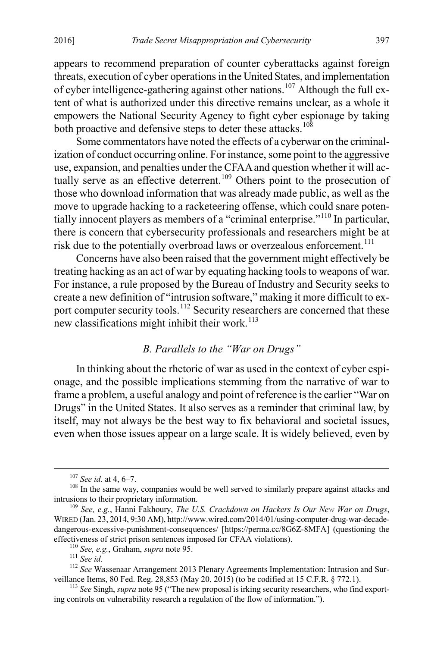appears to recommend preparation of counter cyberattacks against foreign threats, execution of cyber operations in the United States, and implementation of cyber intelligence-gathering against other nations.<sup>[107](#page-17-0)</sup> Although the full extent of what is authorized under this directive remains unclear, as a whole it empowers the National Security Agency to fight cyber espionage by taking both proactive and defensive steps to deter these attacks.<sup>108</sup>

Some commentators have noted the effects of a cyberwar on the criminalization of conduct occurring online. For instance, some point to the aggressive use, expansion, and penalties under the CFAAand question whether it will ac-tually serve as an effective deterrent.<sup>[109](#page-17-2)</sup> Others point to the prosecution of those who download information that was already made public, as well as the move to upgrade hacking to a racketeering offense, which could snare poten-tially innocent players as members of a "criminal enterprise."<sup>[110](#page-17-3)</sup> In particular, there is concern that cybersecurity professionals and researchers might be at risk due to the potentially overbroad laws or overzealous enforcement.<sup>[111](#page-17-4)</sup>

Concerns have also been raised that the government might effectively be treating hacking as an act of war by equating hacking tools to weapons of war. For instance, a rule proposed by the Bureau of Industry and Security seeks to create a new definition of "intrusion software," making it more difficult to ex-port computer security tools.<sup>[112](#page-17-5)</sup> Security researchers are concerned that these new classifications might inhibit their work.<sup>[113](#page-17-6)</sup>

### *B. Parallels to the "War on Drugs"*

In thinking about the rhetoric of war as used in the context of cyber espionage, and the possible implications stemming from the narrative of war to frame a problem, a useful analogy and point of reference is the earlier "War on Drugs" in the United States. It also serves as a reminder that criminal law, by itself, may not always be the best way to fix behavioral and societal issues, even when those issues appear on a large scale. It is widely believed, even by

<span id="page-17-1"></span><span id="page-17-0"></span><sup>&</sup>lt;sup>107</sup> *See id.* at 4, 6–7.  $\frac{108}{108}$  In the same way, companies would be well served to similarly prepare against attacks and intrusions to their proprietary information.

<span id="page-17-2"></span><sup>&</sup>lt;sup>109</sup> See, e.g., Hanni Fakhoury, *The U.S. Crackdown on Hackers Is Our New War on Drugs*, WIRED (Jan. 23, 2014, 9:30 AM), http://www.wired.com/2014/01/using-computer-drug-war-decadedangerous-excessive-punishment-consequences/ [https://perma.cc/8G6Z-8MFA] (questioning the effectiveness of strict prison sentences imposed for CFAA violations).

<span id="page-17-5"></span><span id="page-17-4"></span><span id="page-17-3"></span><sup>&</sup>lt;sup>110</sup> See, e.g., Graham, *supra* not[e 95.](#page-15-8)<br><sup>111</sup> See id.<br><sup>112</sup> See Wassenaar Arrangement 2013 Plenary Agreements Implementation: Intrusion and Surveillance Items, 80 Fed. Reg. 28,853 (May 20, 2015) (to be codified at 15 C.

<span id="page-17-6"></span><sup>&</sup>lt;sup>113</sup> See Singh, *supra* not[e 95](#page-15-8) ("The new proposal is irking security researchers, who find exporting controls on vulnerability research a regulation of the flow of information.").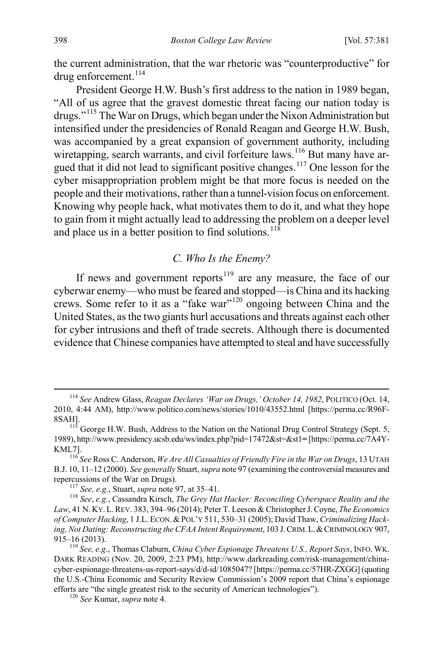the current administration, that the war rhetoric was "counterproductive" for drug enforcement.<sup>[114](#page-18-0)</sup>

President George H.W. Bush's first address to the nation in 1989 began, "All of us agree that the gravest domestic threat facing our nation today is drugs."[115](#page-18-1) The War on Drugs, which began under the Nixon Administration but intensified under the presidencies of Ronald Reagan and George H.W. Bush, was accompanied by a great expansion of government authority, including wiretapping, search warrants, and civil forfeiture laws.<sup>[116](#page-18-2)</sup> But many have argued that it did not lead to significant positive changes.[117](#page-18-3) One lesson for the cyber misappropriation problem might be that more focus is needed on the people and their motivations, rather than a tunnel-vision focus on enforcement. Knowing why people hack, what motivates them to do it, and what they hope to gain from it might actually lead to addressing the problem on a deeper level and place us in a better position to find solutions.<sup>[118](#page-18-4)</sup>

#### <span id="page-18-8"></span><span id="page-18-7"></span>*C. Who Is the Enemy?*

If news and government reports<sup>[119](#page-18-5)</sup> are any measure, the face of our cyberwar enemy—who must be feared and stopped—is China and its hacking crews. Some refer to it as a "fake war"[120](#page-18-6) ongoing between China and the United States, as the two giants hurl accusations and threats against each other for cyber intrusions and theft of trade secrets. Although there is documented evidence that Chinese companies have attempted to steal and have successfully

<span id="page-18-0"></span> <sup>114</sup> *See* Andrew Glass, *Reagan Declares 'War on Drugs,' October 14, 1982*, POLITICO (Oct. 14, 2010, 4:44 AM), http://www.politico.com/news/stories/1010/43552.html [https://perma.cc/R96F-8SAH].<br><sup>115</sup> George H.W. Bush, Address to the Nation on the National Drug Control Strategy (Sept. 5,

<span id="page-18-1"></span><sup>1989),</sup> http://www.presidency.ucsb.edu/ws/index.php?pid=17472&st=&st1**=** [https://perma.cc/7A4Y-KML7]. <sup>116</sup> *See* Ross C. Anderson, *We Are All Casualties of Friendly Fire in the War on Drugs*, 13 UTAH

<span id="page-18-2"></span>B.J. 10, 11–12 (2000). *See generally* Stuart, *supra* not[e 97](#page-15-0) (examining the controversial measures and repercussions of the War on Drugs).<br><sup>117</sup> *See, e.g.*, Stuart, *supra* not[e 97,](#page-15-0) at 35–41.<br><sup>118</sup> *See, e.g.*, Cassandra Kirsch, *The Grey Hat Hacker: Reconciling Cyberspace Reality and the* 

<span id="page-18-4"></span><span id="page-18-3"></span>*Law*, 41 N. KY. L.REV. 383, 394–96 (2014); Peter T. Leeson & Christopher J. Coyne, *The Economics*  of Computer Hacking, 1 J.L. ECON. & POL'Y 511, 530-31 (2005); David Thaw, *Criminalizing Hacking, Not Dating: Reconstructing the CFAA Intent Requirement*, 103 J.CRIM.L.&CRIMINOLOGY 907, 915–16 (2013).

<span id="page-18-6"></span><span id="page-18-5"></span><sup>119</sup> *See, e.g*., Thomas Claburn, *China Cyber Espionage Threatens U.S., Report Says*, INFO. WK. DARK READING (Nov. 20, 2009, 2:23 PM), http://www.darkreading.com/risk-management/chinacyber-espionage-threatens-us-report-says/d/d-id/1085047? [https://perma.cc/57HR-ZXGG] (quoting the U.S.-China Economic and Security Review Commission's 2009 report that China's espionage efforts are "the single greatest risk to the security of American technologies"). <sup>120</sup> *See* Kumar, *supra* not[e 4.](#page-2-10)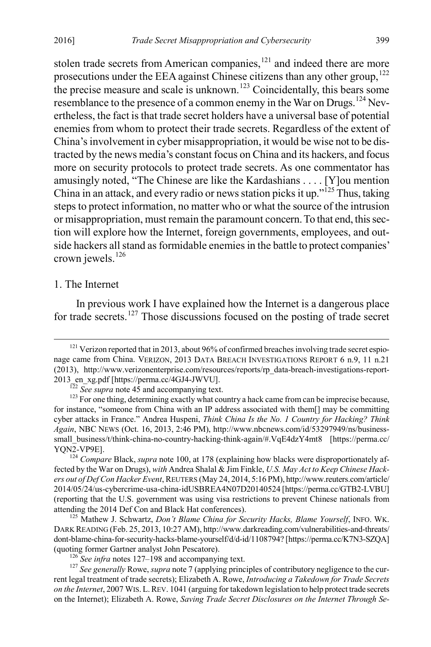<span id="page-19-8"></span>stolen trade secrets from American companies, $121$  and indeed there are more prosecutions under the EEA against Chinese citizens than any other group,<sup>[122](#page-19-2)</sup> the precise measure and scale is unknown.<sup>[123](#page-19-3)</sup> Coincidentally, this bears some resemblance to the presence of a common enemy in the War on Drugs.<sup>[124](#page-19-4)</sup> Nevertheless, the fact is that trade secret holders have a universal base of potential enemies from whom to protect their trade secrets. Regardless of the extent of China's involvement in cyber misappropriation, it would be wise not to be distracted by the news media's constant focus on China and its hackers, and focus more on security protocols to protect trade secrets. As one commentator has amusingly noted, "The Chinese are like the Kardashians . . . . [Y]ou mention China in an attack, and every radio or news station picks it up."<sup>[125](#page-19-5)</sup> Thus, taking steps to protect information, no matter who or what the source of the intrusion or misappropriation, must remain the paramount concern. To that end, this section will explore how the Internet, foreign governments, employees, and outside hackers all stand as formidable enemies in the battle to protect companies' crown jewels.[126](#page-19-6)

### <span id="page-19-9"></span>1. The Internet

<span id="page-19-0"></span>In previous work I have explained how the Internet is a dangerous place for trade secrets.<sup>[127](#page-19-7)</sup> Those discussions focused on the posting of trade secret

<span id="page-19-1"></span> $121$  Verizon reported that in 2013, about 96% of confirmed breaches involving trade secret espionage came from China. VERIZON, 2013 DATA BREACH INVESTIGATIONS REPORT 6 n.9, 11 n.21 (2013), http://www.verizonenterprise.com/resources/reports/rp\_data-breach-investigations-report-2013\_en\_xg.pdf [https://perma.cc/4GJ4-JWVU].<br><sup>122</sup> *See supra* not[e 45](#page-8-12) and accompanying text. 1<sup>23</sup> For one thing, determining exactly what country a hack came from can be imprecise because,

<span id="page-19-3"></span><span id="page-19-2"></span>for instance, "someone from China with an IP address associated with them[] may be committing cyber attacks in France." Andrea Huspeni, *Think China Is the No. 1 Country for Hacking? Think Again*, NBC NEWS (Oct. 16, 2013, 2:46 PM), http://www.nbcnews.com/id/53297949/ns/businesssmall\_business/t/think-china-no-country-hacking-think-again/#.VqE4dzY4mt8 [https://perma.cc/ YQN2-VP9E]. <sup>124</sup> *Compare* Black, *supra* not[e 100,](#page-15-9) at 178 (explaining how blacks were disproportionately af-

<span id="page-19-4"></span>fected by the War on Drugs), *with* Andrea Shalal & Jim Finkle, *U.S. May Act to Keep Chinese Hackers out of Def Con Hacker Event*, REUTERS (May 24, 2014, 5:16 PM), http://www.reuters.com/article/ 2014/05/24/us-cybercrime-usa-china-idUSBREA4N07D20140524 [https://perma.cc/GTB2-LVBU] (reporting that the U.S. government was using visa restrictions to prevent Chinese nationals from attending the 2014 Def Con and Black Hat conferences). <sup>125</sup> Mathew J. Schwartz, *Don't Blame China for Security Hacks, Blame Yourself*, INFO. WK.

<span id="page-19-5"></span>DARK READING (Feb. 25, 2013, 10:27 AM), http://www.darkreading.com/vulnerabilities-and-threats/ dont-blame-china-for-security-hacks-blame-yourself/d/d-id/1108794? [https://perma.cc/K7N3-SZQA] (quoting former Gartner analyst John Pescatore).

<span id="page-19-7"></span><span id="page-19-6"></span><sup>&</sup>lt;sup>126</sup> *See infra* notes [127–](#page-19-0)[198](#page-28-0) and accompanying text.<br><sup>127</sup> *See generally* Rowe, *supra* not[e 7](#page-2-9) (applying principles of contributory negligence to the current legal treatment of trade secrets); Elizabeth A. Rowe, *Introducing a Takedown for Trade Secrets on the Internet*, 2007 WIS. L.REV. 1041 (arguing for takedown legislation to help protect trade secrets on the Internet); Elizabeth A. Rowe, *Saving Trade Secret Disclosures on the Internet Through Se-*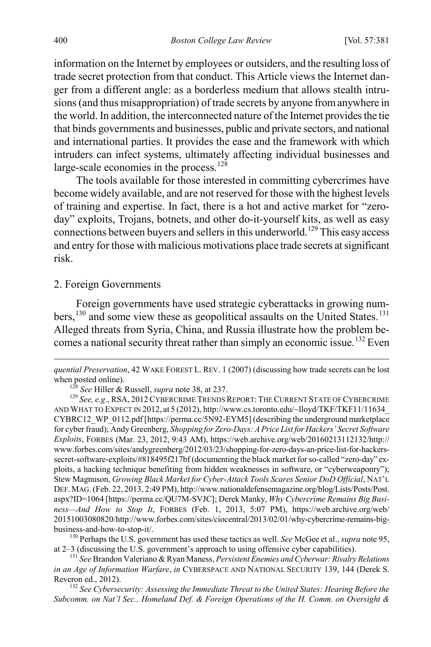information on the Internet by employees or outsiders, and the resulting loss of trade secret protection from that conduct. This Article views the Internet danger from a different angle: as a borderless medium that allows stealth intrusions (and thus misappropriation) of trade secrets by anyone from anywhere in the world. In addition, the interconnected nature of the Internet provides the tie that binds governments and businesses, public and private sectors, and national and international parties. It provides the ease and the framework with which intruders can infect systems, ultimately affecting individual businesses and large-scale economies in the process.<sup>[128](#page-20-1)</sup>

The tools available for those interested in committing cybercrimes have become widely available, and are not reserved for those with the highest levels of training and expertise. In fact, there is a hot and active market for "zeroday" exploits, Trojans, botnets, and other do-it-yourself kits, as well as easy connections between buyers and sellers in this underworld.<sup>129</sup> This easy access and entry for those with malicious motivations place trade secrets at significant risk.

#### 2. Foreign Governments

 $\overline{a}$ 

<span id="page-20-0"></span>Foreign governments have used strategic cyberattacks in growing numbers,  $^{130}$  $^{130}$  $^{130}$  and some view these as geopolitical assaults on the United States.  $^{131}$  $^{131}$  $^{131}$ Alleged threats from Syria, China, and Russia illustrate how the problem be-comes a national security threat rather than simply an economic issue.<sup>[132](#page-20-5)</sup> Even

<span id="page-20-3"></span>business-and-how-to-stop-it/. <sup>130</sup> Perhaps the U.S. government has used these tactics as well. *See* McGee et al., *supra* not[e 95,](#page-15-8) at 2–3 (discussing the U.S. government's approach to using offensive cyber capabilities).

<span id="page-20-4"></span><sup>131</sup> *See* Brandon Valeriano & Ryan Maness, *Persistent Enemies and Cyberwar: Rivalry Relations in an Age of Information Warfare*, *in* CYBERSPACE AND NATIONAL SECURITY 139, 144 (Derek S. Reveron ed., 2012).<br><sup>132</sup> *See Cybersecurity: Assessing the Immediate Threat to the United States: Hearing Before the* 

<span id="page-20-5"></span>*Subcomm. on Nat'l Sec., Homeland Def. & Foreign Operations of the H. Comm. on Oversight &* 

*quential Preservation*, 42 WAKE FOREST L. REV. 1 (2007) (discussing how trade secrets can be lost when posted online).<br><sup>128</sup> *See* Hiller & Russell, *supra* not[e 38,](#page-7-10) at 237. <sup>129</sup> *See, e.g.*, RSA, 2012 CYBERCRIME TRENDS REPORT: THE CURRENT STATE OF CYBERCRIME

<span id="page-20-2"></span><span id="page-20-1"></span>AND WHAT TO EXPECT IN 2012, at 5 (2012), http://www.cs.toronto.edu/~lloyd/TKF/TKF11/11634\_ CYBRC12\_WP\_0112.pdf [https://perma.cc/5N92-EYM5] (describing the underground marketplace for cyber fraud); Andy Greenberg, *Shopping for Zero-Days: A Price List for Hackers' Secret Software Exploits*, FORBES (Mar. 23, 2012, 9:43 AM), https://web.archive.org/web/20160213112132/http:// www.forbes.com/sites/andygreenberg/2012/03/23/shopping-for-zero-days-an-price-list-for-hackerssecret-software-exploits/#818495f217bf (documenting the black market for so-called "zero-day" exploits, a hacking technique benefiting from hidden weaknesses in software, or "cyberweaponry"); Stew Magnuson, *Growing Black Market for Cyber-Attack Tools Scares Senior DoD Official*, NAT'L DEF. MAG. (Feb. 22, 2013, 2:49 PM), http://www.nationaldefensemagazine.org/blog/Lists/Posts/Post. aspx?ID=1064 [https://perma.cc/QU7M-SVJC]; Derek Manky, *Why Cybercrime Remains Big Business—And How to Stop It*, FORBES (Feb. 1, 2013, 5:07 PM), https://web.archive.org/web/ 20151003080820/http://www.forbes.com/sites/ciocentral/2013/02/01/why-cybercrime-remains-big-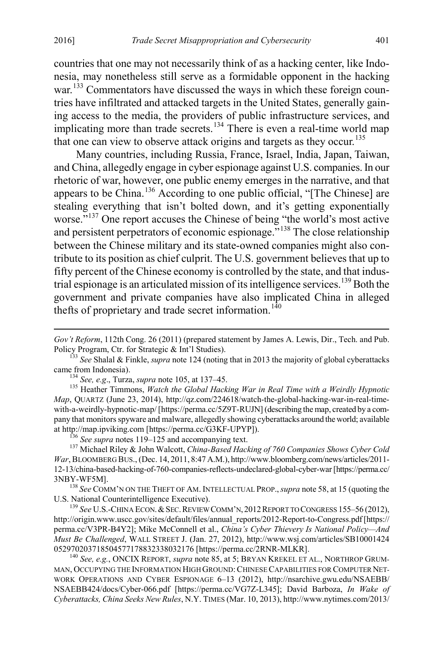$\overline{a}$ 

countries that one may not necessarily think of as a hacking center, like Indonesia, may nonetheless still serve as a formidable opponent in the hacking war.<sup>133</sup> Commentators have discussed the ways in which these foreign countries have infiltrated and attacked targets in the United States, generally gaining access to the media, the providers of public infrastructure services, and implicating more than trade secrets.<sup>[134](#page-21-1)</sup> There is even a real-time world map that one can view to observe attack origins and targets as they occur.<sup>[135](#page-21-2)</sup>

Many countries, including Russia, France, Israel, India, Japan, Taiwan, and China, allegedly engage in cyber espionage against U.S. companies. In our rhetoric of war, however, one public enemy emerges in the narrative, and that appears to be China.<sup>[136](#page-21-3)</sup> According to one public official, "[The Chinese] are stealing everything that isn't bolted down, and it's getting exponentially worse."<sup>[137](#page-21-4)</sup> One report accuses the Chinese of being "the world's most active and persistent perpetrators of economic espionage."<sup>[138](#page-21-5)</sup> The close relationship between the Chinese military and its state-owned companies might also contribute to its position as chief culprit. The U.S. government believes that up to fifty percent of the Chinese economy is controlled by the state, and that indus-trial espionage is an articulated mission of its intelligence services.<sup>[139](#page-21-6)</sup> Both the government and private companies have also implicated China in alleged thefts of proprietary and trade secret information.<sup>[140](#page-21-7)</sup>

<span id="page-21-8"></span>

<span id="page-21-2"></span><span id="page-21-1"></span><sup>134</sup> *See, e.g.*, Turza, *supra* not[e 105,](#page-16-6) at 137–45. *135 Agostalian in Real Time with a Weirdly Hypnotic 135* Heather Timmons, *Watch the Global Hacking War in Real Time with a Weirdly Hypnotic Map*, QUARTZ (June 23, 2014), http://qz.com/224618/watch-the-global-hacking-war-in-real-timewith-a-weirdly-hypnotic-map/ [https://perma.cc/5Z9T-RUJN] (describing the map, created by a company that monitors spyware and malware, allegedly showing cyberattacks around the world; available at http://map.ipviking.com [https://perma.cc/G3KF-UPYP]).<br><sup>136</sup> *See supra* note[s 119](#page-18-7)[–125](#page-19-9) and accompanying text.<br><sup>137</sup> Michael Riley & John Walcott, *China-Based Hacking of 760 Companies Shows Cyber Cold* 

<span id="page-21-4"></span><span id="page-21-3"></span>*War*, BLOOMBERG BUS., (Dec. 14, 2011, 8:47 A.M.), http://www.bloomberg.com/news/articles/2011- 12-13/china-based-hacking-of-760-companies-reflects-undeclared-global-cyber-war [https://perma.cc/

<span id="page-21-5"></span>3NBY-WF5M]. <sup>138</sup> *See* COMM'N ON THE THEFT OF AM. INTELLECTUAL PROP.,*supra* not[e 58,](#page-9-4) at 15 (quoting the

<span id="page-21-6"></span><sup>139</sup> See U.S.-CHINA ECON. & SEC. REVIEW COMM'N, 2012 REPORT TO CONGRESS 155–56 (2012), http://origin.www.uscc.gov/sites/default/files/annual\_reports/2012-Report-to-Congress.pdf [https:// perma.cc/V3PR-B4Y2]; Mike McConnell et al., *China's Cyber Thievery Is National Policy—And Must Be Challenged*, WALL STREET J. (Jan. 27, 2012), http://www.wsj.com/articles/SB10001424

<span id="page-21-7"></span><sup>140</sup> See, e.g., ONCIX REPORT, *supra* note [85,](#page-13-0) at 5; BRYAN KREKEL ET AL., NORTHROP GRUM-MAN, OCCUPYING THE INFORMATION HIGH GROUND:CHINESE CAPABILITIES FOR COMPUTER NET-WORK OPERATIONS AND CYBER ESPIONAGE 6–13 (2012), http://nsarchive.gwu.edu/NSAEBB/ NSAEBB424/docs/Cyber-066.pdf [https://perma.cc/VG7Z-L345]; David Barboza, *In Wake of Cyberattacks, China Seeks New Rules*, N.Y. TIMES (Mar. 10, 2013), http://www.nytimes.com/2013/

*Gov't Reform*, 112th Cong. 26 (2011) (prepared statement by James A. Lewis, Dir., Tech. and Pub. Policy Program, Ctr. for Strategic & Int'l Studies).

<span id="page-21-0"></span><sup>&</sup>lt;sup>133</sup> See Shalal & Finkle, *supra* not[e 124](#page-19-8) (noting that in 2013 the majority of global cyberattacks came from Indonesia).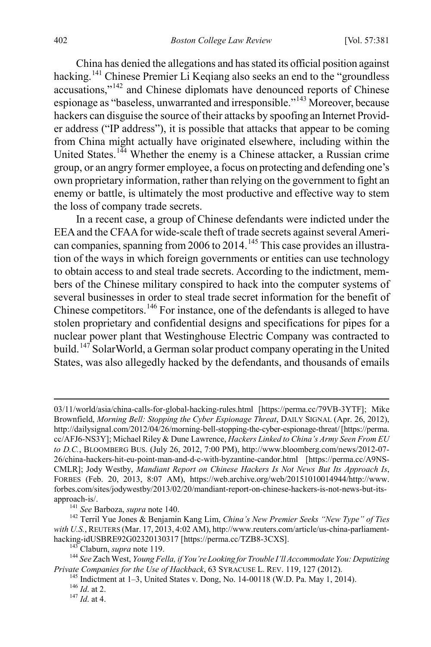China has denied the allegations and has stated its official position against hacking.<sup>[141](#page-22-0)</sup> Chinese Premier Li Keqiang also seeks an end to the "groundless" accusations,"[142](#page-22-1) and Chinese diplomats have denounced reports of Chinese espionage as "baseless, unwarranted and irresponsible."[143](#page-22-2) Moreover, because hackers can disguise the source of their attacks by spoofing an Internet Provider address ("IP address"), it is possible that attacks that appear to be coming from China might actually have originated elsewhere, including within the United States.<sup>[144](#page-22-3)</sup> Whether the enemy is a Chinese attacker, a Russian crime group, or an angry former employee, a focus on protecting and defending one's own proprietary information, rather than relying on the government to fight an enemy or battle, is ultimately the most productive and effective way to stem the loss of company trade secrets.

<span id="page-22-7"></span>In a recent case, a group of Chinese defendants were indicted under the EEA and the CFAA for wide-scale theft of trade secrets against several Ameri-can companies, spanning from 2006 to 2014.<sup>[145](#page-22-4)</sup> This case provides an illustration of the ways in which foreign governments or entities can use technology to obtain access to and steal trade secrets. According to the indictment, members of the Chinese military conspired to hack into the computer systems of several businesses in order to steal trade secret information for the benefit of Chinese competitors.[146](#page-22-5) For instance, one of the defendants is alleged to have stolen proprietary and confidential designs and specifications for pipes for a nuclear power plant that Westinghouse Electric Company was contracted to build.<sup>[147](#page-22-6)</sup> SolarWorld, a German solar product company operating in the United States, was also allegedly hacked by the defendants, and thousands of emails

 <sup>03/11/</sup>world/asia/china-calls-for-global-hacking-rules.html [https://perma.cc/79VB-3YTF]; Mike Brownfield, *Morning Bell: Stopping the Cyber Espionage Threat*, DAILY SIGNAL (Apr. 26, 2012), http://dailysignal.com/2012/04/26/morning-bell-stopping-the-cyber-espionage-threat/ [https://perma. cc/AFJ6-NS3Y]; Michael Riley & Dune Lawrence, *Hackers Linked to China's Army Seen From EU to D.C.*, BLOOMBERG BUS. (July 26, 2012, 7:00 PM), http://www.bloomberg.com/news/2012-07- 26/china-hackers-hit-eu-point-man-and-d-c-with-byzantine-candor.html [https://perma.cc/A9NS-CMLR]; Jody Westby, *Mandiant Report on Chinese Hackers Is Not News But Its Approach Is*, FORBES (Feb. 20, 2013, 8:07 AM), https://web.archive.org/web/20151010014944/http://www. forbes.com/sites/jodywestby/2013/02/20/mandiant-report-on-chinese-hackers-is-not-news-but-itsapproach-is/.<br><sup>141</sup> *See* Barboza, *supra* note 140.<br><sup>142</sup> Terril Yue Jones & Benjamin Kang Lim, *China's New Premier Seeks "New Type" of Ties* 

<span id="page-22-1"></span><span id="page-22-0"></span>with U.S., REUTERS (Mar. 17, 2013, 4:02 AM), http://www.reuters.com/article/us-china-parliament-hacking-idUSBRE92G02320130317 [https://perma.cc/TZB8-3CXS].

<span id="page-22-4"></span><span id="page-22-3"></span><span id="page-22-2"></span><sup>&</sup>lt;sup>143</sup> Claburn, *supra* note 119.<br><sup>144</sup> See Zach West, *Young Fella, if You're Looking for Trouble I'll Accommodate You: Deputizing Private Companies for the Use of Hackback, 63 SYRACUSE L. REV. 119, 127 (2012).* 

<span id="page-22-6"></span><span id="page-22-5"></span><sup>&</sup>lt;sup>145</sup> Indictment at 1–3, United States v. Dong, No. 14-00118 (W.D. Pa. May 1, 2014). <sup>146</sup> *Id.* at 2. <sup>147</sup> *Id.* at 4.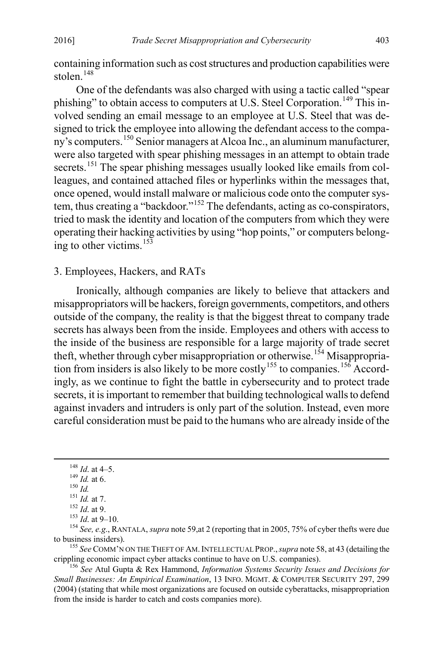containing information such as cost structures and production capabilities were stolen.<sup>[148](#page-23-1)</sup>

One of the defendants was also charged with using a tactic called "spear phishing" to obtain access to computers at U.S. Steel Corporation.<sup>[149](#page-23-2)</sup> This involved sending an email message to an employee at U.S. Steel that was designed to trick the employee into allowing the defendant access to the company's computers.[150](#page-23-3) Senior managers at Alcoa Inc., an aluminum manufacturer, were also targeted with spear phishing messages in an attempt to obtain trade secrets.<sup>[151](#page-23-4)</sup> The spear phishing messages usually looked like emails from colleagues, and contained attached files or hyperlinks within the messages that, once opened, would install malware or malicious code onto the computer system, thus creating a "backdoor."[152](#page-23-5) The defendants, acting as co-conspirators, tried to mask the identity and location of the computers from which they were operating their hacking activities by using "hop points," or computers belong-ing to other victims.<sup>[153](#page-23-6)</sup>

# 3. Employees, Hackers, and RATs

<span id="page-23-0"></span>Ironically, although companies are likely to believe that attackers and misappropriators will be hackers, foreign governments, competitors, and others outside of the company, the reality is that the biggest threat to company trade secrets has always been from the inside. Employees and others with access to the inside of the business are responsible for a large majority of trade secret the fit, whether through cyber misappropriation or otherwise.<sup>[154](#page-23-7)</sup> Misappropria-tion from insiders is also likely to be more costly<sup>[155](#page-23-8)</sup> to companies.<sup>[156](#page-23-9)</sup> Accordingly, as we continue to fight the battle in cybersecurity and to protect trade secrets, it is important to remember that building technological walls to defend against invaders and intruders is only part of the solution. Instead, even more careful consideration must be paid to the humans who are already inside of the

<span id="page-23-5"></span><span id="page-23-4"></span><span id="page-23-3"></span><span id="page-23-2"></span><span id="page-23-1"></span><sup>148</sup> *Id.* at 4–5.<br>
<sup>149</sup> *Id.* at 6.<br>
<sup>150</sup> *Id.* at 7.<br>
<sup>151</sup> *Id.* at 7.<br>
<sup>152</sup> *Id.* at 9.<br>
<sup>152</sup> *Id.* at 9-10.<br>
<sup>154</sup> *See, e.g.*, RANTALA, *supra* note 59, at 2 (reporting that in 2005, 75% of cyber thefts were du

<span id="page-23-8"></span><span id="page-23-7"></span><span id="page-23-6"></span><sup>155</sup> See COMM'N ON THE THEFT OF AM. INTELLECTUAL PROP., *supra* not[e 58,](#page-9-4) at 43 (detailing the crippling economic impact cyber attacks continue to have on U.S. companies). <sup>156</sup> *See* Atul Gupta & Rex Hammond, *Information Systems Security Issues and Decisions for* 

<span id="page-23-9"></span>*Small Businesses: An Empirical Examination*, 13 INFO. MGMT. & COMPUTER SECURITY 297, 299 (2004) (stating that while most organizations are focused on outside cyberattacks, misappropriation from the inside is harder to catch and costs companies more).

<span id="page-23-10"></span>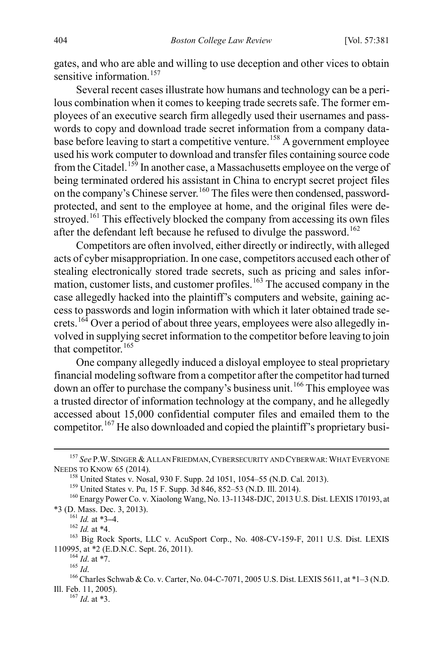<span id="page-24-11"></span>gates, and who are able and willing to use deception and other vices to obtain sensitive information.<sup>[157](#page-24-0)</sup>

Several recent cases illustrate how humans and technology can be a perilous combination when it comes to keeping trade secrets safe. The former employees of an executive search firm allegedly used their usernames and passwords to copy and download trade secret information from a company data-base before leaving to start a competitive venture.<sup>[158](#page-24-1)</sup> A government employee used his work computer to download and transfer files containing source code from the Citadel.<sup>[159](#page-24-2)</sup> In another case, a Massachusetts employee on the verge of being terminated ordered his assistant in China to encrypt secret project files on the company's Chinese server.<sup>[160](#page-24-3)</sup> The files were then condensed, passwordprotected, and sent to the employee at home, and the original files were de-stroved.<sup>[161](#page-24-4)</sup> This effectively blocked the company from accessing its own files after the defendant left because he refused to divulge the password.<sup>[162](#page-24-5)</sup>

Competitors are often involved, either directly or indirectly, with alleged acts of cyber misappropriation. In one case, competitors accused each other of stealing electronically stored trade secrets, such as pricing and sales infor-mation, customer lists, and customer profiles.<sup>[163](#page-24-6)</sup> The accused company in the case allegedly hacked into the plaintiff's computers and website, gaining access to passwords and login information with which it later obtained trade se-crets.<sup>[164](#page-24-7)</sup> Over a period of about three years, employees were also allegedly involved in supplying secret information to the competitor before leaving to join that competitor.<sup>[165](#page-24-8)</sup>

One company allegedly induced a disloyal employee to steal proprietary financial modeling software from a competitor after the competitor had turned down an offer to purchase the company's business unit.<sup>[166](#page-24-9)</sup> This employee was a trusted director of information technology at the company, and he allegedly accessed about 15,000 confidential computer files and emailed them to the competitor.[167](#page-24-10) He also downloaded and copied the plaintiff's proprietary busi-

<span id="page-24-1"></span><span id="page-24-0"></span><sup>&</sup>lt;sup>157</sup> *See* P.W. SINGER & ALLAN FRIEDMAN, CYBERSECURITY AND CYBERWAR: WHAT EVERYONE NEEDS TO KNOW 65 (2014).

<sup>&</sup>lt;sup>158</sup> United States v. Nosal, 930 F. Supp. 2d 1051, 1054–55 (N.D. Cal. 2013).<br><sup>159</sup> United States v. Pu, 15 F. Supp. 3d 846, 852–53 (N.D. Ill. 2014).<br><sup>160</sup> Enargy Power Co. v. Xiaolong Wang, No. 13-11348-DJC, 2013 U.S. Dis

<span id="page-24-5"></span><span id="page-24-4"></span><span id="page-24-3"></span><span id="page-24-2"></span><sup>\*3 (</sup>D. Mass. Dec. 3, 2013).<br><sup>161</sup> *Id.* at \*3–4.<br><sup>162</sup> *Id.* at \*4.<br><sup>163</sup> Big Rock Sports, LLC v. AcuSport Corp., No. 408-CV-159-F, 2011 U.S. Dist. LEXIS<br>110995, at \*2 (E.D.N.C. Sept. 26, 2011).

<span id="page-24-10"></span><span id="page-24-9"></span><span id="page-24-8"></span><span id="page-24-7"></span><span id="page-24-6"></span><sup>164</sup> *Id.* at \*7.<br><sup>165</sup> *Id.* at \*7.<br><sup>166</sup> Charles Schwab & Co. v. Carter, No. 04-C-7071, 2005 U.S. Dist. LEXIS 5611, at \*1–3 (N.D. Ill. Feb. 11, 2005). <sup>167</sup> *Id*. at \*3.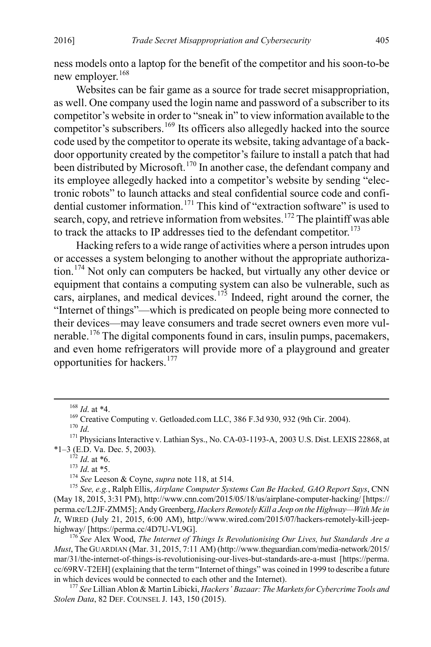ness models onto a laptop for the benefit of the competitor and his soon-to-be new employer.<sup>[168](#page-25-0)</sup>

Websites can be fair game as a source for trade secret misappropriation, as well. One company used the login name and password of a subscriber to its competitor's website in order to "sneak in" to view information available to the competitor's subscribers.<sup>[169](#page-25-1)</sup> Its officers also allegedly hacked into the source code used by the competitor to operate its website, taking advantage of a backdoor opportunity created by the competitor's failure to install a patch that had been distributed by Microsoft.<sup>[170](#page-25-2)</sup> In another case, the defendant company and its employee allegedly hacked into a competitor's website by sending "electronic robots" to launch attacks and steal confidential source code and confi-dential customer information.<sup>[171](#page-25-3)</sup> This kind of "extraction software" is used to search, copy, and retrieve information from websites.<sup>[172](#page-25-4)</sup> The plaintiff was able to track the attacks to IP addresses tied to the defendant competitor.<sup>[173](#page-25-5)</sup>

Hacking refers to a wide range of activities where a person intrudes upon or accesses a system belonging to another without the appropriate authorization. [174](#page-25-6) Not only can computers be hacked, but virtually any other device or equipment that contains a computing system can also be vulnerable, such as cars, airplanes, and medical devices.<sup>[175](#page-25-7)</sup> Indeed, right around the corner, the "Internet of things"—which is predicated on people being more connected to their devices—may leave consumers and trade secret owners even more vulnerable.[176](#page-25-8) The digital components found in cars, insulin pumps, pacemakers, and even home refrigerators will provide more of a playground and greater opportunities for hackers.[177](#page-25-9)

<span id="page-25-3"></span><span id="page-25-2"></span><span id="page-25-1"></span><span id="page-25-0"></span>\*1–3 (E.D. Va. Dec. 5, 2003).<br> $^{172}$  *Id.* at \*6.

<span id="page-25-7"></span><span id="page-25-6"></span><span id="page-25-5"></span><span id="page-25-4"></span><sup>172</sup> *Id*. at \*6. <sup>173</sup> *Id*. at \*5. <sup>174</sup> *See* Leeson & Coyne, *supra* not[e 118,](#page-18-8) at 514. <sup>175</sup> *See, e.g.*, Ralph Ellis, *Airplane Computer Systems Can Be Hacked, GAO Report Says*, CNN (May 18, 2015, 3:31 PM), http://www.cnn.com/2015/05/18/us/airplane-computer-hacking/ [https:// perma.cc/L2JF-ZMM5]; Andy Greenberg, *Hackers Remotely Kill a Jeep on the Highway—With Me in It*, WIRED (July 21, 2015, 6:00 AM), http://www.wired.com/2015/07/hackers-remotely-kill-jeephighway/ [https://perma.cc/4D7U-VL9G]. <sup>176</sup>*See* Alex Wood, *The Internet of Things Is Revolutionising Our Lives, but Standards Are a* 

<span id="page-25-8"></span>*Must*, The GUARDIAN (Mar. 31, 2015, 7:11 AM) (http://www.theguardian.com/media-network/2015/ mar/31/the-internet-of-things-is-revolutionising-our-lives-but-standards-are-a-must [https://perma. cc/69RV-T2EH] (explaining that the term "Internet of things" was coined in 1999 to describe a future in which devices would be connected to each other and the Internet). <sup>177</sup> *See* Lillian Ablon & Martin Libicki, *Hackers' Bazaar: The Markets for Cybercrime Tools and* 

<span id="page-25-9"></span>*Stolen Data*, 82 DEF. COUNSEL J. 143, 150 (2015).

<span id="page-25-10"></span>

<sup>&</sup>lt;sup>168</sup> *Id.* at \*4.<br><sup>169</sup> Creative Computing v. Getloaded.com LLC, 386 F.3d 930, 932 (9th Cir. 2004).<br><sup>170</sup> *Id.* 171 Physicians Interactive v. Lathian Sys., No. CA-03-1193-A, 2003 U.S. Dist. LEXIS 22868, at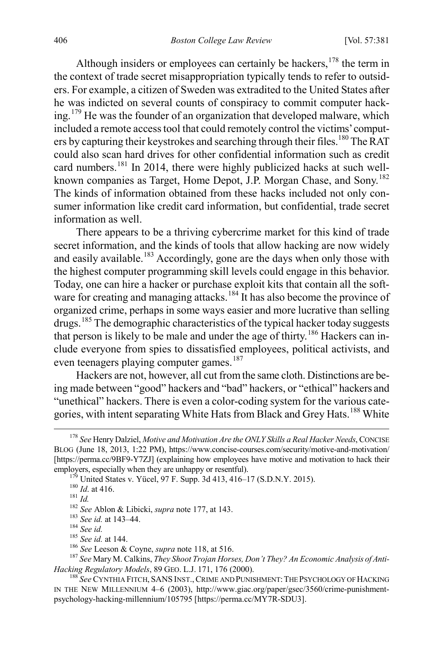Although insiders or employees can certainly be hackers,<sup>178</sup> the term in the context of trade secret misappropriation typically tends to refer to outsiders. For example, a citizen of Sweden was extradited to the United States after he was indicted on several counts of conspiracy to commit computer hacking.[179](#page-26-1) He was the founder of an organization that developed malware, which included a remote access tool that could remotely control the victims' comput-ers by capturing their keystrokes and searching through their files.<sup>[180](#page-26-2)</sup> The RAT could also scan hard drives for other confidential information such as credit card numbers.<sup>[181](#page-26-3)</sup> In 2014, there were highly publicized hacks at such well-known companies as Target, Home Depot, J.P. Morgan Chase, and Sony.<sup>[182](#page-26-4)</sup> The kinds of information obtained from these hacks included not only consumer information like credit card information, but confidential, trade secret information as well.

There appears to be a thriving cybercrime market for this kind of trade secret information, and the kinds of tools that allow hacking are now widely and easily available.<sup>[183](#page-26-5)</sup> Accordingly, gone are the days when only those with the highest computer programming skill levels could engage in this behavior. Today, one can hire a hacker or purchase exploit kits that contain all the soft-ware for creating and managing attacks.<sup>[184](#page-26-6)</sup> It has also become the province of organized crime, perhaps in some ways easier and more lucrative than selling drugs.[185](#page-26-7) The demographic characteristics of the typical hacker today suggests that person is likely to be male and under the age of thirty.<sup>[186](#page-26-8)</sup> Hackers can include everyone from spies to dissatisfied employees, political activists, and even teenagers playing computer games.<sup>[187](#page-26-9)</sup>

Hackers are not, however, all cut from the same cloth. Distinctions are being made between "good" hackers and "bad" hackers, or "ethical" hackers and "unethical" hackers. There is even a color-coding system for the various cate-gories, with intent separating White Hats from Black and Grey Hats.<sup>[188](#page-26-10)</sup> White

<span id="page-26-0"></span> <sup>178</sup> *See* Henry Dalziel, *Motive and Motivation Are the ONLY Skills a Real Hacker Needs*, CONCISE BLOG (June 18, 2013, 1:22 PM), https://www.concise-courses.com/security/motive-and-motivation/ [https://perma.cc/9BF9-Y7ZJ] (explaining how employees have motive and motivation to hack their

<span id="page-26-11"></span>

<span id="page-26-6"></span><span id="page-26-5"></span>

<span id="page-26-4"></span><span id="page-26-3"></span><span id="page-26-2"></span><span id="page-26-1"></span>employers, especially when they are unhappy or resentful).<br>
<sup>179</sup> United States v. Yücel, 97 F. Supp. 3d 413, 416–17 (S.D.N.Y. 2015).<br>
<sup>180</sup> *Id.* at 416.<br>
<sup>181</sup> *Id.*<br>
<sup>181</sup> *Id.*<br>
<sup>182</sup> *See* Ablon & Libicki, *supra* no

<span id="page-26-10"></span><span id="page-26-9"></span><span id="page-26-8"></span><span id="page-26-7"></span><sup>&</sup>lt;sup>188</sup> See CYNTHIA FITCH, SANS INST., CRIME AND PUNISHMENT: THE PSYCHOLOGY OF HACKING IN THE NEW MILLENNIUM 4–6 (2003), http://www.giac.org/paper/gsec/3560/crime-punishmentpsychology-hacking-millennium/105795 [https://perma.cc/MY7R-SDU3].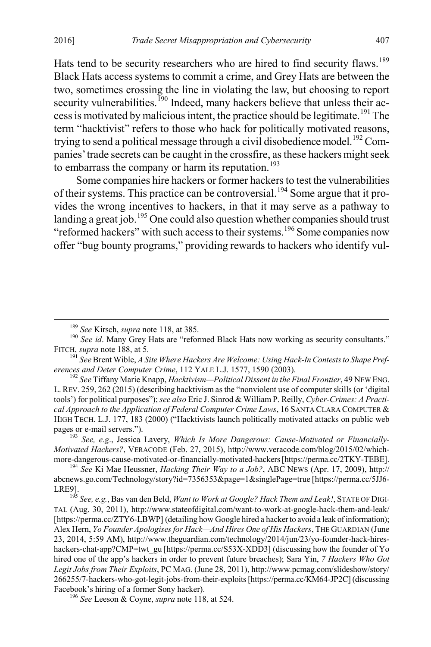<span id="page-27-8"></span>Hats tend to be security researchers who are hired to find security flaws.<sup>[189](#page-27-0)</sup> Black Hats access systems to commit a crime, and Grey Hats are between the two, sometimes crossing the line in violating the law, but choosing to report security vulnerabilities.<sup>[190](#page-27-1)</sup> Indeed, many hackers believe that unless their access is motivated by malicious intent, the practice should be legitimate.[191](#page-27-2) The term "hacktivist" refers to those who hack for politically motivated reasons, trying to send a political message through a civil disobedience model.<sup>[192](#page-27-3)</sup> Companies' trade secrets can be caught in the crossfire, as these hackers might seek to embarrass the company or harm its reputation.<sup>[193](#page-27-4)</sup>

Some companies hire hackers or former hackers to test the vulnerabilities of their systems. This practice can be controversial.[194](#page-27-5) Some argue that it provides the wrong incentives to hackers, in that it may serve as a pathway to landing a great job.<sup>[195](#page-27-6)</sup> One could also question whether companies should trust "reformed hackers" with such access to their systems.<sup>[196](#page-27-7)</sup> Some companies now offer "bug bounty programs," providing rewards to hackers who identify vul-

<span id="page-27-0"></span><sup>&</sup>lt;sup>189</sup> *See Kirsch, <i>supra* not[e 118,](#page-18-8) at 385.<br><sup>190</sup> *See id.* Many Grey Hats are "reformed Black Hats now working as security consultants."

<span id="page-27-2"></span><span id="page-27-1"></span>FITCH, *supra* not[e 188,](#page-26-11) at 5.<br><sup>191</sup> *See* Brent Wible, *A Site Where Hackers Are Welcome: Using Hack-In Contests to Shape Pref-*<br>*erences and Deter Computer Crime*, 112 YALE L.J. 1577, 1590 (2003).

<span id="page-27-3"></span><sup>&</sup>lt;sup>192</sup> See Tiffany Marie Knapp, *Hacktivism—Political Dissent in the Final Frontier*, 49 NEW ENG. L. REV. 259, 262 (2015) (describing hacktivism as the "nonviolent use of computer skills (or 'digital tools') for political purposes"); *see also* Eric J. Sinrod & William P. Reilly, *Cyber-Crimes: A Practical Approach to the Application of Federal Computer Crime Laws*, 16 SANTA CLARA COMPUTER & HIGH TECH. L.J. 177, 183 (2000) ("Hacktivists launch politically motivated attacks on public web pages or e-mail servers."). <sup>193</sup> *See, e.g*., Jessica Lavery, *Which Is More Dangerous: Cause-Motivated or Financially-*

<span id="page-27-4"></span>*Motivated Hackers?*, VERACODE (Feb. 27, 2015), http://www.veracode.com/blog/2015/02/whichmore-dangerous-cause-motivated-or-financially-motivated-hackers [https://perma.cc/2TKY-TEBE]. <sup>194</sup> *See* Ki Mae Heussner, *Hacking Their Way to a Job?*, ABC NEWS (Apr. 17, 2009), http://

<span id="page-27-5"></span>abcnews.go.com/Technology/story?id=7356353&page=1&singlePage=true [https://perma.cc/5JJ6- LRE9]. <sup>195</sup> *See, e.g.*, Bas van den Beld, *Want to Work at Google? Hack Them and Leak!*, STATE OF DIGI-

<span id="page-27-6"></span>TAL (Aug. 30, 2011), http://www.stateofdigital.com/want-to-work-at-google-hack-them-and-leak/ [https://perma.cc/ZTY6-LBWP] (detailing how Google hired a hacker to avoid a leak of information); Alex Hern, *Yo Founder Apologises for Hack—And Hires One of His Hackers*, THE GUARDIAN (June 23, 2014, 5:59 AM), http://www.theguardian.com/technology/2014/jun/23/yo-founder-hack-hireshackers-chat-app?CMP=twt\_gu [https://perma.cc/S53X-XDD3] (discussing how the founder of Yo hired one of the app's hackers in order to prevent future breaches); Sara Yin, *7 Hackers Who Got Legit Jobs from Their Exploits*, PC MAG. (June 28, 2011), http://www.pcmag.com/slideshow/story/ 266255/7-hackers-who-got-legit-jobs-from-their-exploits [https://perma.cc/KM64-JP2C] (discussing Facebook's hiring of a former Sony hacker). <sup>196</sup> *See* Leeson & Coyne, *supra* not[e 118,](#page-18-8) at 524.

<span id="page-27-7"></span>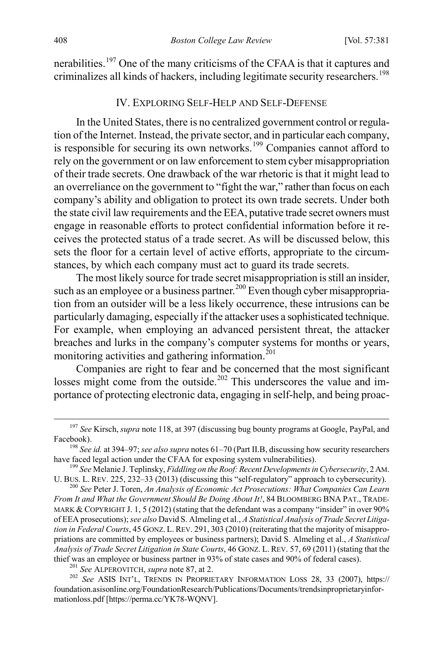nerabilities.<sup>[197](#page-28-2)</sup> One of the many criticisms of the CFAA is that it captures and criminalizes all kinds of hackers, including legitimate security researchers.<sup>[198](#page-28-3)</sup>

#### <span id="page-28-1"></span><span id="page-28-0"></span>IV. EXPLORING SELF-HELP AND SELF-DEFENSE

In the United States, there is no centralized government control or regulation of the Internet. Instead, the private sector, and in particular each company, is responsible for securing its own networks.<sup>[199](#page-28-4)</sup> Companies cannot afford to rely on the government or on law enforcement to stem cyber misappropriation of their trade secrets. One drawback of the war rhetoric is that it might lead to an overreliance on the government to "fight the war," rather than focus on each company's ability and obligation to protect its own trade secrets. Under both the state civil law requirements and the EEA, putative trade secret owners must engage in reasonable efforts to protect confidential information before it receives the protected status of a trade secret. As will be discussed below, this sets the floor for a certain level of active efforts, appropriate to the circumstances, by which each company must act to guard its trade secrets.

The most likely source for trade secret misappropriation is still an insider, such as an employee or a business partner.<sup>[200](#page-28-5)</sup> Even though cyber misappropriation from an outsider will be a less likely occurrence, these intrusions can be particularly damaging, especially if the attacker uses a sophisticated technique. For example, when employing an advanced persistent threat, the attacker breaches and lurks in the company's computer systems for months or years, monitoring activities and gathering information. $^{201}$  $^{201}$  $^{201}$ 

Companies are right to fear and be concerned that the most significant losses might come from the outside.<sup>[202](#page-28-7)</sup> This underscores the value and importance of protecting electronic data, engaging in self-help, and being proac-

<span id="page-28-2"></span> <sup>197</sup> *See* Kirsch, *supra* not[e 118,](#page-18-8) at 397 (discussing bug bounty programs at Google, PayPal, and Facebook). <sup>198</sup> *See id.* at 394–97; *see also supra* note[s 61–](#page-10-0)[70](#page-11-0) (Part II.B, discussing how security researchers

<span id="page-28-3"></span>have faced legal action under the CFAA for exposing system vulnerabilities). <sup>199</sup> *See* Melanie J. Teplinsky, *Fiddling on the Roof: Recent Developments in Cybersecurity*, 2AM.

<span id="page-28-4"></span>U. BUS. L. REV. 225, 232–33 (2013) (discussing this "self-regulatory" approach to cybersecurity). <sup>200</sup> *See* Peter J. Toren, *An Analysis of Economic Act Prosecutions: What Companies Can Learn* 

<span id="page-28-5"></span>*From It and What the Government Should Be Doing About It!*, 84 BLOOMBERG BNA PAT., TRADE-MARK & COPYRIGHT J. 1, 5 (2012) (stating that the defendant was a company "insider" in over 90% of EEA prosecutions); *see also* David S. Almeling et al., *A Statistical Analysis of Trade Secret Litigation in Federal Courts*, 45 GONZ. L. REV. 291, 303 (2010) (reiterating that the majority of misappropriations are committed by employees or business partners); David S. Almeling et al., *A Statistical Analysis of Trade Secret Litigation in State Courts*, 46 GONZ. L. REV. 57, 69 (2011) (stating that the thief was an employee or business partner in 93% of state cases and 90% of federal cases).<br><sup>201</sup> See ALPEROVITCH, *supra* not[e 87,](#page-14-11) at 2.<br><sup>202</sup> See ASIS INT'L, TRENDS IN PROPRIETARY INFORMATION LOSS 28, 33 (2007), https://

<span id="page-28-7"></span><span id="page-28-6"></span>foundation.asisonline.org/FoundationResearch/Publications/Documents/trendsinproprietaryinformationloss.pdf [https://perma.cc/YK78-WQNV].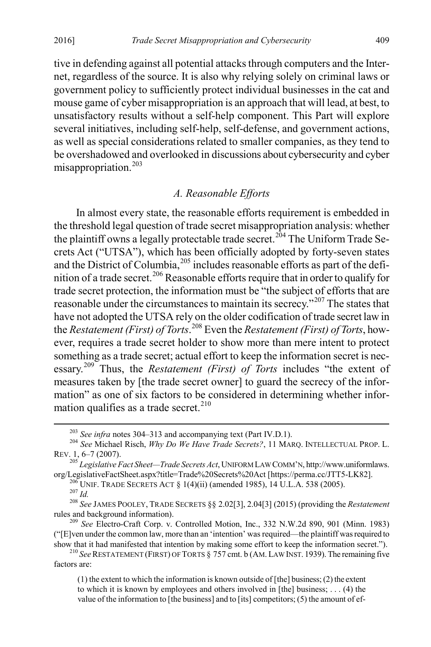tive in defending against all potential attacks through computers and the Internet, regardless of the source. It is also why relying solely on criminal laws or government policy to sufficiently protect individual businesses in the cat and mouse game of cyber misappropriation is an approach that will lead, at best, to unsatisfactory results without a self-help component. This Part will explore several initiatives, including self-help, self-defense, and government actions, as well as special considerations related to smaller companies, as they tend to be overshadowed and overlooked in discussions about cybersecurity and cyber misappropriation.<sup>203</sup>

# <span id="page-29-8"></span>*A. Reasonable Efforts*

In almost every state, the reasonable efforts requirement is embedded in the threshold legal question of trade secret misappropriation analysis: whether the plaintiff owns a legally protectable trade secret.<sup>[204](#page-29-1)</sup> The Uniform Trade Secrets Act ("UTSA"), which has been officially adopted by forty-seven states and the District of Columbia,  $^{205}$  $^{205}$  $^{205}$  includes reasonable efforts as part of the defi-nition of a trade secret.<sup>[206](#page-29-3)</sup> Reasonable efforts require that in order to qualify for trade secret protection, the information must be "the subject of efforts that are reasonable under the circumstances to maintain its secrecy."[207](#page-29-4) The states that have not adopted the UTSA rely on the older codification of trade secret law in the *Restatement (First) of Torts*. [208](#page-29-5) Even the *Restatement (First) of Torts*, however, requires a trade secret holder to show more than mere intent to protect something as a trade secret; actual effort to keep the information secret is necessary.[209](#page-29-6) Thus, the *Restatement (First) of Torts* includes "the extent of measures taken by [the trade secret owner] to guard the secrecy of the information" as one of six factors to be considered in determining whether information qualifies as a trade secret. $210$ 

<span id="page-29-1"></span><span id="page-29-0"></span><sup>&</sup>lt;sup>203</sup> *See infra* notes [304–](#page-42-0)[313](#page-43-0) and accompanying text (Part IV.D.1).<br><sup>204</sup> *See* Michael Risch, *Why Do We Have Trade Secrets*?, 11 MARQ. INTELLECTUAL PROP. L.<br>REV. 1, 6–7 (2007).

<span id="page-29-2"></span><sup>&</sup>lt;sup>205</sup> *Legislative Fact Sheet—Trade Secrets Act*, UNIFORM LAW COMM'N, http://www.uniformlaws.<br>
org/LegislativeFactSheet.aspx?title=Trade%20Secrets%20Act [https://perma.cc/JTT5-LK82].

<span id="page-29-4"></span><span id="page-29-3"></span><sup>&</sup>lt;sup>216</sup> UNIF. TRADE SECRETS ACT § 1(4)(ii) (amended 1985), 14 U.L.A. 538 (2005).<br><sup>207</sup> Id.<br><sup>208</sup> See JAMES POOLEY, TRADE SECRETS § § 2.02[3], 2.04[3] (2015) (providing the *Restatement* rules and background information).

<span id="page-29-6"></span><span id="page-29-5"></span><sup>&</sup>lt;sup>209</sup> *See* Electro-Craft Corp. v. Controlled Motion, Inc., 332 N.W.2d 890, 901 (Minn. 1983) ("[E]ven under the common law, more than an 'intention' was required—the plaintiff was required to

<span id="page-29-7"></span>show that it had manifested that intention by making some effort to keep the information secret."). <sup>210</sup> *See* RESTATEMENT (FIRST) OF TORTS § 757 cmt. b (AM. LAW INST. 1939). The remaining five factors are:

<sup>(1)</sup> the extent to which the information is known outside of [the] business; (2) the extent to which it is known by employees and others involved in [the] business; . . . (4) the value of the information to [the business] and to [its] competitors; (5) the amount of ef-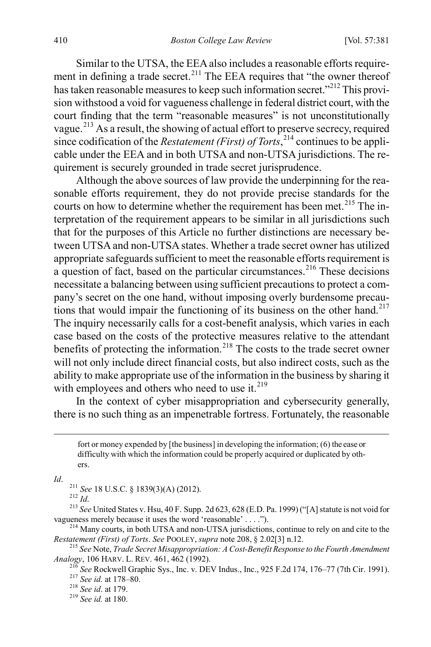Similar to the UTSA, the EEA also includes a reasonable efforts require-ment in defining a trade secret.<sup>[211](#page-30-0)</sup> The EEA requires that "the owner thereof has taken reasonable measures to keep such information secret."<sup>[212](#page-30-1)</sup> This provision withstood a void for vagueness challenge in federal district court, with the court finding that the term "reasonable measures" is not unconstitutionally vague.[213](#page-30-2) As a result, the showing of actual effort to preserve secrecy, required since codification of the *Restatement (First) of Torts*, [214](#page-30-3) continues to be applicable under the EEA and in both UTSA and non-UTSA jurisdictions. The requirement is securely grounded in trade secret jurisprudence.

Although the above sources of law provide the underpinning for the reasonable efforts requirement, they do not provide precise standards for the courts on how to determine whether the requirement has been met.<sup>[215](#page-30-4)</sup> The interpretation of the requirement appears to be similar in all jurisdictions such that for the purposes of this Article no further distinctions are necessary between UTSA and non-UTSA states. Whether a trade secret owner has utilized appropriate safeguards sufficient to meet the reasonable efforts requirement is a question of fact, based on the particular circumstances.<sup>[216](#page-30-5)</sup> These decisions necessitate a balancing between using sufficient precautions to protect a company's secret on the one hand, without imposing overly burdensome precau-tions that would impair the functioning of its business on the other hand.<sup>[217](#page-30-6)</sup> The inquiry necessarily calls for a cost-benefit analysis, which varies in each case based on the costs of the protective measures relative to the attendant benefits of protecting the information.<sup>[218](#page-30-7)</sup> The costs to the trade secret owner will not only include direct financial costs, but also indirect costs, such as the ability to make appropriate use of the information in the business by sharing it with employees and others who need to use it.<sup>[219](#page-30-8)</sup>

In the context of cyber misappropriation and cybersecurity generally, there is no such thing as an impenetrable fortress. Fortunately, the reasonable

<span id="page-30-1"></span><span id="page-30-0"></span>*Id.* <sup>211</sup> *See* 18 U.S.C. § 1839(3)(A) (2012).<br><sup>212</sup> *Id.* <sup>213</sup> *See* United States v. Hsu, 40 F. Supp. 2d 623, 628 (E.D. Pa. 1999) ("[A] statute is not void for vagueness merely because it uses the word 'reasonable' ..

<span id="page-30-3"></span><span id="page-30-2"></span><sup>214</sup> Many courts, in both UTSA and non-UTSA jurisdictions, continue to rely on and cite to the *Restatement (First) of Torts. See* POOLEY, *supra* note 208, § 2.02[3] n.12.

<span id="page-30-7"></span><span id="page-30-6"></span><span id="page-30-5"></span><span id="page-30-4"></span><sup>215</sup> See Note, *Trade Secret Misappropriation: A Cost-Benefit Response to the Fourth Amendment Analogy*, 106 HARV. L. REV. 461, 462 (1992).

<sup>216</sup> See Rockwell Graphic Sys., Inc. v. DEV Indus., Inc., 925 F.2d 174, 176–77 (7th Cir. 1991).<br><sup>217</sup> See id. at 178–80.<br><sup>218</sup> See id. at 179.<br><sup>218</sup> See id. at 179.

<span id="page-30-8"></span>

fort or money expended by [the business] in developing the information; (6) the ease or difficulty with which the information could be properly acquired or duplicated by others.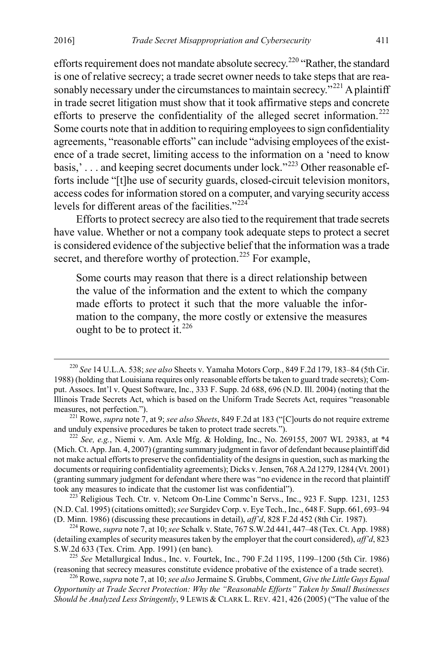efforts requirement does not mandate absolute secrecy.<sup>220</sup> "Rather, the standard is one of relative secrecy; a trade secret owner needs to take steps that are reasonably necessary under the circumstances to maintain secrecy.<sup> $221$ </sup> A plaintiff in trade secret litigation must show that it took affirmative steps and concrete efforts to preserve the confidentiality of the alleged secret information.<sup>[222](#page-31-2)</sup> Some courts note that in addition to requiring employees to sign confidentiality agreements, "reasonable efforts" can include "advising employees of the existence of a trade secret, limiting access to the information on a 'need to know basis,' . . . and keeping secret documents under lock."[223](#page-31-3) Other reasonable efforts include "[t]he use of security guards, closed-circuit television monitors, access codes for information stored on a computer, and varying security access levels for different areas of the facilities."<sup>[224](#page-31-4)</sup>

Efforts to protect secrecy are also tied to the requirement that trade secrets have value. Whether or not a company took adequate steps to protect a secret is considered evidence of the subjective belief that the information was a trade secret, and therefore worthy of protection.<sup>[225](#page-31-5)</sup> For example,

<span id="page-31-7"></span>Some courts may reason that there is a direct relationship between the value of the information and the extent to which the company made efforts to protect it such that the more valuable the information to the company, the more costly or extensive the measures ought to be to protect it.<sup>226</sup>

<span id="page-31-0"></span> <sup>220</sup> *See* 14 U.L.A. 538; *see also* Sheets v. Yamaha Motors Corp., 849 F.2d 179, 183–84 (5th Cir. 1988) (holding that Louisiana requires only reasonable efforts be taken to guard trade secrets); Comput. Assocs. Int'l v. Quest Software, Inc., 333 F. Supp. 2d 688, 696 (N.D. Ill. 2004) (noting that the Illinois Trade Secrets Act, which is based on the Uniform Trade Secrets Act, requires "reasonable measures, not perfection.").

<span id="page-31-1"></span><sup>221</sup> Rowe, *supra* note [7,](#page-2-9) at 9; *see also Sheets*, 849 F.2d at 183 ("[C]ourts do not require extreme and unduly expensive procedures be taken to protect trade secrets.").<br><sup>222</sup> *See, e.g.*, Niemi v. Am. Axle Mfg. & Holding, Inc., No. 269155, 2007 WL 29383, at \*4

<span id="page-31-2"></span><sup>(</sup>Mich. Ct. App. Jan. 4, 2007) (granting summary judgment in favor of defendant because plaintiff did not make actual efforts to preserve the confidentiality of the designs in question, such as marking the documents or requiring confidentiality agreements); Dicks v. Jensen, 768 A.2d 1279, 1284 (Vt. 2001) (granting summary judgment for defendant where there was "no evidence in the record that plaintiff took any measures to indicate that the customer list was confidential").<br><sup>223</sup> Religious Tech. Ctr. v. Netcom On-Line Commc'n Servs., Inc., 923 F. Supp. 1231, 1253

<span id="page-31-3"></span><sup>(</sup>N.D. Cal. 1995) (citations omitted); *see* Surgidev Corp. v. Eye Tech., Inc., 648 F. Supp. 661, 693–94

<span id="page-31-4"></span><sup>&</sup>lt;sup>224</sup> Rowe, *supra* not[e 7,](#page-2-9) at 10; *see* Schalk v. State, 767 S.W.2d 441, 447–48 (Tex. Ct. App. 1988) (detailing examples of security measures taken by the employer that the court considered), *aff'd*, 823

<span id="page-31-5"></span><sup>&</sup>lt;sup>225</sup> *See* Metallurgical Indus., Inc. v. Fourtek, Inc., 790 F.2d 1195, 1199–1200 (5th Cir. 1986) (reasoning that secrecy measures constitute evidence probative of the existence of a trade secret).

<span id="page-31-6"></span><sup>&</sup>lt;sup>226</sup> Rowe, *supra* not[e 7,](#page-2-9) at 10; *see also Jermaine S. Grubbs, Comment, Give the Little Guys Equal Opportunity at Trade Secret Protection: Why the "Reasonable Efforts" Taken by Small Businesses Should be Analyzed Less Stringently*, 9 LEWIS & CLARK L. REV. 421, 426 (2005) ("The value of the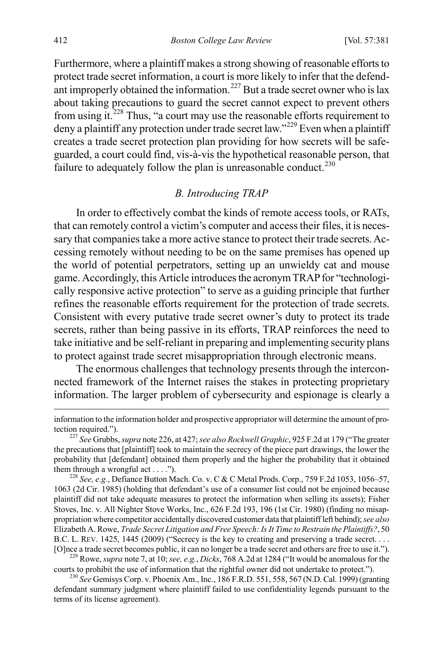Furthermore, where a plaintiff makes a strong showing of reasonable efforts to protect trade secret information, a court is more likely to infer that the defend-ant improperly obtained the information.<sup>[227](#page-32-0)</sup> But a trade secret owner who is lax about taking precautions to guard the secret cannot expect to prevent others from using it.[228](#page-32-1) Thus, "a court may use the reasonable efforts requirement to deny a plaintiff any protection under trade secret law."<sup>229</sup> Even when a plaintiff creates a trade secret protection plan providing for how secrets will be safeguarded, a court could find, vis-à-vis the hypothetical reasonable person, that failure to adequately follow the plan is unreasonable conduct.<sup>[230](#page-32-3)</sup>

## *B. Introducing TRAP*

In order to effectively combat the kinds of remote access tools, or RATs, that can remotely control a victim's computer and access their files, it is necessary that companies take a more active stance to protect their trade secrets. Accessing remotely without needing to be on the same premises has opened up the world of potential perpetrators, setting up an unwieldy cat and mouse game. Accordingly, this Article introduces the acronym TRAP for "technologically responsive active protection" to serve as a guiding principle that further refines the reasonable efforts requirement for the protection of trade secrets. Consistent with every putative trade secret owner's duty to protect its trade secrets, rather than being passive in its efforts, TRAP reinforces the need to take initiative and be self-reliant in preparing and implementing security plans to protect against trade secret misappropriation through electronic means.

The enormous challenges that technology presents through the interconnected framework of the Internet raises the stakes in protecting proprietary information. The larger problem of cybersecurity and espionage is clearly a

<span id="page-32-2"></span><sup>229</sup> Rowe, *supra* not[e 7,](#page-2-9) at 10; *see, e.g., Dicks*, 768 A.2d at 1284 ("It would be anomalous for the courts to prohibit the use of information that the rightful owner did not undertake to protect.").

<span id="page-32-3"></span><sup>230</sup> See Gemisys Corp. v. Phoenix Am., Inc., 186 F.R.D. 551, 558, 567 (N.D. Cal. 1999) (granting defendant summary judgment where plaintiff failed to use confidentiality legends pursuant to the terms of its license agreement).

information to the information holder and prospective appropriator will determine the amount of protection required."). <sup>227</sup> *See* Grubbs, *supra* not[e 226,](#page-31-7) at 427; *see also Rockwell Graphic*, 925 F.2d at 179 ("The greater

<span id="page-32-0"></span>the precautions that [plaintiff] took to maintain the secrecy of the piece part drawings, the lower the probability that [defendant] obtained them properly and the higher the probability that it obtained them through a wrongful act . . . .").<br><sup>228</sup> *See, e.g.*, Defiance Button Mach. Co. v. C & C Metal Prods. Corp., 759 F.2d 1053, 1056–57,

<span id="page-32-1"></span><sup>1063 (2</sup>d Cir. 1985) (holding that defendant's use of a consumer list could not be enjoined because plaintiff did not take adequate measures to protect the information when selling its assets); Fisher Stoves, Inc. v. All Nighter Stove Works, Inc., 626 F.2d 193, 196 (1st Cir. 1980) (finding no misappropriation where competitor accidentally discovered customer data that plaintiff left behind); *see also*  Elizabeth A. Rowe, *Trade Secret Litigation and Free Speech: Is It Time to Restrain the Plaintiffs?*, 50 B.C. L. REV. 1425, 1445 (2009) ("Secrecy is the key to creating and preserving a trade secret....<br>[O]nce a trade secret becomes public, it can no longer be a trade secret and others are free to use it.").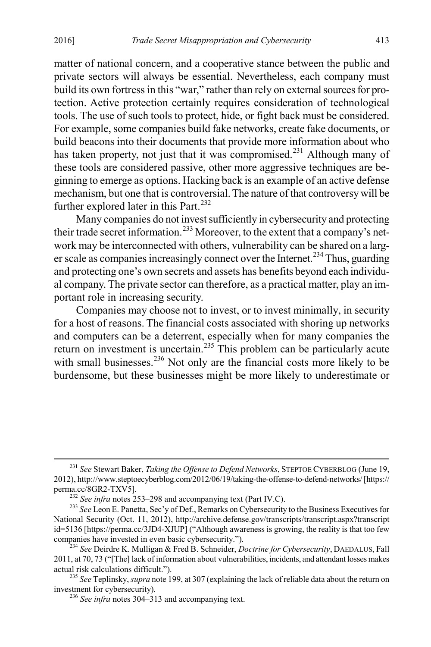matter of national concern, and a cooperative stance between the public and private sectors will always be essential. Nevertheless, each company must build its own fortress in this "war," rather than rely on external sources for protection. Active protection certainly requires consideration of technological tools. The use of such tools to protect, hide, or fight back must be considered. For example, some companies build fake networks, create fake documents, or build beacons into their documents that provide more information about who has taken property, not just that it was compromised.<sup>[231](#page-33-0)</sup> Although many of these tools are considered passive, other more aggressive techniques are beginning to emerge as options. Hacking back is an example of an active defense mechanism, but one that is controversial. The nature of that controversy will be further explored later in this Part.<sup>[232](#page-33-1)</sup>

Many companies do not invest sufficiently in cybersecurity and protecting their trade secret information.[233](#page-33-2) Moreover, to the extent that a company's network may be interconnected with others, vulnerability can be shared on a larg-er scale as companies increasingly connect over the Internet.<sup>[234](#page-33-3)</sup> Thus, guarding and protecting one's own secrets and assets has benefits beyond each individual company. The private sector can therefore, as a practical matter, play an important role in increasing security.

Companies may choose not to invest, or to invest minimally, in security for a host of reasons. The financial costs associated with shoring up networks and computers can be a deterrent, especially when for many companies the return on investment is uncertain.<sup>[235](#page-33-4)</sup> This problem can be particularly acute with small businesses.<sup>[236](#page-33-5)</sup> Not only are the financial costs more likely to be burdensome, but these businesses might be more likely to underestimate or

<span id="page-33-0"></span> <sup>231</sup> *See* Stewart Baker, *Taking the Offense to Defend Networks*, STEPTOE CYBERBLOG (June 19, 2012), http://www.steptoecyberblog.com/2012/06/19/taking-the-offense-to-defend-networks/ [https:// perma.cc/8GR2-TXV5].<br><sup>232</sup> *See infra* notes [253–](#page-36-0)[298](#page-41-0) and accompanying text (Part IV.C).<br><sup>233</sup> *See* Leon E. Panetta, Sec'y of Def., Remarks on Cybersecurity to the Business Executives for

<span id="page-33-2"></span><span id="page-33-1"></span>National Security (Oct. 11, 2012), http://archive.defense.gov/transcripts/transcript.aspx?transcript id=5136 [https://perma.cc/3JD4-XJUP] ("Although awareness is growing, the reality is that too few companies have invested in even basic cybersecurity.").

<span id="page-33-3"></span><sup>&</sup>lt;sup>234</sup> See Deirdre K. Mulligan & Fred B. Schneider, *Doctrine for Cybersecurity*, DAEDALUS, Fall 2011, at 70, 73 ("[The] lack of information about vulnerabilities, incidents, and attendant losses makes

<span id="page-33-5"></span><span id="page-33-4"></span><sup>&</sup>lt;sup>235</sup> See Teplinsky, *supra* not[e 199,](#page-28-1) at 307 (explaining the lack of reliable data about the return on investment for cybersecurity). <sup>236</sup> *See infra* notes [304–](#page-42-0)[313](#page-43-0) and accompanying text.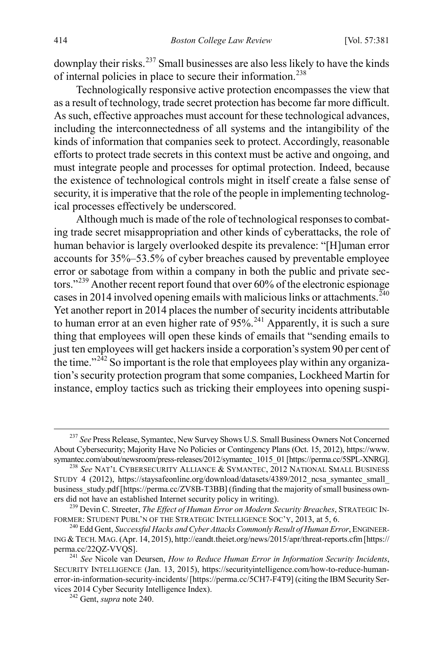downplay their risks.[237](#page-34-1) Small businesses are also less likely to have the kinds of internal policies in place to secure their information.[238](#page-34-2)

Technologically responsive active protection encompasses the view that as a result of technology, trade secret protection has become far more difficult. As such, effective approaches must account for these technological advances, including the interconnectedness of all systems and the intangibility of the kinds of information that companies seek to protect. Accordingly, reasonable efforts to protect trade secrets in this context must be active and ongoing, and must integrate people and processes for optimal protection. Indeed, because the existence of technological controls might in itself create a false sense of security, it is imperative that the role of the people in implementing technological processes effectively be underscored.

<span id="page-34-0"></span>Although much is made of the role of technological responses to combating trade secret misappropriation and other kinds of cyberattacks, the role of human behavior is largely overlooked despite its prevalence: "[H]uman error accounts for 35%–53.5% of cyber breaches caused by preventable employee error or sabotage from within a company in both the public and private sec-tors."<sup>[239](#page-34-3)</sup> Another recent report found that over 60% of the electronic espionage cases in 2014 involved opening emails with malicious links or attachments.  $^{240}$  $^{240}$  $^{240}$ Yet another report in 2014 places the number of security incidents attributable to human error at an even higher rate of  $95\%$ <sup>241</sup> Apparently, it is such a sure thing that employees will open these kinds of emails that "sending emails to just ten employees will get hackers inside a corporation's system 90 per cent of the time." $^{242}$  $^{242}$  $^{242}$  So important is the role that employees play within any organization'ssecurity protection program that some companies, Lockheed Martin for instance, employ tactics such as tricking their employees into opening suspi-

<span id="page-34-1"></span> <sup>237</sup> *See* Press Release, Symantec, New Survey Shows U.S. Small Business Owners Not Concerned About Cybersecurity; Majority Have No Policies or Contingency Plans (Oct. 15, 2012), https://www.<br>symantec.com/about/newsroom/press-releases/2012/symantec 1015 01 [https://perma.cc/5SPL-XNRG].

<span id="page-34-2"></span><sup>&</sup>lt;sup>238</sup> See NAT'L CYBERSECURITY ALLIANCE & SYMANTEC, 2012 NATIONAL SMALL BUSINESS STUDY 4 (2012), https://staysafeonline.org/download/datasets/4389/2012\_ncsa\_symantec\_small\_ business\_study.pdf [https://perma.cc/ZV8B-T3BB] (finding that the majority of small business owners did not have an established Internet security policy in writing).

<span id="page-34-3"></span><sup>&</sup>lt;sup>239</sup> Devin C. Streeter, *The Effect of Human Error on Modern Security Breaches*, STRATEGIC INFORMER: STUDENT PUBL'N OF THE STRATEGIC INTELLIGENCE SOC'Y, 2013, at 5, 6.

<span id="page-34-4"></span><sup>&</sup>lt;sup>240</sup> Edd Gent, *Successful Hacks and Cyber Attacks Commonly Result of Human Error*, ENGINEER-ING &TECH. MAG. (Apr. 14, 2015), http://eandt.theiet.org/news/2015/apr/threat-reports.cfm [https://

<span id="page-34-6"></span><span id="page-34-5"></span><sup>&</sup>lt;sup>241</sup> See Nicole van Deursen, *How to Reduce Human Error in Information Security Incidents*, SECURITY INTELLIGENCE (Jan. 13, 2015), https://securityintelligence.com/how-to-reduce-humanerror-in-information-security-incidents/ [https://perma.cc/5CH7-F4T9] (citing the IBM Security Services 2014 Cyber Security Intelligence Index). <sup>242</sup> Gent, *supra* not[e 240.](#page-34-0)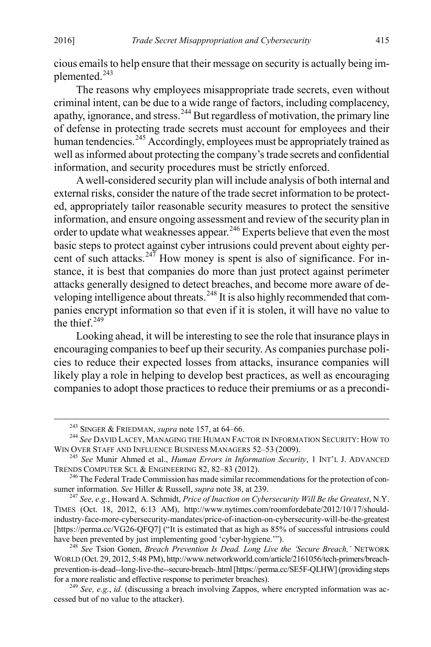cious emails to help ensure that their message on security is actually being im-plemented.<sup>[243](#page-35-0)</sup>

The reasons why employees misappropriate trade secrets, even without criminal intent, can be due to a wide range of factors, including complacency, apathy, ignorance, and stress.<sup>[244](#page-35-1)</sup> But regardless of motivation, the primary line of defense in protecting trade secrets must account for employees and their human tendencies.<sup>[245](#page-35-2)</sup> Accordingly, employees must be appropriately trained as well as informed about protecting the company's trade secrets and confidential information, and security procedures must be strictly enforced.

A well-considered security plan will include analysis of both internal and external risks, consider the nature of the trade secret information to be protected, appropriately tailor reasonable security measures to protect the sensitive information, and ensure ongoing assessment and review of the security plan in order to update what weaknesses appear.<sup>[246](#page-35-3)</sup> Experts believe that even the most basic steps to protect against cyber intrusions could prevent about eighty per-cent of such attacks.<sup>[247](#page-35-4)</sup> How money is spent is also of significance. For instance, it is best that companies do more than just protect against perimeter attacks generally designed to detect breaches, and become more aware of de-veloping intelligence about threats.<sup>[248](#page-35-5)</sup> It is also highly recommended that companies encrypt information so that even if it is stolen, it will have no value to the thief  $249$ <sup>-</sup>

Looking ahead, it will be interesting to see the role that insurance plays in encouraging companies to beef up their security. As companies purchase policies to reduce their expected losses from attacks, insurance companies will likely play a role in helping to develop best practices, as well as encouraging companies to adopt those practices to reduce their premiums or as a precondi-

<span id="page-35-1"></span><span id="page-35-0"></span><sup>&</sup>lt;sup>243</sup> SINGER & FRIEDMAN, *supra* not[e 157,](#page-24-11) at 64–66.<br><sup>244</sup> *See* DAVID LACEY, MANAGING THE HUMAN FACTOR IN INFORMATION SECURITY: HOW TO<br>WIN OVER STAFF AND INFLUENCE BUSINESS MANAGERS 52–53 (2009).

<span id="page-35-2"></span><sup>&</sup>lt;sup>245</sup> See Munir Ahmed et al., *Human Errors in Information Security*, 1 INT'L J. ADVANCED TRENDS COMPUTER SCI. & ENGINEERING 82, 82–83 (2012). <sup>246</sup> The Federal Trade Commission has made similar recommendations for the protection of con-

<span id="page-35-3"></span>sumer information. *See* Hiller & Russell, *supra* not[e 38,](#page-7-10) at 239. <sup>247</sup> *See, e.g.*, Howard A. Schmidt, *Price of Inaction on Cybersecurity Will Be the Greatest*, N.Y.

<span id="page-35-4"></span>TIMES (Oct. 18, 2012, 6:13 AM), http://www.nytimes.com/roomfordebate/2012/10/17/shouldindustry-face-more-cybersecurity-mandates/price-of-inaction-on-cybersecurity-will-be-the-greatest [https://perma.cc/VG26-QFQ7] ("It is estimated that as high as 85% of successful intrusions could have been prevented by just implementing good 'cyber-hygiene.'").

<span id="page-35-5"></span><sup>&</sup>lt;sup>248</sup> See Tsion Gonen, *Breach Prevention Is Dead. Long Live the 'Secure Breach*,' NETWORK WORLD (Oct. 29, 2012, 5:48 PM), http://www.networkworld.com/article/2161056/tech-primers/breachprevention-is-dead--long-live-the--secure-breach-.html [https://perma.cc/SE5F-QLHW] (providing steps for a more realistic and effective response to perimeter breaches). <sup>249</sup> *See, e.g.*, *id.* (discussing a breach involving Zappos, where encrypted information was ac-

<span id="page-35-6"></span>cessed but of no value to the attacker).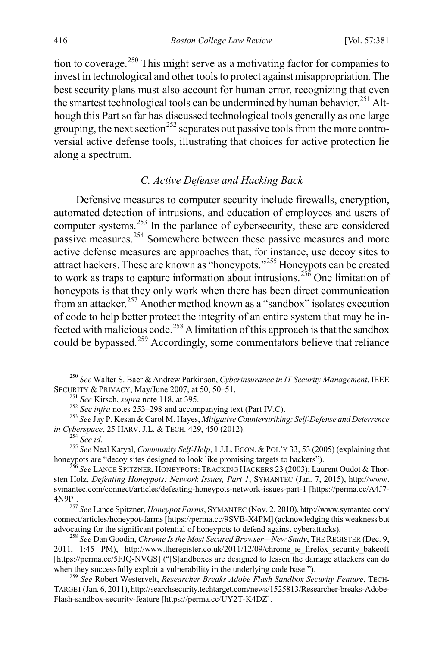tion to coverage.<sup>[250](#page-36-1)</sup> This might serve as a motivating factor for companies to invest in technological and other tools to protect against misappropriation. The best security plans must also account for human error, recognizing that even the smartest technological tools can be undermined by human behavior.<sup>[251](#page-36-2)</sup> Although this Part so far has discussed technological tools generally as one large grouping, the next section<sup>[252](#page-36-3)</sup> separates out passive tools from the more controversial active defense tools, illustrating that choices for active protection lie along a spectrum.

# <span id="page-36-11"></span><span id="page-36-0"></span>*C. Active Defense and Hacking Back*

Defensive measures to computer security include firewalls, encryption, automated detection of intrusions, and education of employees and users of computer systems.<sup>[253](#page-36-4)</sup> In the parlance of cybersecurity, these are considered passive measures.<sup>[254](#page-36-5)</sup> Somewhere between these passive measures and more active defense measures are approaches that, for instance, use decoy sites to attract hackers. These are known as "honeypots."[255](#page-36-6) Honeypots can be created to work as traps to capture information about intrusions.<sup>[256](#page-36-7)</sup> One limitation of honeypots is that they only work when there has been direct communication from an attacker.[257](#page-36-8) Another method known as a "sandbox" isolates execution of code to help better protect the integrity of an entire system that may be in-fected with malicious code.<sup>[258](#page-36-9)</sup> A limitation of this approach is that the sandbox could be bypassed.<sup>[259](#page-36-10)</sup> Accordingly, some commentators believe that reliance

<span id="page-36-5"></span><span id="page-36-4"></span>*in Cyberspace*, 25 HARV. J.L. & TECH. 429, 450 (2012).<br><sup>254</sup> *See id.* <sup>255</sup> *See* Neal Katyal, *Community Self-Help*, 1 J.L. ECON. & POL'Y 33, 53 (2005) (explaining that honeypots are "decoy sites designed to look like p

<span id="page-36-8"></span><sup>257</sup> See Lance Spitzner, *Honeypot Farms*, SYMANTEC (Nov. 2, 2010), http://www.symantec.com/ connect/articles/honeypot-farms [https://perma.cc/9SVB-X4PM] (acknowledging this weakness but advocating for the significant potential of honeypots to defend against cyberattacks). <sup>258</sup> *See* Dan Goodin, *Chrome Is the Most Secured Browser—New Study*, THE REGISTER (Dec. 9,

<span id="page-36-1"></span><sup>&</sup>lt;sup>250</sup> *See* Walter S. Baer & Andrew Parkinson, *Cyberinsurance in IT Security Management*, IEEE SECURITY & PRIVACY, May/June 2007, at 50, 50–51.

<span id="page-36-3"></span><span id="page-36-2"></span><sup>&</sup>lt;sup>251</sup> See Kirsch, *supra* not[e 118,](#page-18-8) at 395.<br><sup>252</sup> See infra notes [253–](#page-36-0)[298](#page-41-0) and accompanying text (Part IV.C).<br><sup>253</sup> See Jay P. Kesan & Carol M. Hayes, *Mitigative Counterstriking: Self-Defense and Deterrence* 

<span id="page-36-7"></span><span id="page-36-6"></span><sup>&</sup>lt;sup>256</sup> See LANCE SPITZNER, HONEYPOTS: TRACKING HACKERS 23 (2003); Laurent Oudot & Thorsten Holz, *Defeating Honeypots: Network Issues, Part 1*, SYMANTEC (Jan. 7, 2015), http://www. symantec.com/connect/articles/defeating-honeypots-network-issues-part-1 [https://perma.cc/A4J7-

<span id="page-36-9"></span><sup>2011, 1:45</sup> PM), http://www.theregister.co.uk/2011/12/09/chrome\_ie\_firefox\_security\_bakeoff [https://perma.cc/5FJQ-NVGS] ("[S]andboxes are designed to lessen the damage attackers can do when they successfully exploit a vulnerability in the underlying code base.").

<span id="page-36-10"></span><sup>&</sup>lt;sup>259</sup> See Robert Westervelt, Researcher Breaks Adobe Flash Sandbox Security Feature, TECH-TARGET (Jan. 6, 2011), http://searchsecurity.techtarget.com/news/1525813/Researcher-breaks-Adobe-Flash-sandbox-security-feature [https://perma.cc/UY2T-K4DZ].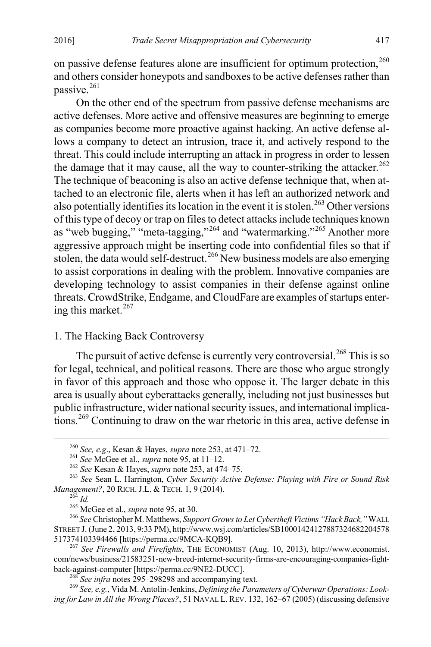on passive defense features alone are insufficient for optimum protection,<sup>[260](#page-37-0)</sup> and others consider honeypots and sandboxes to be active defenses rather than passive.<sup>[261](#page-37-1)</sup>

<span id="page-37-12"></span>On the other end of the spectrum from passive defense mechanisms are active defenses. More active and offensive measures are beginning to emerge as companies become more proactive against hacking. An active defense allows a company to detect an intrusion, trace it, and actively respond to the threat. This could include interrupting an attack in progress in order to lessen the damage that it may cause, all the way to counter-striking the attacker.<sup>[262](#page-37-2)</sup> The technique of beaconing is also an active defense technique that, when attached to an electronic file, alerts when it has left an authorized network and also potentially identifies its location in the event it is stolen.<sup>[263](#page-37-3)</sup> Other versions of this type of decoy or trap on files to detect attacks include techniques known as "web bugging," "meta-tagging,"  $^{264}$  $^{264}$  $^{264}$  and "watermarking."<sup>[265](#page-37-5)</sup> Another more aggressive approach might be inserting code into confidential files so that if stolen, the data would self-destruct.<sup>[266](#page-37-6)</sup> New business models are also emerging to assist corporations in dealing with the problem. Innovative companies are developing technology to assist companies in their defense against online threats. CrowdStrike, Endgame, and CloudFare are examples of startups entering this market. $267$ 

# <span id="page-37-10"></span>1. The Hacking Back Controversy

The pursuit of active defense is currently very controversial.<sup>[268](#page-37-8)</sup> This is so for legal, technical, and political reasons. There are those who argue strongly in favor of this approach and those who oppose it. The larger debate in this area is usually about cyberattacks generally, including not just businesses but public infrastructure, wider national security issues, and international implications.[269](#page-37-9) Continuing to draw on the war rhetoric in this area, active defense in

<span id="page-37-9"></span><span id="page-37-8"></span><sup>268</sup> See infra notes [295–](#page-40-0)[298298](#page-41-0) and accompanying text.<br><sup>269</sup> See, e.g., Vida M. Antolin-Jenkins, *Defining the Parameters of Cyberwar Operations: Looking for Law in All the Wrong Places?*, 51 NAVAL L. REV. 132, 162–67 (2005) (discussing defensive

<span id="page-37-11"></span>

<span id="page-37-3"></span><span id="page-37-2"></span><span id="page-37-1"></span><span id="page-37-0"></span><sup>&</sup>lt;sup>260</sup> See, e.g., Kesan & Hayes, *supra* not[e 253,](#page-36-0) at 471–72.<br><sup>261</sup> See McGee et al., *supra* not[e 95,](#page-15-8) at 11–12.<br><sup>262</sup> See Kesan & Hayes, *supra* note [253,](#page-36-0) at 474–75.<br><sup>263</sup> See Sean L. Harrington, *Cyber Security Active De* 

<span id="page-37-6"></span><span id="page-37-5"></span><span id="page-37-4"></span><sup>&</sup>lt;sup>265</sup> McGee et al., *supra* not[e 95,](#page-15-8) at 30. <br><sup>266</sup> *See* Christopher M. Matthews, *Support Grows to Let Cybertheft Victims "Hack Back*," WALL STREET J. (June 2, 2013, 9:33 PM), http://www.wsj.com/articles/SB10001424127887324682204578<br>517374103394466 [https://perma.cc/9MCA-KQB9].

<span id="page-37-7"></span><sup>&</sup>lt;sup>267</sup> See Firewalls and Firefights, THE ECONOMIST (Aug. 10, 2013), http://www.economist. com/news/business/21583251-new-breed-internet-security-firms-are-encouraging-companies-fight-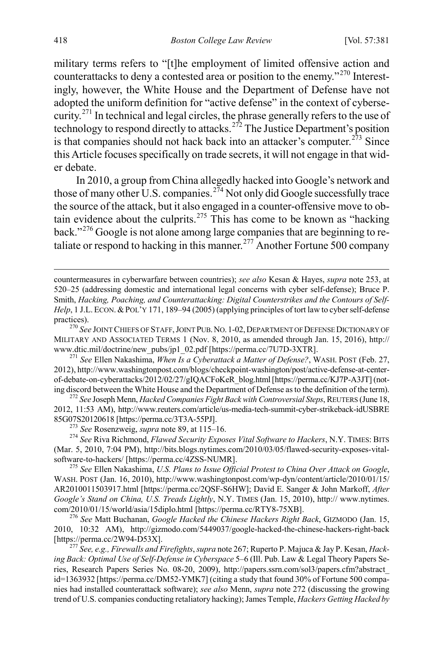military terms refers to "[t]he employment of limited offensive action and counterattacks to deny a contested area or position to the enemy."[270](#page-38-1) Interestingly, however, the White House and the Department of Defense have not adopted the uniform definition for "active defense" in the context of cybersecurity.[271](#page-38-2) In technical and legal circles, the phrase generally refers to the use of technology to respond directly to attacks.<sup>[272](#page-38-3)</sup> The Justice Department's position is that companies should not hack back into an attacker's computer.<sup>[273](#page-38-4)</sup> Since this Article focuses specifically on trade secrets, it will not engage in that wider debate.

<span id="page-38-0"></span>In 2010, a group from China allegedly hacked into Google's network and those of many other U.S. companies.<sup>[274](#page-38-5)</sup> Not only did Google successfully trace the source of the attack, but it also engaged in a counter-offensive move to ob-tain evidence about the culprits.<sup>[275](#page-38-6)</sup> This has come to be known as "hacking" back."[276](#page-38-7) Google is not alone among large companies that are beginning to re-taliate or respond to hacking in this manner.<sup>[277](#page-38-8)</sup> Another Fortune 500 company

<span id="page-38-5"></span><span id="page-38-4"></span>(Mar. 5, 2010, 7:04 PM), http://bits.blogs.nytimes.com/2010/03/05/flawed-security-exposes-vitalsoftware-to-hackers/ [https://perma.cc/4ZSS-NUMR]. <sup>275</sup> *See* Ellen Nakashima, *U.S. Plans to Issue Official Protest to China Over Attack on Google*,

<span id="page-38-6"></span>WASH. POST (Jan. 16, 2010), http://www.washingtonpost.com/wp-dyn/content/article/2010/01/15/ AR2010011503917.html [https://perma.cc/2QSF-S6HW]; David E. Sanger & John Markoff, *After Google's Stand on China, U.S. Treads Lightly*, N.Y. TIMES (Jan. 15, 2010), http:// www.nytimes.

<span id="page-38-7"></span>com/2010/01/15/world/asia/15diplo.html [https://perma.cc/RTY8-75XB]. <sup>276</sup> *See* Matt Buchanan, *Google Hacked the Chinese Hackers Right Back*, GIZMODO (Jan. 15, 2010, 10:32 AM), http://gizmodo.com/5449037/google-hacked-the-chinese-hackers-right-back

<span id="page-38-8"></span><sup>277</sup> *See, e.g., Firewalls and Firefights, supra* not[e 267;](#page-37-10) Ruperto P. Majuca & Jay P. Kesan, *Hacking Back: Optimal Use of Self-Defense in Cyberspace* 5–6 (Ill. Pub. Law & Legal Theory Papers Series, Research Papers Series No. 08-20, 2009), http://papers.ssrn.com/sol3/papers.cfm?abstract\_ id=1363932 [https://perma.cc/DM52-YMK7] (citing a study that found 30% of Fortune 500 companies had installed counterattack software); *see also* Menn, *supra* not[e 272](#page-38-0) (discussing the growing trend of U.S. companies conducting retaliatory hacking); James Temple, *Hackers Getting Hacked by* 

<span id="page-38-9"></span>countermeasures in cyberwarfare between countries); *see also* Kesan & Hayes, *supra* note [253,](#page-36-0) at 520–25 (addressing domestic and international legal concerns with cyber self-defense); Bruce P. Smith, *Hacking, Poaching, and Counterattacking: Digital Counterstrikes and the Contours of Self-Help*, 1 J.L. ECON. & POL'Y 171, 189–94 (2005) (applying principles of tort law to cyber self-defense practices). <sup>270</sup> *See* JOINT CHIEFS OF STAFF,JOINT PUB.NO. 1-02,DEPARTMENT OF DEFENSE DICTIONARY OF

<span id="page-38-1"></span>MILITARY AND ASSOCIATED TERMS 1 (Nov. 8, 2010, as amended through Jan. 15, 2016), http:// www.dtic.mil/doctrine/new\_pubs/jp1\_02.pdf [https://perma.cc/7U7D-3XTR]. <sup>271</sup> *See* Ellen Nakashima, *When Is a Cyberattack a Matter of Defense?*, WASH. POST (Feb. 27,

<span id="page-38-2"></span><sup>2012),</sup> http://www.washingtonpost.com/blogs/checkpoint-washington/post/active-defense-at-centerof-debate-on-cyberattacks/2012/02/27/gIQACFoKeR\_blog.html [https://perma.cc/KJ7P-A3JT] (not-<br>ing discord between the White House and the Department of Defense as to the definition of the term).

<span id="page-38-3"></span><sup>&</sup>lt;sup>272</sup> See Joseph Menn, *Hacked Companies Fight Back with Controversial Steps*, REUTERS (June 18, 2012, 11:53 AM), http://www.reuters.com/article/us-media-tech-summit-cyber-strikeback-idUSBRE 85G07S20120618 [https://perma.cc/3T3A-55PJ]. <sup>273</sup> *See* Rosenzweig, *supra* not[e 89,](#page-14-3) at 115–16. <sup>274</sup> *See* Riva Richmond, *Flawed Security Exposes Vital Software to Hackers*, N.Y. TIMES: BITS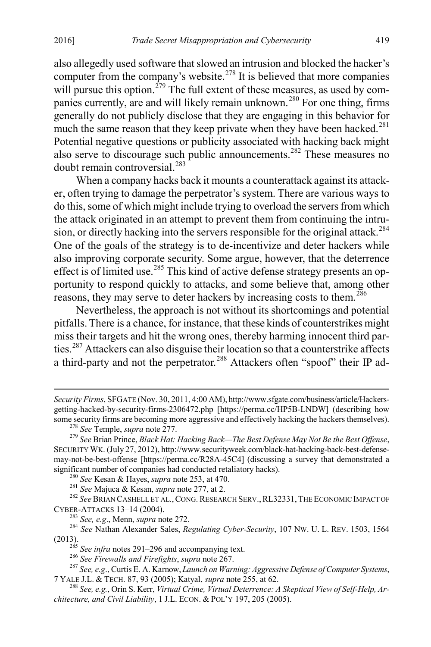also allegedly used software that slowed an intrusion and blocked the hacker's computer from the company's website.<sup>[278](#page-39-0)</sup> It is believed that more companies will pursue this option.<sup>[279](#page-39-1)</sup> The full extent of these measures, as used by com-panies currently, are and will likely remain unknown.<sup>[280](#page-39-2)</sup> For one thing, firms generally do not publicly disclose that they are engaging in this behavior for much the same reason that they keep private when they have been hacked.<sup>[281](#page-39-3)</sup> Potential negative questions or publicity associated with hacking back might also serve to discourage such public announcements.[282](#page-39-4) These measures no doubt remain controversial.[283](#page-39-5)

<span id="page-39-11"></span>When a company hacks back it mounts a counterattack against its attacker, often trying to damage the perpetrator's system. There are various ways to do this, some of which might include trying to overload the servers from which the attack originated in an attempt to prevent them from continuing the intru-sion, or directly hacking into the servers responsible for the original attack.<sup>[284](#page-39-6)</sup> One of the goals of the strategy is to de-incentivize and deter hackers while also improving corporate security. Some argue, however, that the deterrence effect is of limited use.<sup>[285](#page-39-7)</sup> This kind of active defense strategy presents an opportunity to respond quickly to attacks, and some believe that, among other reasons, they may serve to deter hackers by increasing costs to them.<sup>[286](#page-39-8)</sup>

Nevertheless, the approach is not without its shortcomings and potential pitfalls. There is a chance, for instance, that these kinds of counterstrikes might miss their targets and hit the wrong ones, thereby harming innocent third parties.[287](#page-39-9) Attackers can also disguise their location so that a counterstrike affects a third-party and not the perpetrator.<sup>[288](#page-39-10)</sup> Attackers often "spoof" their IP ad-

 $\overline{a}$ 

<span id="page-39-4"></span><span id="page-39-3"></span><span id="page-39-2"></span><sup>280</sup> See Kesan & Hayes, *supra* note [253,](#page-36-0) at 470.<br>
<sup>281</sup> See Majuca & Kesan, *supra* not[e 277,](#page-38-9) at 2.<br>
<sup>282</sup> See BRIAN CASHELL ET AL., CONG. RESEARCH SERV., RL32331, THE ECONOMIC IMPACT OF<br>
CYBER-ATTACKS 13–14 (2004).

<span id="page-39-5"></span>CYBER-ATTACKS 13–14 (2004). <sup>283</sup> *See, e.g*., Menn, *supra* not[e 272.](#page-38-0) 284 *See* Nathan Alexander Sales, *Regulating Cyber-Security*, 107 NW. U. L. REV. 1503, 1564

*Security Firms*, SFGATE (Nov. 30, 2011, 4:00 AM), http://www.sfgate.com/business/article/Hackersgetting-hacked-by-security-firms-2306472.php [https://perma.cc/HP5B-LNDW] (describing how

<span id="page-39-1"></span><span id="page-39-0"></span><sup>&</sup>lt;sup>278</sup> See Temple, supra note 277.<br><sup>279</sup> See Brian Prince, *Black Hat: Hacking Back—The Best Defense May Not Be the Best Offense*, SECURITY WK. (July 27, 2012), http://www.securityweek.com/black-hat-hacking-back-best-defensemay-not-be-best-offense [https://perma.cc/R28A-45C4] (discussing a survey that demonstrated a significant number of companies had conducted retaliatory hacks).

<span id="page-39-8"></span><span id="page-39-7"></span><span id="page-39-6"></span><sup>(2013).&</sup>lt;br>
<sup>285</sup> See infra notes [291–](#page-40-1)[296](#page-41-2) and accompanying text.<br>
<sup>286</sup> See Firewalls and Firefights, supra note 267.<br>
<sup>287</sup> See, e.g., Curtis E. A. Karnow, *Launch on Warning: Aggressive Defense of Computer Systems*,<br>
7 YAL

<span id="page-39-10"></span><span id="page-39-9"></span><sup>&</sup>lt;sup>288</sup> See, e.g., Orin S. Kerr, *Virtual Crime, Virtual Deterrence: A Skeptical View of Self-Help, Architecture, and Civil Liability*, 1 J.L. ECON. & POL'Y 197, 205 (2005).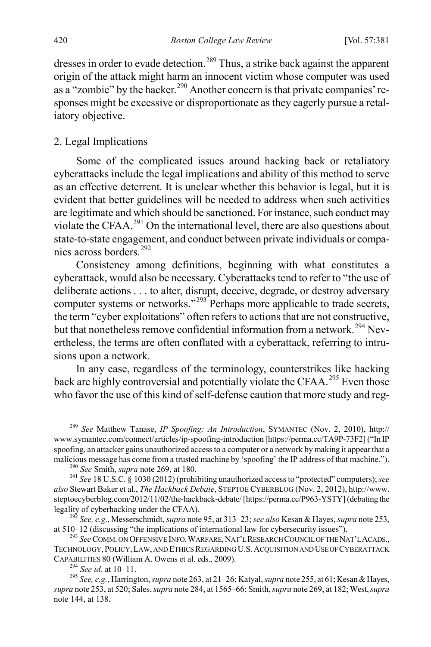dresses in order to evade detection.<sup>[289](#page-40-2)</sup> Thus, a strike back against the apparent origin of the attack might harm an innocent victim whose computer was used as a "zombie" by the hacker.<sup>290</sup> Another concern is that private companies' responses might be excessive or disproportionate as they eagerly pursue a retaliatory objective.

#### 2. Legal Implications

Some of the complicated issues around hacking back or retaliatory cyberattacks include the legal implications and ability of this method to serve as an effective deterrent. It is unclear whether this behavior is legal, but it is evident that better guidelines will be needed to address when such activities are legitimate and which should be sanctioned. For instance, such conduct may violate the CFAA. $^{291}$  $^{291}$  $^{291}$  On the international level, there are also questions about state-to-state engagement, and conduct between private individuals or compa-nies across borders.<sup>[292](#page-40-5)</sup>

<span id="page-40-1"></span>Consistency among definitions, beginning with what constitutes a cyberattack, would also be necessary. Cyberattacks tend to refer to "the use of deliberate actions . . . to alter, disrupt, deceive, degrade, or destroy adversary computer systems or networks."<sup>[293](#page-40-6)</sup> Perhaps more applicable to trade secrets, the term "cyber exploitations" often refers to actions that are not constructive, but that nonetheless remove confidential information from a network.<sup>[294](#page-40-7)</sup> Nevertheless, the terms are often conflated with a cyberattack, referring to intrusions upon a network.

In any case, regardless of the terminology, counterstrikes like hacking back are highly controversial and potentially violate the CFAA.<sup>[295](#page-40-8)</sup> Even those who favor the use of this kind of self-defense caution that more study and reg-

<span id="page-40-2"></span> <sup>289</sup> *See* Matthew Tanase, *IP Spoofing: An Introduction*, SYMANTEC (Nov. 2, 2010), http:// www.symantec.com/connect/articles/ip-spoofing-introduction [https://perma.cc/TA9P-73F2] ("In IP spoofing, an attacker gains unauthorized access to a computer or a network by making it appear that a malicious message has come from a trusted machine by 'spoofing' the IP address of that machine.").

<span id="page-40-0"></span>

<span id="page-40-4"></span><span id="page-40-3"></span><sup>&</sup>lt;sup>290</sup> See Smith, *supra* note [269,](#page-37-11) at 180.<br><sup>291</sup> See 18 U.S.C. § 1030 (2012) (prohibiting unauthorized access to "protected" computers); *see also* Stewart Baker et al., *The Hackback Debate*, STEPTOE CYBERBLOG (Nov. 2, 2012), http://www. steptoecyberblog.com/2012/11/02/the-hackback-debate/ [https://perma.cc/P963-YSTY] (debating the legality of cyberhacking under the CFAA). <sup>292</sup> *See, e.g*., Messerschmidt, *supra* not[e 95,](#page-15-8) at 313–23; *see also* Kesan & Hayes, *supra* not[e 253,](#page-36-0)

<span id="page-40-5"></span>at 510–12 (discussing "the implications of international law for cybersecurity issues"). <sup>293</sup> *See* COMM. ON OFFENSIVE INFO.WARFARE,NAT'L RESEARCH COUNCIL OF THE NAT'L ACADS.,

<span id="page-40-6"></span>TECHNOLOGY,POLICY,LAW, AND ETHICS REGARDING U.S. ACQUISITION AND USE OF CYBERATTACK CAPABILITIES 80 (William A. Owens et al. eds., 2009). <sup>294</sup> *See id.* at 10–11. <sup>295</sup> *See, e.g.*, Harrington, *supra* not[e 263,](#page-37-12) at 21–26; Katyal, *supra* not[e 255,](#page-36-11) at 61; Kesan & Hayes,

<span id="page-40-8"></span><span id="page-40-7"></span>*supra* not[e 253,](#page-36-0) at 520; Sales, *supra* not[e 284,](#page-39-11) at 1565–66; Smith, *supra* not[e 269,](#page-37-11) at 182; West, *supra*  note [144,](#page-22-7) at 138.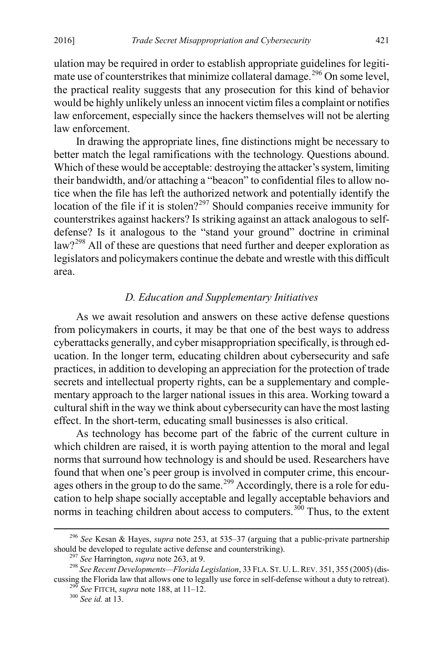<span id="page-41-2"></span>ulation may be required in order to establish appropriate guidelines for legiti-mate use of counterstrikes that minimize collateral damage.<sup>[296](#page-41-3)</sup> On some level, the practical reality suggests that any prosecution for this kind of behavior would be highly unlikely unless an innocent victim files a complaint or notifies law enforcement, especially since the hackers themselves will not be alerting law enforcement.

In drawing the appropriate lines, fine distinctions might be necessary to better match the legal ramifications with the technology. Questions abound. Which of these would be acceptable: destroying the attacker's system, limiting their bandwidth, and/or attaching a "beacon" to confidential files to allow notice when the file has left the authorized network and potentially identify the location of the file if it is stolen?<sup>[297](#page-41-4)</sup> Should companies receive immunity for counterstrikes against hackers? Is striking against an attack analogous to selfdefense? Is it analogous to the "stand your ground" doctrine in criminal law?<sup>[298](#page-41-5)</sup> All of these are questions that need further and deeper exploration as legislators and policymakers continue the debate and wrestle with this difficult area.

# <span id="page-41-0"></span>*D. Education and Supplementary Initiatives*

As we await resolution and answers on these active defense questions from policymakers in courts, it may be that one of the best ways to address cyberattacks generally, and cyber misappropriation specifically, is through education. In the longer term, educating children about cybersecurity and safe practices, in addition to developing an appreciation for the protection of trade secrets and intellectual property rights, can be a supplementary and complementary approach to the larger national issues in this area. Working toward a cultural shift in the way we think about cybersecurity can have the most lasting effect. In the short-term, educating small businesses is also critical.

As technology has become part of the fabric of the current culture in which children are raised, it is worth paying attention to the moral and legal norms that surround how technology is and should be used. Researchers have found that when one's peer group is involved in computer crime, this encour-ages others in the group to do the same.<sup>[299](#page-41-6)</sup> Accordingly, there is a role for education to help shape socially acceptable and legally acceptable behaviors and norms in teaching children about access to computers.<sup>[300](#page-41-7)</sup> Thus, to the extent

<span id="page-41-3"></span> <sup>296</sup> *See* Kesan & Hayes, *supra* note [253,](#page-36-0) at 535–37 (arguing that a public-private partnership

<span id="page-41-1"></span>

<span id="page-41-7"></span><span id="page-41-6"></span><span id="page-41-5"></span><span id="page-41-4"></span><sup>&</sup>lt;sup>297</sup> See Harrington, *supra* note [263,](#page-37-12) at 9.<br><sup>298</sup> See Recent Developments—Florida Legislation, 33 FLA. ST. U. L. REV. 351, 355 (2005) (discussing the Florida law that allows one to legally use force in self-defense without a duty to retreat). <sup>299</sup> *See* FITCH, *supra* not[e 188,](#page-26-11) at 11–12. <sup>300</sup> *See id.* at 13.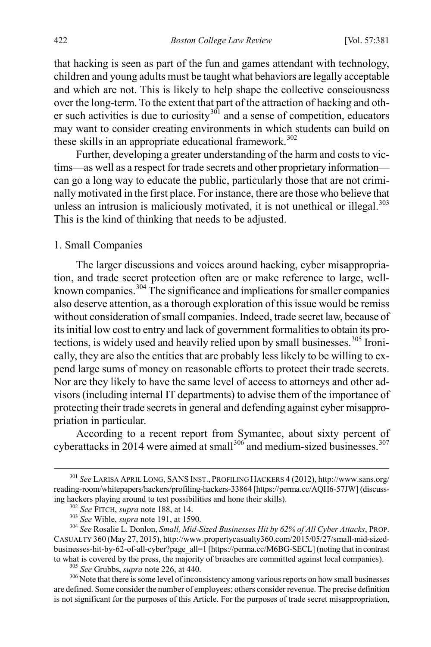that hacking is seen as part of the fun and games attendant with technology, children and young adults must be taught what behaviors are legally acceptable and which are not. This is likely to help shape the collective consciousness over the long-term. To the extent that part of the attraction of hacking and other such activities is due to curiosity $3^{01}$  and a sense of competition, educators may want to consider creating environments in which students can build on these skills in an appropriate educational framework.<sup>[302](#page-42-2)</sup>

Further, developing a greater understanding of the harm and costs to victims—as well as a respect for trade secrets and other proprietary information can go a long way to educate the public, particularly those that are not criminally motivated in the first place. For instance, there are those who believe that unless an intrusion is maliciously motivated, it is not unethical or illegal. $303$ This is the kind of thinking that needs to be adjusted.

#### 1. Small Companies

<span id="page-42-0"></span>The larger discussions and voices around hacking, cyber misappropriation, and trade secret protection often are or make reference to large, wellknown companies.<sup>304</sup> The significance and implications for smaller companies also deserve attention, as a thorough exploration of this issue would be remiss without consideration of small companies. Indeed, trade secret law, because of its initial low cost to entry and lack of government formalities to obtain its pro-tections, is widely used and heavily relied upon by small businesses.<sup>[305](#page-42-5)</sup> Ironically, they are also the entities that are probably less likely to be willing to expend large sums of money on reasonable efforts to protect their trade secrets. Nor are they likely to have the same level of access to attorneys and other advisors (including internal IT departments) to advise them of the importance of protecting their trade secrets in general and defending against cyber misappropriation in particular.

According to a recent report from Symantec, about sixty percent of cyberattacks in 2014 were aimed at small $306$  and medium-sized businesses.  $307$ 

<span id="page-42-7"></span><span id="page-42-1"></span> <sup>301</sup> *See* LARISA APRIL LONG, SANS INST., PROFILING HACKERS 4 (2012), http://www.sans.org/ reading-room/whitepapers/hackers/profiling-hackers-33864 [https://perma.cc/AQH6-57JW] (discuss-<br>ing hackers playing around to test possibilities and hone their skills).

<span id="page-42-4"></span><span id="page-42-3"></span><span id="page-42-2"></span><sup>&</sup>lt;sup>302</sup> See FITCH, *supra* not[e 188,](#page-26-11) at 14.<br><sup>303</sup> See Wible, *supra* not[e 191,](#page-27-8) at 1590.<br><sup>304</sup> See Rosalie L. Donlon, Small, Mid-Sized Businesses Hit by 62% of All Cyber Attacks, PROP. CASUALTY 360 (May 27, 2015), http://www.propertycasualty360.com/2015/05/27/small-mid-sizedbusinesses-hit-by-62-of-all-cyber?page\_all=1 [https://perma.cc/M6BG-SECL] (noting that in contrast

<span id="page-42-6"></span><span id="page-42-5"></span>to what is covered by the press, the majority of breaches are committed against local companies).<br><sup>305</sup> See Grubbs, *supra* not[e 226,](#page-31-7) at 440.<br><sup>306</sup> Note that there is some level of inconsistency among various reports on h are defined. Some consider the number of employees; others consider revenue. The precise definition is not significant for the purposes of this Article. For the purposes of trade secret misappropriation,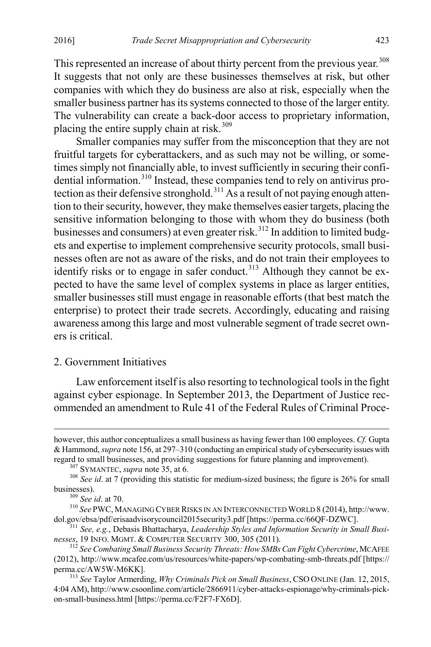This represented an increase of about thirty percent from the previous vear.<sup>[308](#page-43-1)</sup> It suggests that not only are these businesses themselves at risk, but other companies with which they do business are also at risk, especially when the smaller business partner has its systems connected to those of the larger entity. The vulnerability can create a back-door access to proprietary information, placing the entire supply chain at risk. $309$ 

Smaller companies may suffer from the misconception that they are not fruitful targets for cyberattackers, and as such may not be willing, or sometimes simply not financially able, to invest sufficiently in securing their confi-dential information.<sup>[310](#page-43-3)</sup> Instead, these companies tend to rely on antivirus pro-tection as their defensive stronghold.<sup>[311](#page-43-4)</sup> As a result of not paying enough attention to their security, however, they make themselves easier targets, placing the sensitive information belonging to those with whom they do business (both businesses and consumers) at even greater risk.<sup>[312](#page-43-5)</sup> In addition to limited budgets and expertise to implement comprehensive security protocols, small businesses often are not as aware of the risks, and do not train their employees to identify risks or to engage in safer conduct.<sup>[313](#page-43-6)</sup> Although they cannot be expected to have the same level of complex systems in place as larger entities, smaller businesses still must engage in reasonable efforts (that best match the enterprise) to protect their trade secrets. Accordingly, educating and raising awareness among this large and most vulnerable segment of trade secret owners is critical.

# <span id="page-43-0"></span>2. Government Initiatives

Law enforcement itself is also resorting to technological tools in the fight against cyber espionage. In September 2013, the Department of Justice recommended an amendment to Rule 41 of the Federal Rules of Criminal Proce-

however, this author conceptualizes a small business as having fewer than 100 employees. *Cf.* Gupta & Hammond, *supra* not[e 156,](#page-23-10) at 297–310 (conducting an empirical study of cybersecurity issues with regard to small businesses, and providing suggestions for future planning and improvement).<br> $^{307}$  SYMANTEC, *supra* not[e 35,](#page-6-0) at 6.<br> $^{308}$  *See id.* at 7 (providing this statistic for medium-sized business; the figure i

<span id="page-43-3"></span><span id="page-43-2"></span><span id="page-43-1"></span>businesses).<br><sup>309</sup> *See id.* at 70.<br><sup>310</sup> *See* PWC, MANAGING CYBER RISKS IN AN INTERCONNECTED WORLD 8 (2014), http://www.<br>dol.gov/ebsa/pdf/erisaadvisorycouncil2015security3.pdf [https://perma.cc/66QF-DZWC].

<span id="page-43-4"></span><sup>&</sup>lt;sup>311</sup> See, e.g., Debasis Bhattacharya, *Leadership Styles and Information Security in Small Businesses*, 19 INFO. MGMT. & COMPUTER SECURITY 300, 305 (2011). <sup>312</sup> *See Combating Small Business Security Threats: How SMBs Can Fight Cybercrime*, MCAFEE

<span id="page-43-5"></span><sup>(2012),</sup> http://www.mcafee.com/us/resources/white-papers/wp-combating-smb-threats.pdf [https:// perma.cc/AW5W-M6KK]. <sup>313</sup> *See* Taylor Armerding, *Why Criminals Pick on Small Business*, CSO ONLINE (Jan. 12, 2015,

<span id="page-43-6"></span><sup>4:04</sup> AM), http://www.csoonline.com/article/2866911/cyber-attacks-espionage/why-criminals-pickon-small-business.html [https://perma.cc/F2F7-FX6D].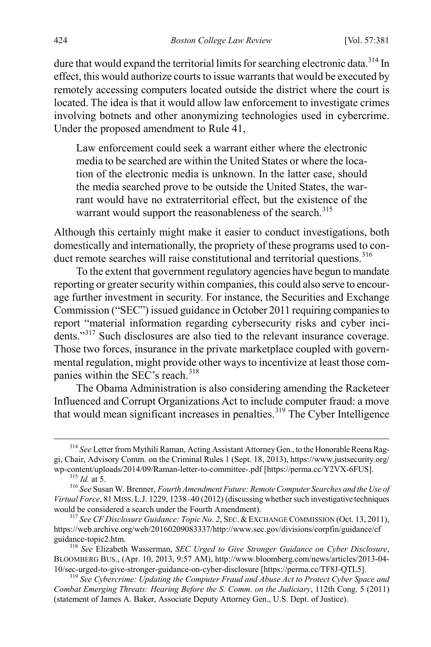dure that would expand the territorial limits for searching electronic data.<sup>[314](#page-44-0)</sup> In effect, this would authorize courts to issue warrants that would be executed by remotely accessing computers located outside the district where the court is located. The idea is that it would allow law enforcement to investigate crimes involving botnets and other anonymizing technologies used in cybercrime. Under the proposed amendment to Rule 41,

Law enforcement could seek a warrant either where the electronic media to be searched are within the United States or where the location of the electronic media is unknown. In the latter case, should the media searched prove to be outside the United States, the warrant would have no extraterritorial effect, but the existence of the warrant would support the reasonableness of the search.<sup>[315](#page-44-1)</sup>

Although this certainly might make it easier to conduct investigations, both domestically and internationally, the propriety of these programs used to con-duct remote searches will raise constitutional and territorial questions.<sup>[316](#page-44-2)</sup>

To the extent that government regulatory agencies have begun to mandate reporting or greater security within companies, this could also serve to encourage further investment in security. For instance, the Securities and Exchange Commission ("SEC") issued guidance in October 2011 requiring companies to report "material information regarding cybersecurity risks and cyber incidents."[317](#page-44-3) Such disclosures are also tied to the relevant insurance coverage. Those two forces, insurance in the private marketplace coupled with governmental regulation, might provide other ways to incentivize at least those com-panies within the SEC's reach.<sup>[318](#page-44-4)</sup>

The Obama Administration is also considering amending the Racketeer Influenced and Corrupt Organizations Act to include computer fraud: a move that would mean significant increases in penalties.<sup>[319](#page-44-5)</sup> The Cyber Intelligence

<span id="page-44-0"></span> <sup>314</sup> *See* Letter from Mythili Raman, Acting Assistant Attorney Gen., to the Honorable Reena Raggi, Chair, Advisory Comm. on the Criminal Rules 1 (Sept. 18, 2013), https://www.justsecurity.org/<br>wp-content/uploads/2014/09/Raman-letter-to-committee-.pdf [https://perma.cc/Y2VX-6FUS].

<span id="page-44-2"></span><span id="page-44-1"></span><sup>&</sup>lt;sup>315</sup> Id. at 5.<br><sup>316</sup> See Susan W. Brenner, *Fourth Amendment Future: Remote Computer Searches and the Use of Virtual Force*, 81 MISS. L.J. 1229, 1238–40 (2012) (discussing whether such investigative techniques

<span id="page-44-3"></span><sup>&</sup>lt;sup>317</sup> See CF Disclosure Guidance: Topic No. 2, SEC. & EXCHANGE COMMISSION (Oct. 13, 2011), https://web.archive.org/web/20160209083337/http://www.sec.gov/divisions/corpfin/guidance/cf

<span id="page-44-4"></span><sup>&</sup>lt;sup>318</sup> See Elizabeth Wasserman, *SEC Urged to Give Stronger Guidance on Cyber Disclosure*, BLOOMBERG BUS., (Apr. 10, 2013, 9:57 AM), http://www.bloomberg.com/news/articles/2013-04-<br>10/sec-urged-to-give-stronger-guidance-on-cyber-disclosure [https://perma.cc/TF8J-QTL5].

<span id="page-44-5"></span><sup>&</sup>lt;sup>319</sup> See Cybercrime: Updating the Computer Fraud and Abuse Act to Protect Cyber Space and *Combat Emerging Threats: Hearing Before the S. Comm. on the Judiciary*, 112th Cong. 5 (2011) (statement of James A. Baker, Associate Deputy Attorney Gen., U.S. Dept. of Justice).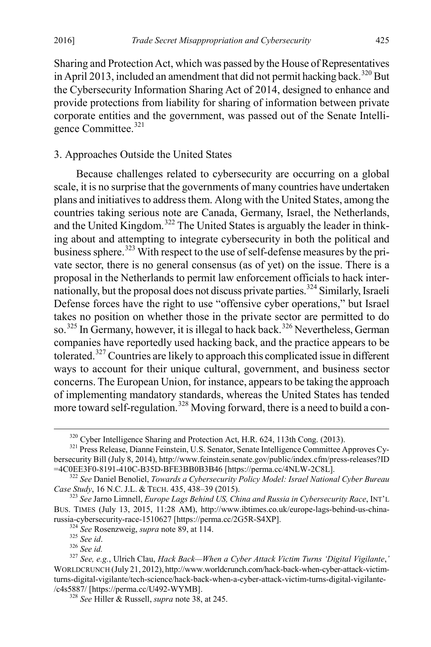Sharing and Protection Act, which was passed by the House of Representatives in April 2013, included an amendment that did not permit hacking back.<sup>[320](#page-45-1)</sup> But the Cybersecurity Information Sharing Act of 2014, designed to enhance and provide protections from liability for sharing of information between private corporate entities and the government, was passed out of the Senate Intelligence Committee. [321](#page-45-2)

# 3. Approaches Outside the United States

Because challenges related to cybersecurity are occurring on a global scale, it is no surprise that the governments of many countries have undertaken plans and initiatives to address them. Along with the United States, among the countries taking serious note are Canada, Germany, Israel, the Netherlands, and the United Kingdom.<sup>[322](#page-45-3)</sup> The United States is arguably the leader in thinking about and attempting to integrate cybersecurity in both the political and business sphere.<sup>[323](#page-45-4)</sup> With respect to the use of self-defense measures by the private sector, there is no general consensus (as of yet) on the issue. There is a proposal in the Netherlands to permit law enforcement officials to hack internationally, but the proposal does not discuss private parties.[324](#page-45-5) Similarly, Israeli Defense forces have the right to use "offensive cyber operations," but Israel takes no position on whether those in the private sector are permitted to do so.<sup>[325](#page-45-6)</sup> In Germany, however, it is illegal to hack back.<sup>[326](#page-45-7)</sup> Nevertheless, German companies have reportedly used hacking back, and the practice appears to be tolerated.<sup>[327](#page-45-8)</sup> Countries are likely to approach this complicated issue in different ways to account for their unique cultural, government, and business sector concerns. The European Union, for instance, appears to be taking the approach of implementing mandatory standards, whereas the United States has tended more toward self-regulation.<sup>[328](#page-45-9)</sup> Moving forward, there is a need to build a con-

<span id="page-45-0"></span>

<span id="page-45-2"></span><span id="page-45-1"></span> $320$  Cyber Intelligence Sharing and Protection Act, H.R. 624, 113th Cong. (2013).  $321$  Press Release, Dianne Feinstein, U.S. Senator, Senate Intelligence Committee Approves Cybersecurity Bill (July 8, 2014), http://www.feinstein.senate.gov/public/index.cfm/press-releases?ID<br>=4C0EE3F0-8191-410C-B35D-BFE3BB0B3B46 [https://perma.cc/4NLW-2C8L].

<span id="page-45-3"></span><sup>&</sup>lt;sup>322</sup> See Daniel Benoliel, *Towards a Cybersecurity Policy Model: Israel National Cyber Bureau Case Study*, 16 N.C. J.L. & TECH. 435, 438–39 (2015).

<span id="page-45-4"></span><sup>&</sup>lt;sup>323</sup> See Jarno Limnell, *Europe Lags Behind US, China and Russia in Cybersecurity Race*, INT'L BUS. TIMES (July 13, 2015, 11:28 AM), http://www.ibtimes.co.uk/europe-lags-behind-us-china-<br>russia-cybersecurity-race-1510627 [https://perma.cc/2G5R-S4XP].

<span id="page-45-8"></span><span id="page-45-7"></span><span id="page-45-6"></span><span id="page-45-5"></span><sup>&</sup>lt;sup>324</sup> See Rosenzweig, *supra* not[e 89,](#page-14-3) at 114.<br><sup>325</sup> See id.<br><sup>326</sup> See id.<br><sup>326</sup> See, e.g., Ulrich Clau, *Hack Back—When a Cyber Attack Victim Turns 'Digital Vigilante,'* WORLDCRUNCH (July 21, 2012), http://www.worldcrunch.com/hack-back-when-cyber-attack-victimturns-digital-vigilante/tech-science/hack-back-when-a-cyber-attack-victim-turns-digital-vigilante- /c4s5887/ [https://perma.cc/U492-WYMB]. <sup>328</sup> *See* Hiller & Russell, *supra* not[e 38,](#page-7-10) at 245.

<span id="page-45-9"></span>